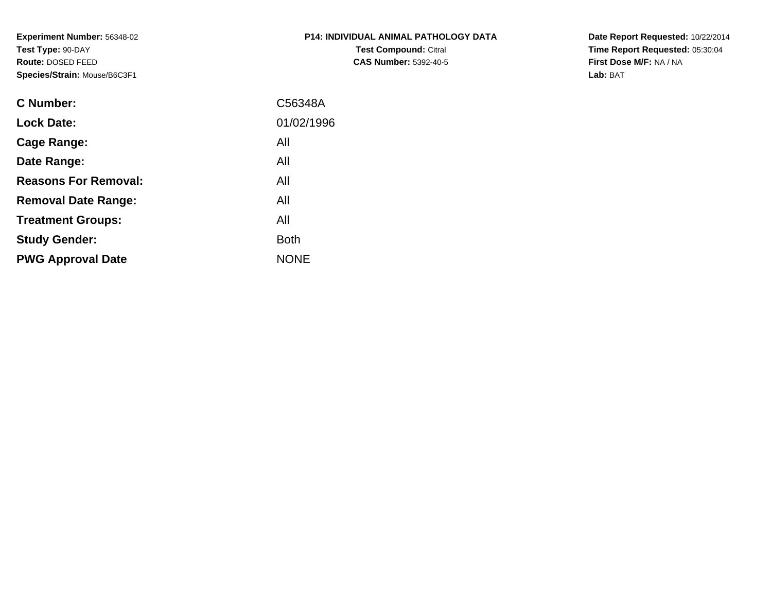**Experiment Number:** 56348-02**Test Type:** 90-DAY **Route:** DOSED FEED**Species/Strain:** Mouse/B6C3F1

| <b>P14: INDIVIDUAL ANIMAL PATHOLOGY DATA</b> |
|----------------------------------------------|
| <b>Test Compound: Citral</b>                 |
| <b>CAS Number: 5392-40-5</b>                 |

**Date Report Requested:** 10/22/2014 **Time Report Requested:** 05:30:04**First Dose M/F:** NA / NA**Lab:** BAT

| <b>C</b> Number:            | C56348A     |
|-----------------------------|-------------|
| <b>Lock Date:</b>           | 01/02/1996  |
| Cage Range:                 | All         |
| Date Range:                 | All         |
| <b>Reasons For Removal:</b> | All         |
| <b>Removal Date Range:</b>  | All         |
| <b>Treatment Groups:</b>    | All         |
| <b>Study Gender:</b>        | <b>Both</b> |
| <b>PWG Approval Date</b>    | <b>NONE</b> |
|                             |             |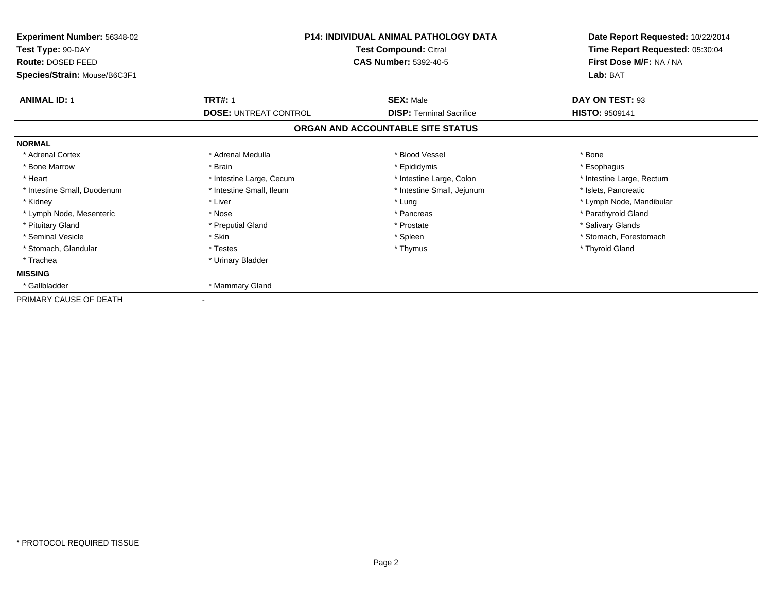| Experiment Number: 56348-02<br>Test Type: 90-DAY  | <b>P14: INDIVIDUAL ANIMAL PATHOLOGY DATA</b><br>Test Compound: Citral |                                   | Date Report Requested: 10/22/2014<br>Time Report Requested: 05:30:04 |  |
|---------------------------------------------------|-----------------------------------------------------------------------|-----------------------------------|----------------------------------------------------------------------|--|
| Route: DOSED FEED<br>Species/Strain: Mouse/B6C3F1 |                                                                       | <b>CAS Number: 5392-40-5</b>      | First Dose M/F: NA / NA<br>Lab: BAT                                  |  |
| <b>ANIMAL ID: 1</b>                               | <b>TRT#: 1</b>                                                        | <b>SEX: Male</b>                  | DAY ON TEST: 93                                                      |  |
|                                                   | <b>DOSE: UNTREAT CONTROL</b>                                          | <b>DISP: Terminal Sacrifice</b>   | <b>HISTO: 9509141</b>                                                |  |
|                                                   |                                                                       | ORGAN AND ACCOUNTABLE SITE STATUS |                                                                      |  |
| <b>NORMAL</b>                                     |                                                                       |                                   |                                                                      |  |
| * Adrenal Cortex                                  | * Adrenal Medulla                                                     | * Blood Vessel                    | * Bone                                                               |  |
| * Bone Marrow                                     | * Brain                                                               | * Epididymis                      | * Esophagus                                                          |  |
| * Heart                                           | * Intestine Large, Cecum                                              | * Intestine Large, Colon          | * Intestine Large, Rectum                                            |  |
| * Intestine Small, Duodenum                       | * Intestine Small, Ileum                                              | * Intestine Small, Jejunum        | * Islets, Pancreatic                                                 |  |
| * Kidney                                          | * Liver                                                               | * Lung                            | * Lymph Node, Mandibular                                             |  |
| * Lymph Node, Mesenteric                          | * Nose                                                                | * Pancreas                        | * Parathyroid Gland                                                  |  |
| * Pituitary Gland                                 | * Preputial Gland                                                     | * Prostate                        | * Salivary Glands                                                    |  |
| * Seminal Vesicle                                 | * Skin                                                                | * Spleen                          | * Stomach, Forestomach                                               |  |
| * Stomach, Glandular                              | * Testes                                                              | * Thymus                          | * Thyroid Gland                                                      |  |
| * Trachea                                         | * Urinary Bladder                                                     |                                   |                                                                      |  |
| <b>MISSING</b>                                    |                                                                       |                                   |                                                                      |  |
| * Gallbladder                                     | * Mammary Gland                                                       |                                   |                                                                      |  |
| PRIMARY CAUSE OF DEATH                            |                                                                       |                                   |                                                                      |  |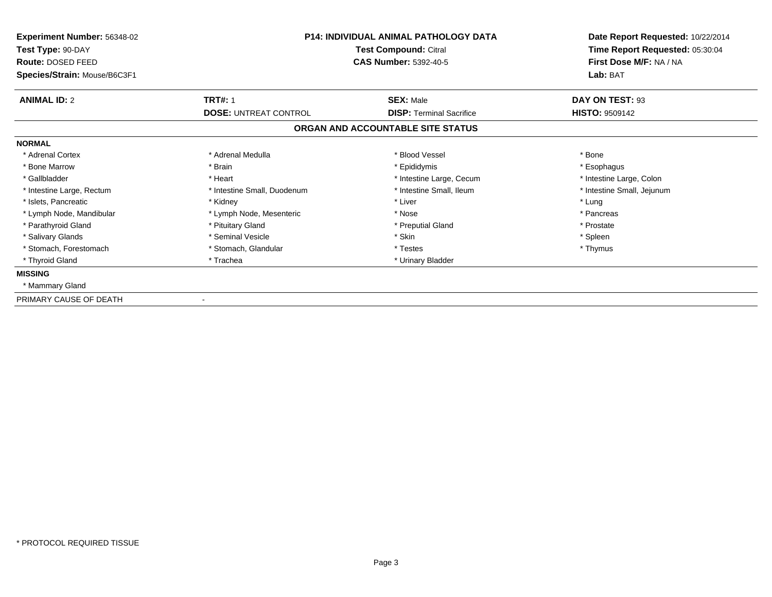| Experiment Number: 56348-02  | <b>P14: INDIVIDUAL ANIMAL PATHOLOGY DATA</b><br>Test Compound: Citral |                                   | Date Report Requested: 10/22/2014 |
|------------------------------|-----------------------------------------------------------------------|-----------------------------------|-----------------------------------|
| Test Type: 90-DAY            |                                                                       |                                   | Time Report Requested: 05:30:04   |
| Route: DOSED FEED            |                                                                       | <b>CAS Number: 5392-40-5</b>      | First Dose M/F: NA / NA           |
| Species/Strain: Mouse/B6C3F1 |                                                                       |                                   | Lab: BAT                          |
| <b>ANIMAL ID: 2</b>          | <b>TRT#: 1</b>                                                        | <b>SEX: Male</b>                  | DAY ON TEST: 93                   |
|                              | <b>DOSE: UNTREAT CONTROL</b>                                          | <b>DISP: Terminal Sacrifice</b>   | <b>HISTO: 9509142</b>             |
|                              |                                                                       | ORGAN AND ACCOUNTABLE SITE STATUS |                                   |
| <b>NORMAL</b>                |                                                                       |                                   |                                   |
| * Adrenal Cortex             | * Adrenal Medulla                                                     | * Blood Vessel                    | * Bone                            |
| * Bone Marrow                | * Brain                                                               | * Epididymis                      | * Esophagus                       |
| * Gallbladder                | * Heart                                                               | * Intestine Large, Cecum          | * Intestine Large, Colon          |
| * Intestine Large, Rectum    | * Intestine Small, Duodenum                                           | * Intestine Small, Ileum          | * Intestine Small, Jejunum        |
| * Islets, Pancreatic         | * Kidney                                                              | * Liver                           | * Lung                            |
| * Lymph Node, Mandibular     | * Lymph Node, Mesenteric                                              | * Nose                            | * Pancreas                        |
| * Parathyroid Gland          | * Pituitary Gland                                                     | * Preputial Gland                 | * Prostate                        |
| * Salivary Glands            | * Seminal Vesicle                                                     | * Skin                            | * Spleen                          |
| * Stomach, Forestomach       | * Stomach, Glandular                                                  | * Testes                          | * Thymus                          |
| * Thyroid Gland              | * Trachea                                                             | * Urinary Bladder                 |                                   |
| <b>MISSING</b>               |                                                                       |                                   |                                   |
| * Mammary Gland              |                                                                       |                                   |                                   |
| PRIMARY CAUSE OF DEATH       |                                                                       |                                   |                                   |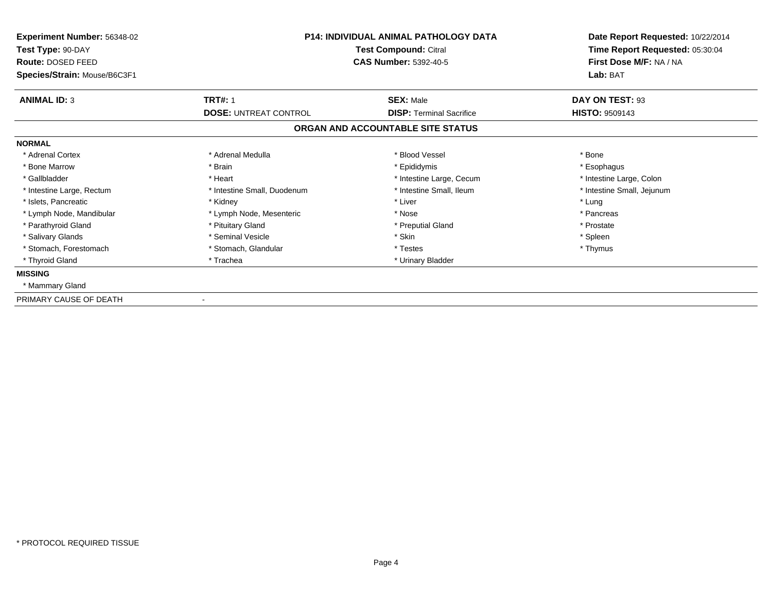| Experiment Number: 56348-02            | <b>P14: INDIVIDUAL ANIMAL PATHOLOGY DATA</b><br>Test Compound: Citral<br><b>CAS Number: 5392-40-5</b> |                                   | Date Report Requested: 10/22/2014                          |
|----------------------------------------|-------------------------------------------------------------------------------------------------------|-----------------------------------|------------------------------------------------------------|
| Test Type: 90-DAY<br>Route: DOSED FEED |                                                                                                       |                                   | Time Report Requested: 05:30:04<br>First Dose M/F: NA / NA |
| Species/Strain: Mouse/B6C3F1           |                                                                                                       |                                   | Lab: BAT                                                   |
| <b>ANIMAL ID: 3</b>                    | <b>TRT#: 1</b>                                                                                        | <b>SEX: Male</b>                  | DAY ON TEST: 93                                            |
|                                        | <b>DOSE: UNTREAT CONTROL</b>                                                                          | <b>DISP: Terminal Sacrifice</b>   | <b>HISTO: 9509143</b>                                      |
|                                        |                                                                                                       | ORGAN AND ACCOUNTABLE SITE STATUS |                                                            |
| <b>NORMAL</b>                          |                                                                                                       |                                   |                                                            |
| * Adrenal Cortex                       | * Adrenal Medulla                                                                                     | * Blood Vessel                    | * Bone                                                     |
| * Bone Marrow                          | * Brain                                                                                               | * Epididymis                      | * Esophagus                                                |
| * Gallbladder                          | * Heart                                                                                               | * Intestine Large, Cecum          | * Intestine Large, Colon                                   |
| * Intestine Large, Rectum              | * Intestine Small, Duodenum                                                                           | * Intestine Small, Ileum          | * Intestine Small, Jejunum                                 |
| * Islets, Pancreatic                   | * Kidney                                                                                              | * Liver                           | * Lung                                                     |
| * Lymph Node, Mandibular               | * Lymph Node, Mesenteric                                                                              | * Nose                            | * Pancreas                                                 |
| * Parathyroid Gland                    | * Pituitary Gland                                                                                     | * Preputial Gland                 | * Prostate                                                 |
| * Salivary Glands                      | * Seminal Vesicle                                                                                     | * Skin                            | * Spleen                                                   |
| * Stomach, Forestomach                 | * Stomach, Glandular                                                                                  | * Testes                          | * Thymus                                                   |
| * Thyroid Gland                        | * Trachea                                                                                             | * Urinary Bladder                 |                                                            |
| <b>MISSING</b>                         |                                                                                                       |                                   |                                                            |
| * Mammary Gland                        |                                                                                                       |                                   |                                                            |
| PRIMARY CAUSE OF DEATH                 |                                                                                                       |                                   |                                                            |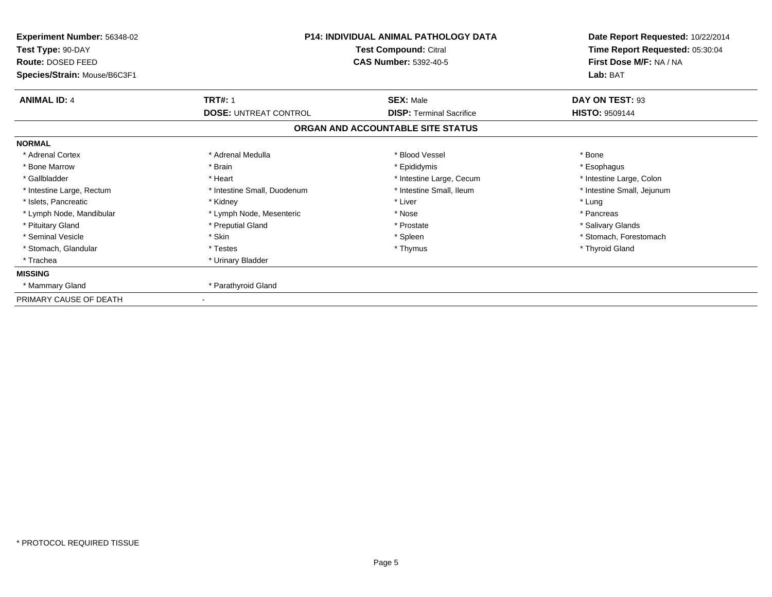| Experiment Number: 56348-02<br>Test Type: 90-DAY<br>Route: DOSED FEED<br>Species/Strain: Mouse/B6C3F1 | <b>P14: INDIVIDUAL ANIMAL PATHOLOGY DATA</b><br>Test Compound: Citral<br><b>CAS Number: 5392-40-5</b> |                                   | Date Report Requested: 10/22/2014<br>Time Report Requested: 05:30:04<br>First Dose M/F: NA / NA<br>Lab: BAT |
|-------------------------------------------------------------------------------------------------------|-------------------------------------------------------------------------------------------------------|-----------------------------------|-------------------------------------------------------------------------------------------------------------|
| <b>ANIMAL ID: 4</b>                                                                                   | <b>TRT#: 1</b>                                                                                        | <b>SEX: Male</b>                  | DAY ON TEST: 93                                                                                             |
|                                                                                                       | <b>DOSE: UNTREAT CONTROL</b>                                                                          | <b>DISP: Terminal Sacrifice</b>   | <b>HISTO: 9509144</b>                                                                                       |
|                                                                                                       |                                                                                                       | ORGAN AND ACCOUNTABLE SITE STATUS |                                                                                                             |
| <b>NORMAL</b>                                                                                         |                                                                                                       |                                   |                                                                                                             |
| * Adrenal Cortex                                                                                      | * Adrenal Medulla                                                                                     | * Blood Vessel                    | * Bone                                                                                                      |
| * Bone Marrow                                                                                         | * Brain                                                                                               | * Epididymis                      | * Esophagus                                                                                                 |
| * Gallbladder                                                                                         | * Heart                                                                                               | * Intestine Large, Cecum          | * Intestine Large, Colon                                                                                    |
| * Intestine Large, Rectum                                                                             | * Intestine Small, Duodenum                                                                           | * Intestine Small, Ileum          | * Intestine Small, Jejunum                                                                                  |
| * Islets, Pancreatic                                                                                  | * Kidney                                                                                              | * Liver                           | * Lung                                                                                                      |
| * Lymph Node, Mandibular                                                                              | * Lymph Node, Mesenteric                                                                              | * Nose                            | * Pancreas                                                                                                  |
| * Pituitary Gland                                                                                     | * Preputial Gland                                                                                     | * Prostate                        | * Salivary Glands                                                                                           |
| * Seminal Vesicle                                                                                     | * Skin                                                                                                | * Spleen                          | * Stomach, Forestomach                                                                                      |
| * Stomach, Glandular                                                                                  | * Testes                                                                                              | * Thymus                          | * Thyroid Gland                                                                                             |
| * Trachea                                                                                             | * Urinary Bladder                                                                                     |                                   |                                                                                                             |
| <b>MISSING</b>                                                                                        |                                                                                                       |                                   |                                                                                                             |
| * Mammary Gland                                                                                       | * Parathyroid Gland                                                                                   |                                   |                                                                                                             |
| PRIMARY CAUSE OF DEATH                                                                                |                                                                                                       |                                   |                                                                                                             |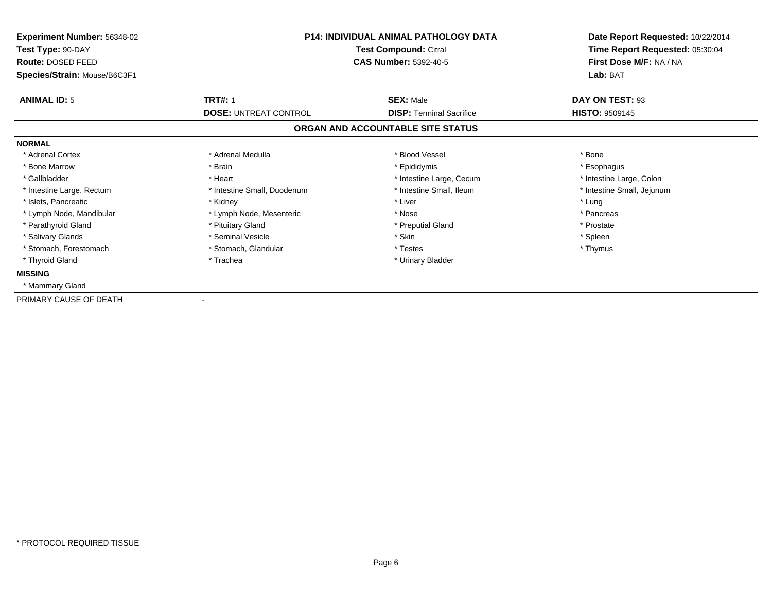| Experiment Number: 56348-02  | <b>P14: INDIVIDUAL ANIMAL PATHOLOGY DATA</b><br>Test Compound: Citral |                                   | Date Report Requested: 10/22/2014 |
|------------------------------|-----------------------------------------------------------------------|-----------------------------------|-----------------------------------|
| Test Type: 90-DAY            |                                                                       |                                   | Time Report Requested: 05:30:04   |
| Route: DOSED FEED            |                                                                       | <b>CAS Number: 5392-40-5</b>      | First Dose M/F: NA / NA           |
| Species/Strain: Mouse/B6C3F1 |                                                                       |                                   | Lab: BAT                          |
| <b>ANIMAL ID: 5</b>          | <b>TRT#: 1</b>                                                        | <b>SEX: Male</b>                  | DAY ON TEST: 93                   |
|                              | <b>DOSE: UNTREAT CONTROL</b>                                          | <b>DISP: Terminal Sacrifice</b>   | <b>HISTO: 9509145</b>             |
|                              |                                                                       | ORGAN AND ACCOUNTABLE SITE STATUS |                                   |
| <b>NORMAL</b>                |                                                                       |                                   |                                   |
| * Adrenal Cortex             | * Adrenal Medulla                                                     | * Blood Vessel                    | * Bone                            |
| * Bone Marrow                | * Brain                                                               | * Epididymis                      | * Esophagus                       |
| * Gallbladder                | * Heart                                                               | * Intestine Large, Cecum          | * Intestine Large, Colon          |
| * Intestine Large, Rectum    | * Intestine Small, Duodenum                                           | * Intestine Small, Ileum          | * Intestine Small, Jejunum        |
| * Islets, Pancreatic         | * Kidney                                                              | * Liver                           | * Lung                            |
| * Lymph Node, Mandibular     | * Lymph Node, Mesenteric                                              | * Nose                            | * Pancreas                        |
| * Parathyroid Gland          | * Pituitary Gland                                                     | * Preputial Gland                 | * Prostate                        |
| * Salivary Glands            | * Seminal Vesicle                                                     | * Skin                            | * Spleen                          |
| * Stomach, Forestomach       | * Stomach, Glandular                                                  | * Testes                          | * Thymus                          |
| * Thyroid Gland              | * Trachea                                                             | * Urinary Bladder                 |                                   |
| <b>MISSING</b>               |                                                                       |                                   |                                   |
| * Mammary Gland              |                                                                       |                                   |                                   |
| PRIMARY CAUSE OF DEATH       |                                                                       |                                   |                                   |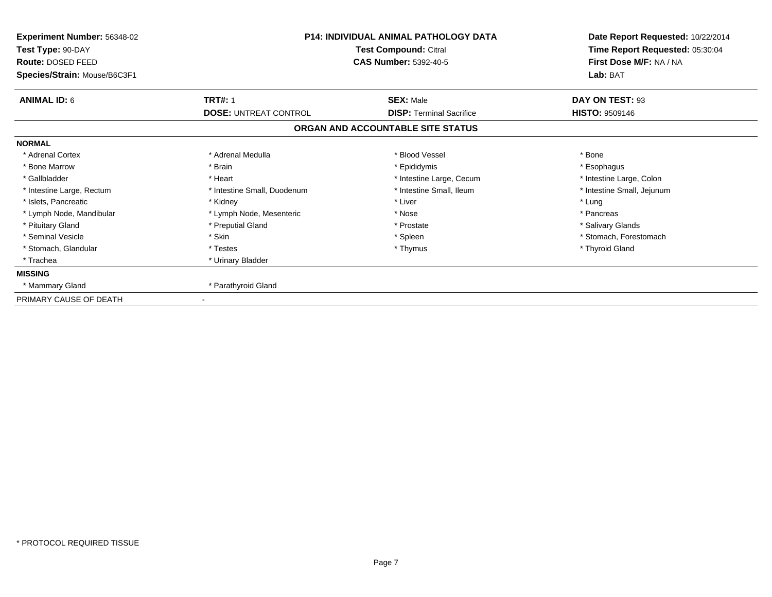| Experiment Number: 56348-02<br>Test Type: 90-DAY<br>Route: DOSED FEED | <b>P14: INDIVIDUAL ANIMAL PATHOLOGY DATA</b><br>Test Compound: Citral<br><b>CAS Number: 5392-40-5</b> |                                   | Date Report Requested: 10/22/2014<br>Time Report Requested: 05:30:04<br>First Dose M/F: NA / NA |  |
|-----------------------------------------------------------------------|-------------------------------------------------------------------------------------------------------|-----------------------------------|-------------------------------------------------------------------------------------------------|--|
| Species/Strain: Mouse/B6C3F1                                          |                                                                                                       |                                   | Lab: BAT                                                                                        |  |
| <b>ANIMAL ID: 6</b>                                                   | <b>TRT#: 1</b>                                                                                        | <b>SEX: Male</b>                  | DAY ON TEST: 93                                                                                 |  |
|                                                                       | <b>DOSE: UNTREAT CONTROL</b>                                                                          | <b>DISP: Terminal Sacrifice</b>   | <b>HISTO: 9509146</b>                                                                           |  |
|                                                                       |                                                                                                       | ORGAN AND ACCOUNTABLE SITE STATUS |                                                                                                 |  |
| <b>NORMAL</b>                                                         |                                                                                                       |                                   |                                                                                                 |  |
| * Adrenal Cortex                                                      | * Adrenal Medulla                                                                                     | * Blood Vessel                    | * Bone                                                                                          |  |
| * Bone Marrow                                                         | * Brain                                                                                               | * Epididymis                      | * Esophagus                                                                                     |  |
| * Gallbladder                                                         | * Heart                                                                                               | * Intestine Large, Cecum          | * Intestine Large, Colon                                                                        |  |
| * Intestine Large, Rectum                                             | * Intestine Small, Duodenum                                                                           | * Intestine Small, Ileum          | * Intestine Small, Jejunum                                                                      |  |
| * Islets, Pancreatic                                                  | * Kidney                                                                                              | * Liver                           | * Lung                                                                                          |  |
| * Lymph Node, Mandibular                                              | * Lymph Node, Mesenteric                                                                              | * Nose                            | * Pancreas                                                                                      |  |
| * Pituitary Gland                                                     | * Preputial Gland                                                                                     | * Prostate                        | * Salivary Glands                                                                               |  |
| * Seminal Vesicle                                                     | * Skin                                                                                                | * Spleen                          | * Stomach, Forestomach                                                                          |  |
| * Stomach, Glandular                                                  | * Testes                                                                                              | * Thymus                          | * Thyroid Gland                                                                                 |  |
| * Trachea                                                             | * Urinary Bladder                                                                                     |                                   |                                                                                                 |  |
| <b>MISSING</b>                                                        |                                                                                                       |                                   |                                                                                                 |  |
| * Mammary Gland                                                       | * Parathyroid Gland                                                                                   |                                   |                                                                                                 |  |
| PRIMARY CAUSE OF DEATH                                                |                                                                                                       |                                   |                                                                                                 |  |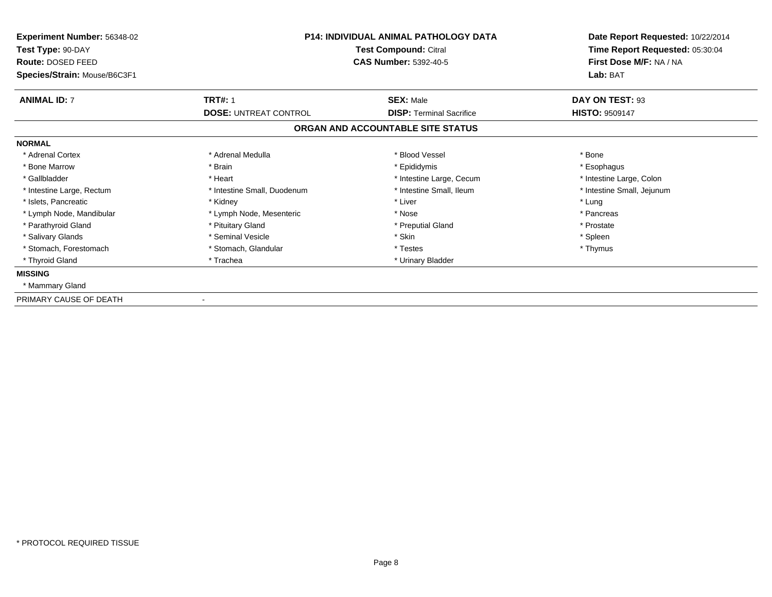| Experiment Number: 56348-02<br>Test Type: 90-DAY  | <b>P14: INDIVIDUAL ANIMAL PATHOLOGY DATA</b><br>Test Compound: Citral<br><b>CAS Number: 5392-40-5</b> |                                   | Date Report Requested: 10/22/2014<br>Time Report Requested: 05:30:04 |
|---------------------------------------------------|-------------------------------------------------------------------------------------------------------|-----------------------------------|----------------------------------------------------------------------|
| Route: DOSED FEED<br>Species/Strain: Mouse/B6C3F1 |                                                                                                       |                                   | First Dose M/F: NA / NA<br>Lab: BAT                                  |
| <b>ANIMAL ID: 7</b>                               | <b>TRT#: 1</b>                                                                                        | <b>SEX: Male</b>                  | DAY ON TEST: 93                                                      |
|                                                   | <b>DOSE: UNTREAT CONTROL</b>                                                                          | <b>DISP: Terminal Sacrifice</b>   | <b>HISTO: 9509147</b>                                                |
|                                                   |                                                                                                       | ORGAN AND ACCOUNTABLE SITE STATUS |                                                                      |
| <b>NORMAL</b>                                     |                                                                                                       |                                   |                                                                      |
| * Adrenal Cortex                                  | * Adrenal Medulla                                                                                     | * Blood Vessel                    | * Bone                                                               |
| * Bone Marrow                                     | * Brain                                                                                               | * Epididymis                      | * Esophagus                                                          |
| * Gallbladder                                     | * Heart                                                                                               | * Intestine Large, Cecum          | * Intestine Large, Colon                                             |
| * Intestine Large, Rectum                         | * Intestine Small, Duodenum                                                                           | * Intestine Small, Ileum          | * Intestine Small, Jejunum                                           |
| * Islets, Pancreatic                              | * Kidney                                                                                              | * Liver                           | * Lung                                                               |
| * Lymph Node, Mandibular                          | * Lymph Node, Mesenteric                                                                              | * Nose                            | * Pancreas                                                           |
| * Parathyroid Gland                               | * Pituitary Gland                                                                                     | * Preputial Gland                 | * Prostate                                                           |
| * Salivary Glands                                 | * Seminal Vesicle                                                                                     | * Skin                            | * Spleen                                                             |
| * Stomach, Forestomach                            | * Stomach, Glandular                                                                                  | * Testes                          | * Thymus                                                             |
| * Thyroid Gland                                   | * Trachea                                                                                             | * Urinary Bladder                 |                                                                      |
| <b>MISSING</b>                                    |                                                                                                       |                                   |                                                                      |
| * Mammary Gland                                   |                                                                                                       |                                   |                                                                      |
| PRIMARY CAUSE OF DEATH                            |                                                                                                       |                                   |                                                                      |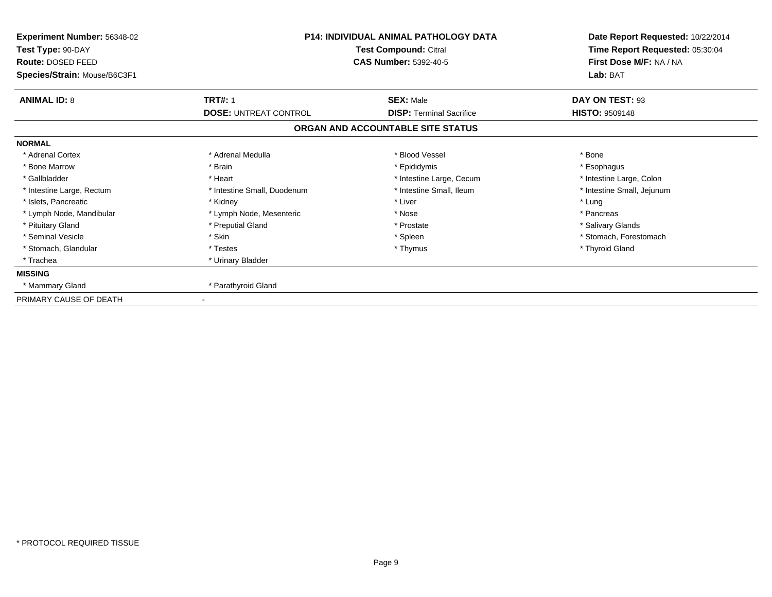| Experiment Number: 56348-02<br>Test Type: 90-DAY<br>Route: DOSED FEED | <b>P14: INDIVIDUAL ANIMAL PATHOLOGY DATA</b><br>Test Compound: Citral<br><b>CAS Number: 5392-40-5</b> |                                   | Date Report Requested: 10/22/2014<br>Time Report Requested: 05:30:04<br>First Dose M/F: NA / NA |  |
|-----------------------------------------------------------------------|-------------------------------------------------------------------------------------------------------|-----------------------------------|-------------------------------------------------------------------------------------------------|--|
| Species/Strain: Mouse/B6C3F1                                          |                                                                                                       |                                   | Lab: BAT                                                                                        |  |
| <b>ANIMAL ID: 8</b>                                                   | <b>TRT#: 1</b>                                                                                        | <b>SEX: Male</b>                  | DAY ON TEST: 93                                                                                 |  |
|                                                                       | <b>DOSE: UNTREAT CONTROL</b>                                                                          | <b>DISP: Terminal Sacrifice</b>   | <b>HISTO: 9509148</b>                                                                           |  |
|                                                                       |                                                                                                       | ORGAN AND ACCOUNTABLE SITE STATUS |                                                                                                 |  |
| <b>NORMAL</b>                                                         |                                                                                                       |                                   |                                                                                                 |  |
| * Adrenal Cortex                                                      | * Adrenal Medulla                                                                                     | * Blood Vessel                    | * Bone                                                                                          |  |
| * Bone Marrow                                                         | * Brain                                                                                               | * Epididymis                      | * Esophagus                                                                                     |  |
| * Gallbladder                                                         | * Heart                                                                                               | * Intestine Large, Cecum          | * Intestine Large, Colon                                                                        |  |
| * Intestine Large, Rectum                                             | * Intestine Small, Duodenum                                                                           | * Intestine Small, Ileum          | * Intestine Small, Jejunum                                                                      |  |
| * Islets, Pancreatic                                                  | * Kidney                                                                                              | * Liver                           | * Lung                                                                                          |  |
| * Lymph Node, Mandibular                                              | * Lymph Node, Mesenteric                                                                              | * Nose                            | * Pancreas                                                                                      |  |
| * Pituitary Gland                                                     | * Preputial Gland                                                                                     | * Prostate                        | * Salivary Glands                                                                               |  |
| * Seminal Vesicle                                                     | * Skin                                                                                                | * Spleen                          | * Stomach, Forestomach                                                                          |  |
| * Stomach, Glandular                                                  | * Testes                                                                                              | * Thymus                          | * Thyroid Gland                                                                                 |  |
| * Trachea                                                             | * Urinary Bladder                                                                                     |                                   |                                                                                                 |  |
| <b>MISSING</b>                                                        |                                                                                                       |                                   |                                                                                                 |  |
| * Mammary Gland                                                       | * Parathyroid Gland                                                                                   |                                   |                                                                                                 |  |
| PRIMARY CAUSE OF DEATH                                                |                                                                                                       |                                   |                                                                                                 |  |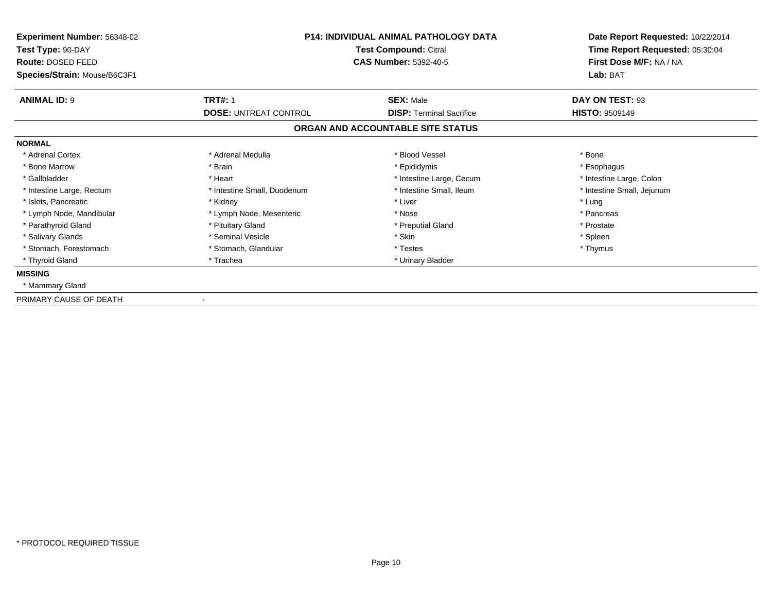| Experiment Number: 56348-02  | <b>P14: INDIVIDUAL ANIMAL PATHOLOGY DATA</b><br>Test Compound: Citral |                                   | Date Report Requested: 10/22/2014 |
|------------------------------|-----------------------------------------------------------------------|-----------------------------------|-----------------------------------|
| Test Type: 90-DAY            |                                                                       |                                   | Time Report Requested: 05:30:04   |
| Route: DOSED FEED            |                                                                       | <b>CAS Number: 5392-40-5</b>      | First Dose M/F: NA / NA           |
| Species/Strain: Mouse/B6C3F1 |                                                                       |                                   | Lab: BAT                          |
| <b>ANIMAL ID: 9</b>          | <b>TRT#: 1</b>                                                        | <b>SEX: Male</b>                  | DAY ON TEST: 93                   |
|                              | <b>DOSE: UNTREAT CONTROL</b>                                          | <b>DISP: Terminal Sacrifice</b>   | <b>HISTO: 9509149</b>             |
|                              |                                                                       | ORGAN AND ACCOUNTABLE SITE STATUS |                                   |
| <b>NORMAL</b>                |                                                                       |                                   |                                   |
| * Adrenal Cortex             | * Adrenal Medulla                                                     | * Blood Vessel                    | * Bone                            |
| * Bone Marrow                | * Brain                                                               | * Epididymis                      | * Esophagus                       |
| * Gallbladder                | * Heart                                                               | * Intestine Large, Cecum          | * Intestine Large, Colon          |
| * Intestine Large, Rectum    | * Intestine Small, Duodenum                                           | * Intestine Small, Ileum          | * Intestine Small, Jejunum        |
| * Islets, Pancreatic         | * Kidney                                                              | * Liver                           | * Lung                            |
| * Lymph Node, Mandibular     | * Lymph Node, Mesenteric                                              | * Nose                            | * Pancreas                        |
| * Parathyroid Gland          | * Pituitary Gland                                                     | * Preputial Gland                 | * Prostate                        |
| * Salivary Glands            | * Seminal Vesicle                                                     | * Skin                            | * Spleen                          |
| * Stomach, Forestomach       | * Stomach, Glandular                                                  | * Testes                          | * Thymus                          |
| * Thyroid Gland              | * Trachea                                                             | * Urinary Bladder                 |                                   |
| <b>MISSING</b>               |                                                                       |                                   |                                   |
| * Mammary Gland              |                                                                       |                                   |                                   |
| PRIMARY CAUSE OF DEATH       |                                                                       |                                   |                                   |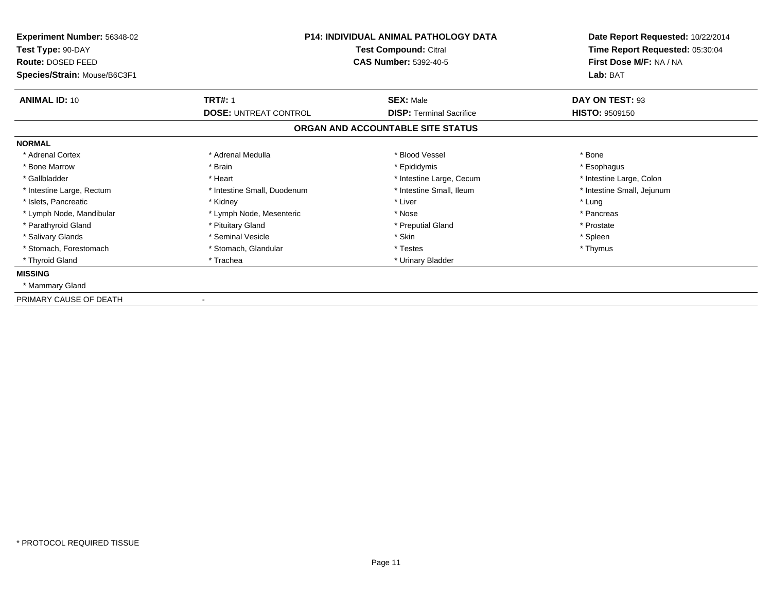| Experiment Number: 56348-02  | <b>P14: INDIVIDUAL ANIMAL PATHOLOGY DATA</b><br>Test Compound: Citral |                                   | Date Report Requested: 10/22/2014 |
|------------------------------|-----------------------------------------------------------------------|-----------------------------------|-----------------------------------|
| Test Type: 90-DAY            |                                                                       |                                   | Time Report Requested: 05:30:04   |
| Route: DOSED FEED            |                                                                       | <b>CAS Number: 5392-40-5</b>      | First Dose M/F: NA / NA           |
| Species/Strain: Mouse/B6C3F1 |                                                                       |                                   | Lab: BAT                          |
| <b>ANIMAL ID: 10</b>         | <b>TRT#: 1</b>                                                        | <b>SEX: Male</b>                  | DAY ON TEST: 93                   |
|                              | <b>DOSE: UNTREAT CONTROL</b>                                          | <b>DISP: Terminal Sacrifice</b>   | <b>HISTO: 9509150</b>             |
|                              |                                                                       | ORGAN AND ACCOUNTABLE SITE STATUS |                                   |
| <b>NORMAL</b>                |                                                                       |                                   |                                   |
| * Adrenal Cortex             | * Adrenal Medulla                                                     | * Blood Vessel                    | * Bone                            |
| * Bone Marrow                | * Brain                                                               | * Epididymis                      | * Esophagus                       |
| * Gallbladder                | * Heart                                                               | * Intestine Large, Cecum          | * Intestine Large, Colon          |
| * Intestine Large, Rectum    | * Intestine Small, Duodenum                                           | * Intestine Small, Ileum          | * Intestine Small, Jejunum        |
| * Islets, Pancreatic         | * Kidney                                                              | * Liver                           | * Lung                            |
| * Lymph Node, Mandibular     | * Lymph Node, Mesenteric                                              | * Nose                            | * Pancreas                        |
| * Parathyroid Gland          | * Pituitary Gland                                                     | * Preputial Gland                 | * Prostate                        |
| * Salivary Glands            | * Seminal Vesicle                                                     | * Skin                            | * Spleen                          |
| * Stomach, Forestomach       | * Stomach, Glandular                                                  | * Testes                          | * Thymus                          |
| * Thyroid Gland              | * Trachea                                                             | * Urinary Bladder                 |                                   |
| <b>MISSING</b>               |                                                                       |                                   |                                   |
| * Mammary Gland              |                                                                       |                                   |                                   |
| PRIMARY CAUSE OF DEATH       |                                                                       |                                   |                                   |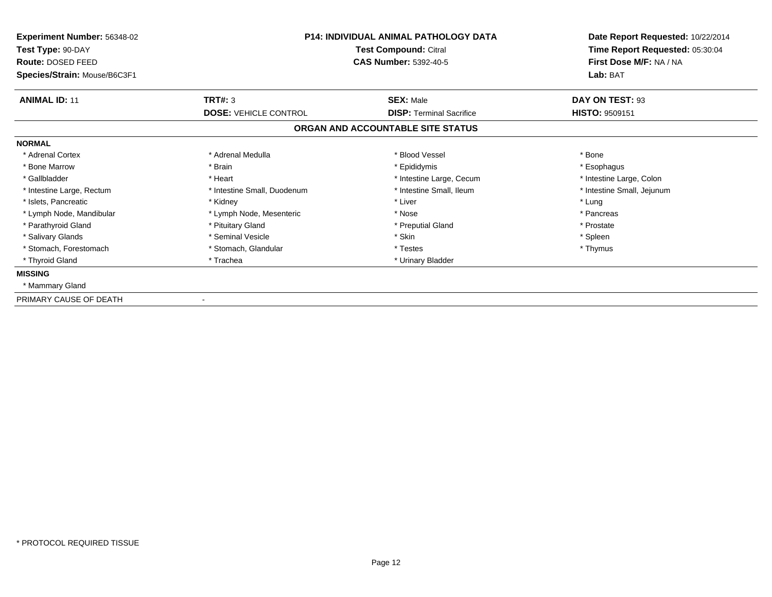| Experiment Number: 56348-02            | <b>P14: INDIVIDUAL ANIMAL PATHOLOGY DATA</b><br>Test Compound: Citral<br><b>CAS Number: 5392-40-5</b> |                                   | Date Report Requested: 10/22/2014<br>Time Report Requested: 05:30:04 |
|----------------------------------------|-------------------------------------------------------------------------------------------------------|-----------------------------------|----------------------------------------------------------------------|
| Test Type: 90-DAY<br>Route: DOSED FEED |                                                                                                       |                                   | First Dose M/F: NA / NA                                              |
| Species/Strain: Mouse/B6C3F1           |                                                                                                       |                                   | Lab: BAT                                                             |
| <b>ANIMAL ID: 11</b>                   | TRT#: 3                                                                                               | <b>SEX: Male</b>                  | DAY ON TEST: 93                                                      |
|                                        | <b>DOSE: VEHICLE CONTROL</b>                                                                          | <b>DISP: Terminal Sacrifice</b>   | <b>HISTO: 9509151</b>                                                |
|                                        |                                                                                                       | ORGAN AND ACCOUNTABLE SITE STATUS |                                                                      |
| <b>NORMAL</b>                          |                                                                                                       |                                   |                                                                      |
| * Adrenal Cortex                       | * Adrenal Medulla                                                                                     | * Blood Vessel                    | * Bone                                                               |
| * Bone Marrow                          | * Brain                                                                                               | * Epididymis                      | * Esophagus                                                          |
| * Gallbladder                          | * Heart                                                                                               | * Intestine Large, Cecum          | * Intestine Large, Colon                                             |
| * Intestine Large, Rectum              | * Intestine Small, Duodenum                                                                           | * Intestine Small, Ileum          | * Intestine Small, Jejunum                                           |
| * Islets, Pancreatic                   | * Kidney                                                                                              | * Liver                           | * Lung                                                               |
| * Lymph Node, Mandibular               | * Lymph Node, Mesenteric                                                                              | * Nose                            | * Pancreas                                                           |
| * Parathyroid Gland                    | * Pituitary Gland                                                                                     | * Preputial Gland                 | * Prostate                                                           |
| * Salivary Glands                      | * Seminal Vesicle                                                                                     | * Skin                            | * Spleen                                                             |
| * Stomach, Forestomach                 | * Stomach, Glandular                                                                                  | * Testes                          | * Thymus                                                             |
| * Thyroid Gland                        | * Trachea                                                                                             | * Urinary Bladder                 |                                                                      |
| <b>MISSING</b>                         |                                                                                                       |                                   |                                                                      |
| * Mammary Gland                        |                                                                                                       |                                   |                                                                      |
| PRIMARY CAUSE OF DEATH                 |                                                                                                       |                                   |                                                                      |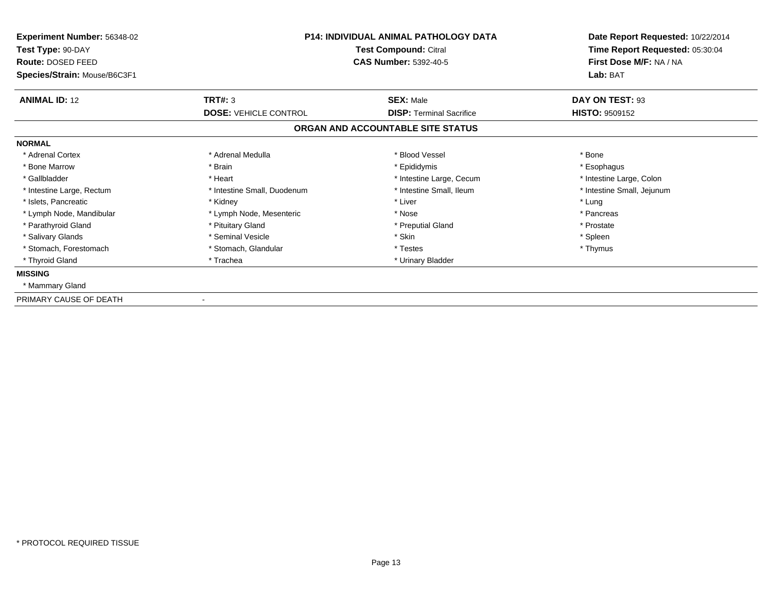| Experiment Number: 56348-02  | <b>P14: INDIVIDUAL ANIMAL PATHOLOGY DATA</b><br>Test Compound: Citral |                                   | Date Report Requested: 10/22/2014<br>Time Report Requested: 05:30:04 |  |
|------------------------------|-----------------------------------------------------------------------|-----------------------------------|----------------------------------------------------------------------|--|
| Test Type: 90-DAY            |                                                                       |                                   |                                                                      |  |
| Route: DOSED FEED            |                                                                       | <b>CAS Number: 5392-40-5</b>      | First Dose M/F: NA / NA                                              |  |
| Species/Strain: Mouse/B6C3F1 |                                                                       |                                   | Lab: BAT                                                             |  |
| <b>ANIMAL ID: 12</b>         | <b>TRT#: 3</b>                                                        | <b>SEX: Male</b>                  | DAY ON TEST: 93                                                      |  |
|                              | <b>DOSE: VEHICLE CONTROL</b>                                          | <b>DISP: Terminal Sacrifice</b>   | <b>HISTO: 9509152</b>                                                |  |
|                              |                                                                       | ORGAN AND ACCOUNTABLE SITE STATUS |                                                                      |  |
| <b>NORMAL</b>                |                                                                       |                                   |                                                                      |  |
| * Adrenal Cortex             | * Adrenal Medulla                                                     | * Blood Vessel                    | * Bone                                                               |  |
| * Bone Marrow                | * Brain                                                               | * Epididymis                      | * Esophagus                                                          |  |
| * Gallbladder                | * Heart                                                               | * Intestine Large, Cecum          | * Intestine Large, Colon                                             |  |
| * Intestine Large, Rectum    | * Intestine Small, Duodenum                                           | * Intestine Small, Ileum          | * Intestine Small, Jejunum                                           |  |
| * Islets. Pancreatic         | * Kidney                                                              | * Liver                           | * Lung                                                               |  |
| * Lymph Node, Mandibular     | * Lymph Node, Mesenteric                                              | * Nose                            | * Pancreas                                                           |  |
| * Parathyroid Gland          | * Pituitary Gland                                                     | * Preputial Gland                 | * Prostate                                                           |  |
| * Salivary Glands            | * Seminal Vesicle                                                     | * Skin                            | * Spleen                                                             |  |
| * Stomach, Forestomach       | * Stomach, Glandular                                                  | * Testes                          | * Thymus                                                             |  |
| * Thyroid Gland              | * Trachea                                                             | * Urinary Bladder                 |                                                                      |  |
| <b>MISSING</b>               |                                                                       |                                   |                                                                      |  |
| * Mammary Gland              |                                                                       |                                   |                                                                      |  |
| PRIMARY CAUSE OF DEATH       |                                                                       |                                   |                                                                      |  |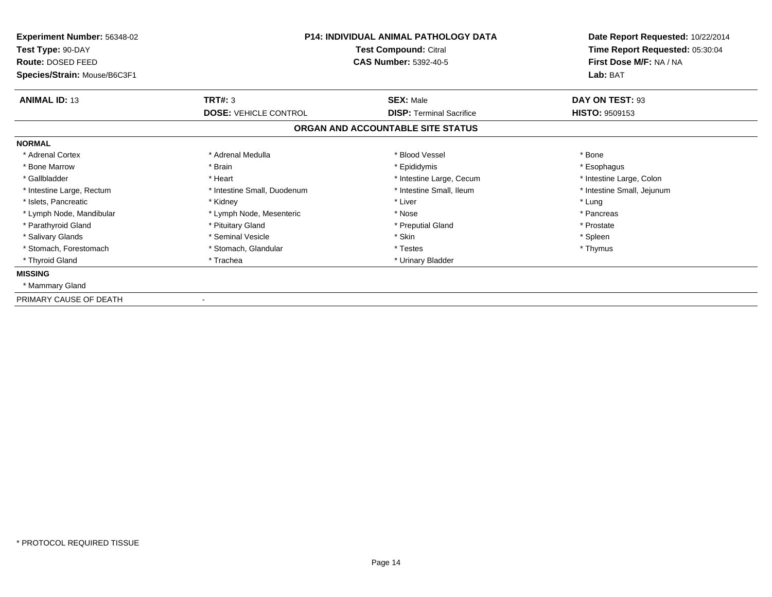| Experiment Number: 56348-02            | <b>P14: INDIVIDUAL ANIMAL PATHOLOGY DATA</b><br>Test Compound: Citral<br><b>CAS Number: 5392-40-5</b> |                                   | Date Report Requested: 10/22/2014                          |
|----------------------------------------|-------------------------------------------------------------------------------------------------------|-----------------------------------|------------------------------------------------------------|
| Test Type: 90-DAY<br>Route: DOSED FEED |                                                                                                       |                                   | Time Report Requested: 05:30:04<br>First Dose M/F: NA / NA |
| Species/Strain: Mouse/B6C3F1           |                                                                                                       |                                   | Lab: BAT                                                   |
|                                        |                                                                                                       |                                   |                                                            |
| <b>ANIMAL ID: 13</b>                   | TRT#: 3                                                                                               | <b>SEX: Male</b>                  | DAY ON TEST: 93                                            |
|                                        | <b>DOSE: VEHICLE CONTROL</b>                                                                          | <b>DISP: Terminal Sacrifice</b>   | <b>HISTO: 9509153</b>                                      |
|                                        |                                                                                                       | ORGAN AND ACCOUNTABLE SITE STATUS |                                                            |
| <b>NORMAL</b>                          |                                                                                                       |                                   |                                                            |
| * Adrenal Cortex                       | * Adrenal Medulla                                                                                     | * Blood Vessel                    | * Bone                                                     |
| * Bone Marrow                          | * Brain                                                                                               | * Epididymis                      | * Esophagus                                                |
| * Gallbladder                          | * Heart                                                                                               | * Intestine Large, Cecum          | * Intestine Large, Colon                                   |
| * Intestine Large, Rectum              | * Intestine Small, Duodenum                                                                           | * Intestine Small, Ileum          | * Intestine Small, Jejunum                                 |
| * Islets, Pancreatic                   | * Kidney                                                                                              | * Liver                           | * Lung                                                     |
| * Lymph Node, Mandibular               | * Lymph Node, Mesenteric                                                                              | * Nose                            | * Pancreas                                                 |
| * Parathyroid Gland                    | * Pituitary Gland                                                                                     | * Preputial Gland                 | * Prostate                                                 |
| * Salivary Glands                      | * Seminal Vesicle                                                                                     | * Skin                            | * Spleen                                                   |
| * Stomach, Forestomach                 | * Stomach, Glandular                                                                                  | * Testes                          | * Thymus                                                   |
| * Thyroid Gland                        | * Trachea                                                                                             | * Urinary Bladder                 |                                                            |
| <b>MISSING</b>                         |                                                                                                       |                                   |                                                            |
| * Mammary Gland                        |                                                                                                       |                                   |                                                            |
| PRIMARY CAUSE OF DEATH                 |                                                                                                       |                                   |                                                            |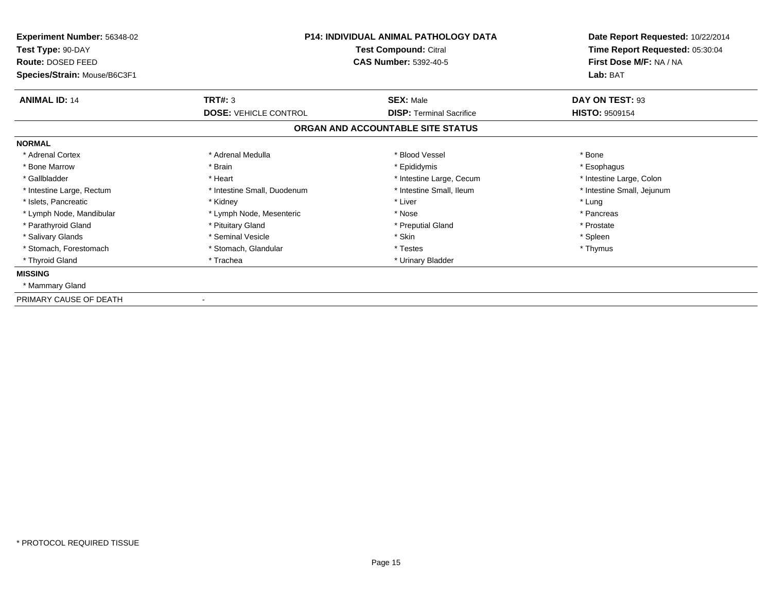| Experiment Number: 56348-02  | <b>P14: INDIVIDUAL ANIMAL PATHOLOGY DATA</b><br>Test Compound: Citral |                                   | Date Report Requested: 10/22/2014 |
|------------------------------|-----------------------------------------------------------------------|-----------------------------------|-----------------------------------|
| Test Type: 90-DAY            |                                                                       |                                   | Time Report Requested: 05:30:04   |
| Route: DOSED FEED            |                                                                       | <b>CAS Number: 5392-40-5</b>      | First Dose M/F: NA / NA           |
| Species/Strain: Mouse/B6C3F1 |                                                                       |                                   | Lab: BAT                          |
| <b>ANIMAL ID: 14</b>         | TRT#: 3                                                               | <b>SEX: Male</b>                  | DAY ON TEST: 93                   |
|                              | <b>DOSE: VEHICLE CONTROL</b>                                          | <b>DISP: Terminal Sacrifice</b>   | <b>HISTO: 9509154</b>             |
|                              |                                                                       | ORGAN AND ACCOUNTABLE SITE STATUS |                                   |
| <b>NORMAL</b>                |                                                                       |                                   |                                   |
| * Adrenal Cortex             | * Adrenal Medulla                                                     | * Blood Vessel                    | * Bone                            |
| * Bone Marrow                | * Brain                                                               | * Epididymis                      | * Esophagus                       |
| * Gallbladder                | * Heart                                                               | * Intestine Large, Cecum          | * Intestine Large, Colon          |
| * Intestine Large, Rectum    | * Intestine Small, Duodenum                                           | * Intestine Small, Ileum          | * Intestine Small, Jejunum        |
| * Islets, Pancreatic         | * Kidney                                                              | * Liver                           | * Lung                            |
| * Lymph Node, Mandibular     | * Lymph Node, Mesenteric                                              | * Nose                            | * Pancreas                        |
| * Parathyroid Gland          | * Pituitary Gland                                                     | * Preputial Gland                 | * Prostate                        |
| * Salivary Glands            | * Seminal Vesicle                                                     | * Skin                            | * Spleen                          |
| * Stomach, Forestomach       | * Stomach, Glandular                                                  | * Testes                          | * Thymus                          |
| * Thyroid Gland              | * Trachea                                                             | * Urinary Bladder                 |                                   |
| <b>MISSING</b>               |                                                                       |                                   |                                   |
| * Mammary Gland              |                                                                       |                                   |                                   |
| PRIMARY CAUSE OF DEATH       |                                                                       |                                   |                                   |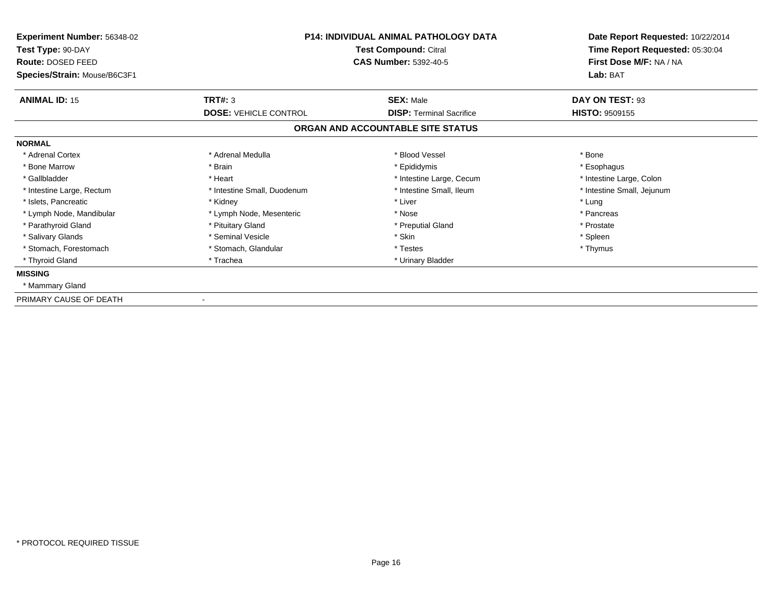| Experiment Number: 56348-02<br>Test Type: 90-DAY  | <b>P14: INDIVIDUAL ANIMAL PATHOLOGY DATA</b><br>Test Compound: Citral |                                                     | Date Report Requested: 10/22/2014<br>Time Report Requested: 05:30:04 |
|---------------------------------------------------|-----------------------------------------------------------------------|-----------------------------------------------------|----------------------------------------------------------------------|
| Route: DOSED FEED<br>Species/Strain: Mouse/B6C3F1 |                                                                       | <b>CAS Number: 5392-40-5</b>                        |                                                                      |
| <b>ANIMAL ID: 15</b>                              | TRT#: 3<br><b>DOSE: VEHICLE CONTROL</b>                               | <b>SEX: Male</b><br><b>DISP: Terminal Sacrifice</b> | DAY ON TEST: 93<br><b>HISTO: 9509155</b>                             |
|                                                   |                                                                       | ORGAN AND ACCOUNTABLE SITE STATUS                   |                                                                      |
| <b>NORMAL</b>                                     |                                                                       |                                                     |                                                                      |
| * Adrenal Cortex                                  | * Adrenal Medulla                                                     | * Blood Vessel                                      | * Bone                                                               |
| * Bone Marrow                                     | * Brain                                                               | * Epididymis                                        | * Esophagus                                                          |
| * Gallbladder                                     | * Heart                                                               | * Intestine Large, Cecum                            | * Intestine Large, Colon                                             |
| * Intestine Large, Rectum                         | * Intestine Small, Duodenum                                           | * Intestine Small, Ileum                            | * Intestine Small, Jejunum                                           |
| * Islets, Pancreatic                              | * Kidney                                                              | * Liver                                             | * Lung                                                               |
| * Lymph Node, Mandibular                          | * Lymph Node, Mesenteric                                              | * Nose                                              | * Pancreas                                                           |
| * Parathyroid Gland                               | * Pituitary Gland                                                     | * Preputial Gland                                   | * Prostate                                                           |
| * Salivary Glands                                 | * Seminal Vesicle                                                     | * Skin                                              | * Spleen                                                             |
| * Stomach, Forestomach                            | * Stomach, Glandular                                                  | * Testes                                            | * Thymus                                                             |
| * Thyroid Gland                                   | * Trachea                                                             | * Urinary Bladder                                   |                                                                      |
| <b>MISSING</b>                                    |                                                                       |                                                     |                                                                      |
| * Mammary Gland                                   |                                                                       |                                                     |                                                                      |
| PRIMARY CAUSE OF DEATH                            |                                                                       |                                                     |                                                                      |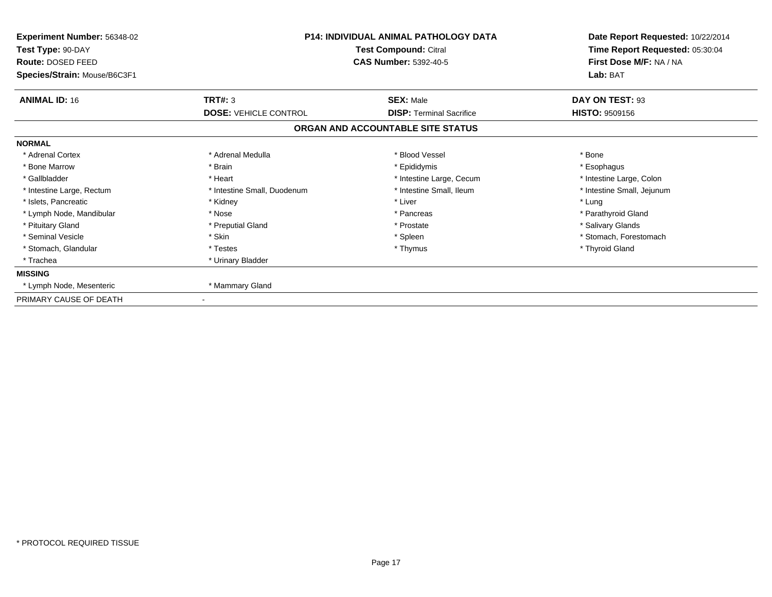| Experiment Number: 56348-02  | <b>P14: INDIVIDUAL ANIMAL PATHOLOGY DATA</b><br>Test Compound: Citral |                                   | Date Report Requested: 10/22/2014 |  |
|------------------------------|-----------------------------------------------------------------------|-----------------------------------|-----------------------------------|--|
| Test Type: 90-DAY            |                                                                       |                                   | Time Report Requested: 05:30:04   |  |
| Route: DOSED FEED            |                                                                       | <b>CAS Number: 5392-40-5</b>      | First Dose M/F: NA / NA           |  |
| Species/Strain: Mouse/B6C3F1 |                                                                       |                                   | Lab: BAT                          |  |
| <b>ANIMAL ID: 16</b>         | TRT#: 3                                                               | <b>SEX: Male</b>                  | DAY ON TEST: 93                   |  |
|                              | <b>DOSE: VEHICLE CONTROL</b>                                          | <b>DISP: Terminal Sacrifice</b>   | <b>HISTO: 9509156</b>             |  |
|                              |                                                                       | ORGAN AND ACCOUNTABLE SITE STATUS |                                   |  |
| <b>NORMAL</b>                |                                                                       |                                   |                                   |  |
| * Adrenal Cortex             | * Adrenal Medulla                                                     | * Blood Vessel                    | * Bone                            |  |
| * Bone Marrow                | * Brain                                                               | * Epididymis                      | * Esophagus                       |  |
| * Gallbladder                | * Heart                                                               | * Intestine Large, Cecum          | * Intestine Large, Colon          |  |
| * Intestine Large, Rectum    | * Intestine Small, Duodenum                                           | * Intestine Small, Ileum          | * Intestine Small, Jejunum        |  |
| * Islets, Pancreatic         | * Kidney                                                              | * Liver                           | * Lung                            |  |
| * Lymph Node, Mandibular     | * Nose                                                                | * Pancreas                        | * Parathyroid Gland               |  |
| * Pituitary Gland            | * Preputial Gland                                                     | * Prostate                        | * Salivary Glands                 |  |
| * Seminal Vesicle            | * Skin                                                                | * Spleen                          | * Stomach, Forestomach            |  |
| * Stomach, Glandular         | * Testes                                                              | * Thymus                          | * Thyroid Gland                   |  |
| * Trachea                    | * Urinary Bladder                                                     |                                   |                                   |  |
| <b>MISSING</b>               |                                                                       |                                   |                                   |  |
| * Lymph Node, Mesenteric     | * Mammary Gland                                                       |                                   |                                   |  |
| PRIMARY CAUSE OF DEATH       |                                                                       |                                   |                                   |  |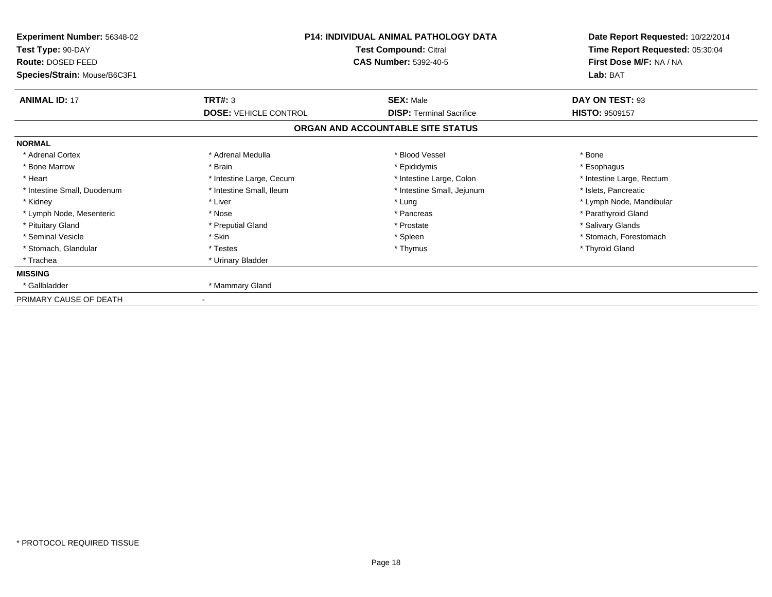| Experiment Number: 56348-02<br>Test Type: 90-DAY<br>Route: DOSED FEED<br>Species/Strain: Mouse/B6C3F1 | <b>P14: INDIVIDUAL ANIMAL PATHOLOGY DATA</b><br>Test Compound: Citral<br><b>CAS Number: 5392-40-5</b> |                                                     | Date Report Requested: 10/22/2014<br>Time Report Requested: 05:30:04<br>First Dose M/F: NA / NA<br>Lab: BAT |
|-------------------------------------------------------------------------------------------------------|-------------------------------------------------------------------------------------------------------|-----------------------------------------------------|-------------------------------------------------------------------------------------------------------------|
| <b>ANIMAL ID: 17</b>                                                                                  | TRT#: 3<br><b>DOSE: VEHICLE CONTROL</b>                                                               | <b>SEX: Male</b><br><b>DISP: Terminal Sacrifice</b> | DAY ON TEST: 93<br><b>HISTO: 9509157</b>                                                                    |
|                                                                                                       |                                                                                                       | ORGAN AND ACCOUNTABLE SITE STATUS                   |                                                                                                             |
| <b>NORMAL</b>                                                                                         |                                                                                                       |                                                     |                                                                                                             |
| * Adrenal Cortex                                                                                      | * Adrenal Medulla                                                                                     | * Blood Vessel                                      | * Bone                                                                                                      |
| * Bone Marrow                                                                                         | * Brain                                                                                               | * Epididymis                                        | * Esophagus                                                                                                 |
| * Heart                                                                                               | * Intestine Large, Cecum                                                                              | * Intestine Large, Colon                            | * Intestine Large, Rectum                                                                                   |
| * Intestine Small, Duodenum                                                                           | * Intestine Small, Ileum                                                                              | * Intestine Small, Jejunum                          | * Islets, Pancreatic                                                                                        |
| * Kidney                                                                                              | * Liver                                                                                               | * Lung                                              | * Lymph Node, Mandibular                                                                                    |
| * Lymph Node, Mesenteric                                                                              | * Nose                                                                                                | * Pancreas                                          | * Parathyroid Gland                                                                                         |
| * Pituitary Gland                                                                                     | * Preputial Gland                                                                                     | * Prostate                                          | * Salivary Glands                                                                                           |
| * Seminal Vesicle                                                                                     | * Skin                                                                                                | * Spleen                                            | * Stomach, Forestomach                                                                                      |
| * Stomach, Glandular                                                                                  | * Testes                                                                                              | * Thymus                                            | * Thyroid Gland                                                                                             |
| * Trachea                                                                                             | * Urinary Bladder                                                                                     |                                                     |                                                                                                             |
| <b>MISSING</b>                                                                                        |                                                                                                       |                                                     |                                                                                                             |
| * Gallbladder                                                                                         | * Mammary Gland                                                                                       |                                                     |                                                                                                             |
| PRIMARY CAUSE OF DEATH                                                                                |                                                                                                       |                                                     |                                                                                                             |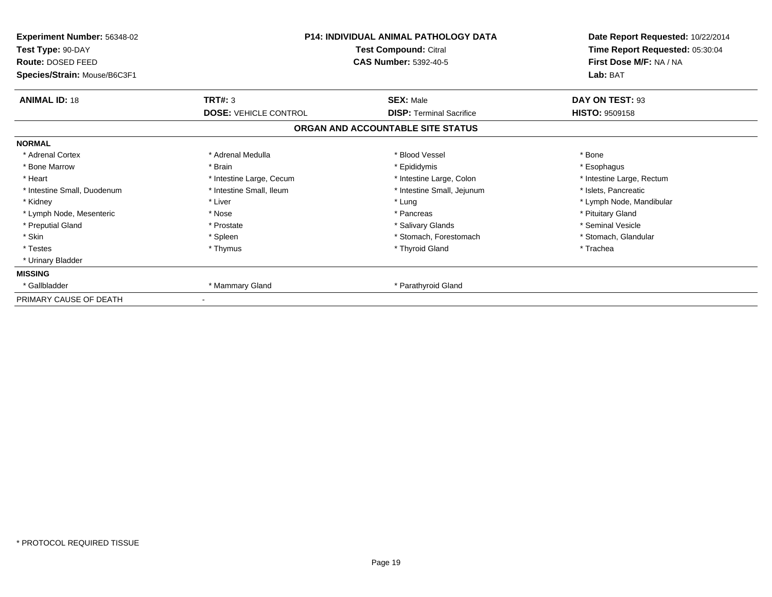| Experiment Number: 56348-02  | <b>P14: INDIVIDUAL ANIMAL PATHOLOGY DATA</b><br>Test Compound: Citral |                                   | Date Report Requested: 10/22/2014 |  |
|------------------------------|-----------------------------------------------------------------------|-----------------------------------|-----------------------------------|--|
| Test Type: 90-DAY            |                                                                       |                                   | Time Report Requested: 05:30:04   |  |
| Route: DOSED FEED            |                                                                       | <b>CAS Number: 5392-40-5</b>      | First Dose M/F: NA / NA           |  |
| Species/Strain: Mouse/B6C3F1 |                                                                       |                                   | Lab: BAT                          |  |
| <b>ANIMAL ID: 18</b>         | TRT#: 3                                                               | <b>SEX: Male</b>                  | DAY ON TEST: 93                   |  |
|                              | <b>DOSE: VEHICLE CONTROL</b>                                          | <b>DISP: Terminal Sacrifice</b>   | <b>HISTO: 9509158</b>             |  |
|                              |                                                                       | ORGAN AND ACCOUNTABLE SITE STATUS |                                   |  |
| <b>NORMAL</b>                |                                                                       |                                   |                                   |  |
| * Adrenal Cortex             | * Adrenal Medulla                                                     | * Blood Vessel                    | * Bone                            |  |
| * Bone Marrow                | * Brain                                                               | * Epididymis                      | * Esophagus                       |  |
| * Heart                      | * Intestine Large, Cecum                                              | * Intestine Large, Colon          | * Intestine Large, Rectum         |  |
| * Intestine Small, Duodenum  | * Intestine Small, Ileum                                              | * Intestine Small, Jejunum        | * Islets, Pancreatic              |  |
| * Kidney                     | * Liver                                                               | * Lung                            | * Lymph Node, Mandibular          |  |
| * Lymph Node, Mesenteric     | * Nose                                                                | * Pancreas                        | * Pituitary Gland                 |  |
| * Preputial Gland            | * Prostate                                                            | * Salivary Glands                 | * Seminal Vesicle                 |  |
| * Skin                       | * Spleen                                                              | * Stomach, Forestomach            | * Stomach, Glandular              |  |
| * Testes                     | * Thymus                                                              | * Thyroid Gland                   | * Trachea                         |  |
| * Urinary Bladder            |                                                                       |                                   |                                   |  |
| <b>MISSING</b>               |                                                                       |                                   |                                   |  |
| * Gallbladder                | * Mammary Gland                                                       | * Parathyroid Gland               |                                   |  |
| PRIMARY CAUSE OF DEATH       |                                                                       |                                   |                                   |  |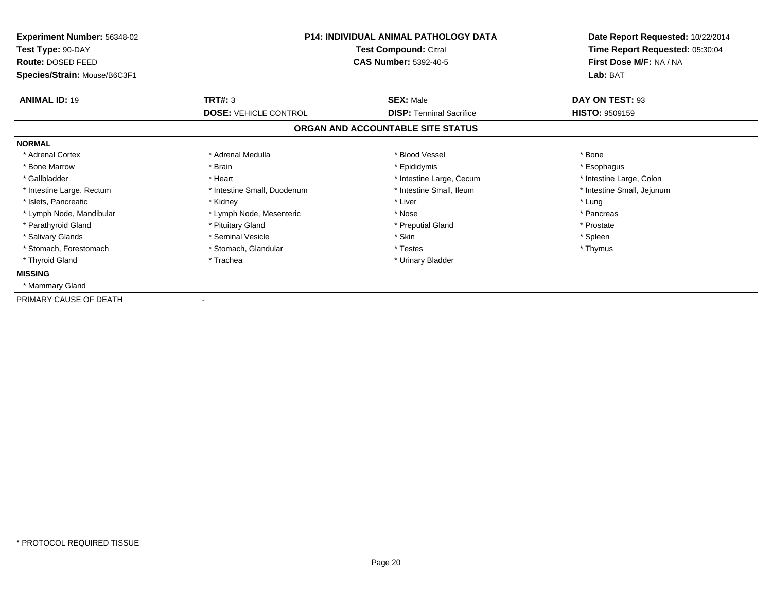| Experiment Number: 56348-02  | <b>P14: INDIVIDUAL ANIMAL PATHOLOGY DATA</b><br>Test Compound: Citral |                                   | Date Report Requested: 10/22/2014 |
|------------------------------|-----------------------------------------------------------------------|-----------------------------------|-----------------------------------|
| Test Type: 90-DAY            |                                                                       |                                   | Time Report Requested: 05:30:04   |
| Route: DOSED FEED            |                                                                       | <b>CAS Number: 5392-40-5</b>      | First Dose M/F: NA / NA           |
| Species/Strain: Mouse/B6C3F1 |                                                                       |                                   | Lab: BAT                          |
| <b>ANIMAL ID: 19</b>         | TRT#: 3                                                               | <b>SEX: Male</b>                  | DAY ON TEST: 93                   |
|                              | <b>DOSE: VEHICLE CONTROL</b>                                          | <b>DISP: Terminal Sacrifice</b>   | <b>HISTO: 9509159</b>             |
|                              |                                                                       | ORGAN AND ACCOUNTABLE SITE STATUS |                                   |
| <b>NORMAL</b>                |                                                                       |                                   |                                   |
| * Adrenal Cortex             | * Adrenal Medulla                                                     | * Blood Vessel                    | * Bone                            |
| * Bone Marrow                | * Brain                                                               | * Epididymis                      | * Esophagus                       |
| * Gallbladder                | * Heart                                                               | * Intestine Large, Cecum          | * Intestine Large, Colon          |
| * Intestine Large, Rectum    | * Intestine Small, Duodenum                                           | * Intestine Small, Ileum          | * Intestine Small, Jejunum        |
| * Islets, Pancreatic         | * Kidney                                                              | * Liver                           | * Lung                            |
| * Lymph Node, Mandibular     | * Lymph Node, Mesenteric                                              | * Nose                            | * Pancreas                        |
| * Parathyroid Gland          | * Pituitary Gland                                                     | * Preputial Gland                 | * Prostate                        |
| * Salivary Glands            | * Seminal Vesicle                                                     | * Skin                            | * Spleen                          |
| * Stomach, Forestomach       | * Stomach, Glandular                                                  | * Testes                          | * Thymus                          |
| * Thyroid Gland              | * Trachea                                                             | * Urinary Bladder                 |                                   |
| <b>MISSING</b>               |                                                                       |                                   |                                   |
| * Mammary Gland              |                                                                       |                                   |                                   |
| PRIMARY CAUSE OF DEATH       |                                                                       |                                   |                                   |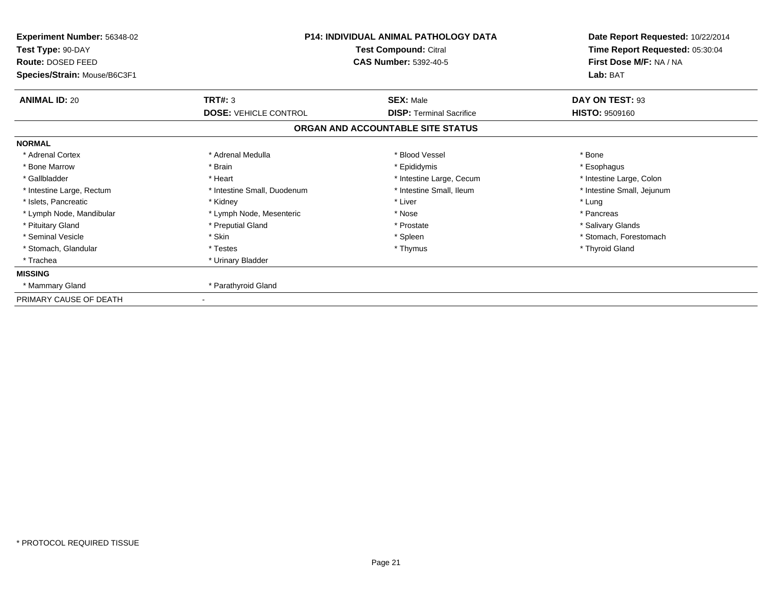| Experiment Number: 56348-02<br>Test Type: 90-DAY<br>Route: DOSED FEED<br>Species/Strain: Mouse/B6C3F1 | <b>P14: INDIVIDUAL ANIMAL PATHOLOGY DATA</b><br>Test Compound: Citral<br><b>CAS Number: 5392-40-5</b> |                                   | Date Report Requested: 10/22/2014<br>Time Report Requested: 05:30:04<br>First Dose M/F: NA / NA<br>Lab: BAT |  |
|-------------------------------------------------------------------------------------------------------|-------------------------------------------------------------------------------------------------------|-----------------------------------|-------------------------------------------------------------------------------------------------------------|--|
| <b>ANIMAL ID: 20</b>                                                                                  | TRT#: 3                                                                                               | <b>SEX: Male</b>                  | DAY ON TEST: 93                                                                                             |  |
|                                                                                                       | <b>DOSE: VEHICLE CONTROL</b>                                                                          | <b>DISP: Terminal Sacrifice</b>   | <b>HISTO: 9509160</b>                                                                                       |  |
|                                                                                                       |                                                                                                       | ORGAN AND ACCOUNTABLE SITE STATUS |                                                                                                             |  |
| <b>NORMAL</b>                                                                                         |                                                                                                       |                                   |                                                                                                             |  |
| * Adrenal Cortex                                                                                      | * Adrenal Medulla                                                                                     | * Blood Vessel                    | * Bone                                                                                                      |  |
| * Bone Marrow                                                                                         | * Brain                                                                                               | * Epididymis                      | * Esophagus                                                                                                 |  |
| * Gallbladder                                                                                         | * Heart                                                                                               | * Intestine Large, Cecum          | * Intestine Large, Colon                                                                                    |  |
| * Intestine Large, Rectum                                                                             | * Intestine Small, Duodenum                                                                           | * Intestine Small, Ileum          | * Intestine Small, Jejunum                                                                                  |  |
| * Islets, Pancreatic                                                                                  | * Kidney                                                                                              | * Liver                           | * Lung                                                                                                      |  |
| * Lymph Node, Mandibular                                                                              | * Lymph Node, Mesenteric                                                                              | * Nose                            | * Pancreas                                                                                                  |  |
| * Pituitary Gland                                                                                     | * Preputial Gland                                                                                     | * Prostate                        | * Salivary Glands                                                                                           |  |
| * Seminal Vesicle                                                                                     | * Skin                                                                                                | * Spleen                          | * Stomach, Forestomach                                                                                      |  |
| * Stomach, Glandular                                                                                  | * Testes                                                                                              | * Thymus                          | * Thyroid Gland                                                                                             |  |
| * Trachea                                                                                             | * Urinary Bladder                                                                                     |                                   |                                                                                                             |  |
| <b>MISSING</b>                                                                                        |                                                                                                       |                                   |                                                                                                             |  |
| * Mammary Gland                                                                                       | * Parathyroid Gland                                                                                   |                                   |                                                                                                             |  |
| PRIMARY CAUSE OF DEATH                                                                                |                                                                                                       |                                   |                                                                                                             |  |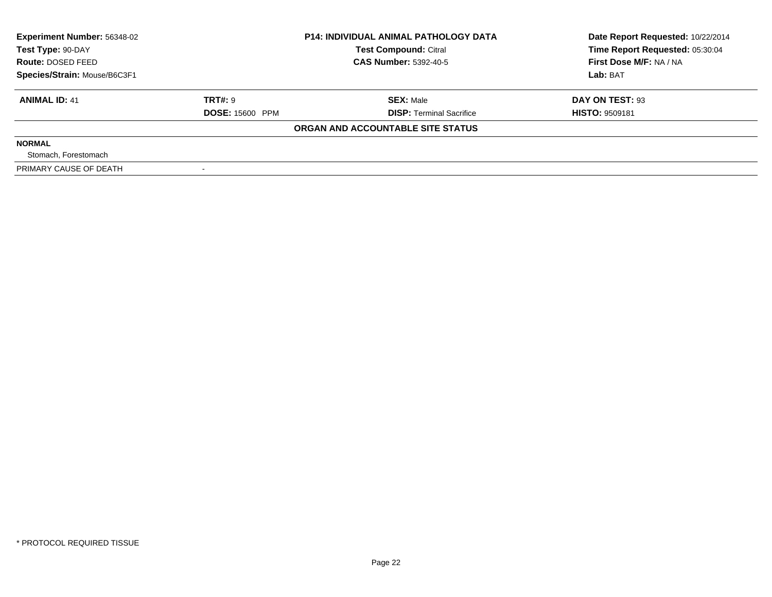| <b>Experiment Number: 56348-02</b><br>Test Type: 90-DAY | <b>P14: INDIVIDUAL ANIMAL PATHOLOGY DATA</b><br><b>Test Compound: Citral</b> |                                   | Date Report Requested: 10/22/2014<br>Time Report Requested: 05:30:04 |  |
|---------------------------------------------------------|------------------------------------------------------------------------------|-----------------------------------|----------------------------------------------------------------------|--|
| Route: DOSED FEED                                       |                                                                              | <b>CAS Number: 5392-40-5</b>      | First Dose M/F: NA / NA                                              |  |
| Species/Strain: Mouse/B6C3F1                            |                                                                              |                                   | Lab: BAT                                                             |  |
| <b>ANIMAL ID: 41</b>                                    | TRT#: 9                                                                      | <b>SEX: Male</b>                  | DAY ON TEST: 93                                                      |  |
|                                                         | <b>DOSE: 15600 PPM</b>                                                       | <b>DISP:</b> Terminal Sacrifice   | <b>HISTO: 9509181</b>                                                |  |
|                                                         |                                                                              | ORGAN AND ACCOUNTABLE SITE STATUS |                                                                      |  |
| <b>NORMAL</b>                                           |                                                                              |                                   |                                                                      |  |
| Stomach, Forestomach                                    |                                                                              |                                   |                                                                      |  |
| PRIMARY CAUSE OF DEATH                                  |                                                                              |                                   |                                                                      |  |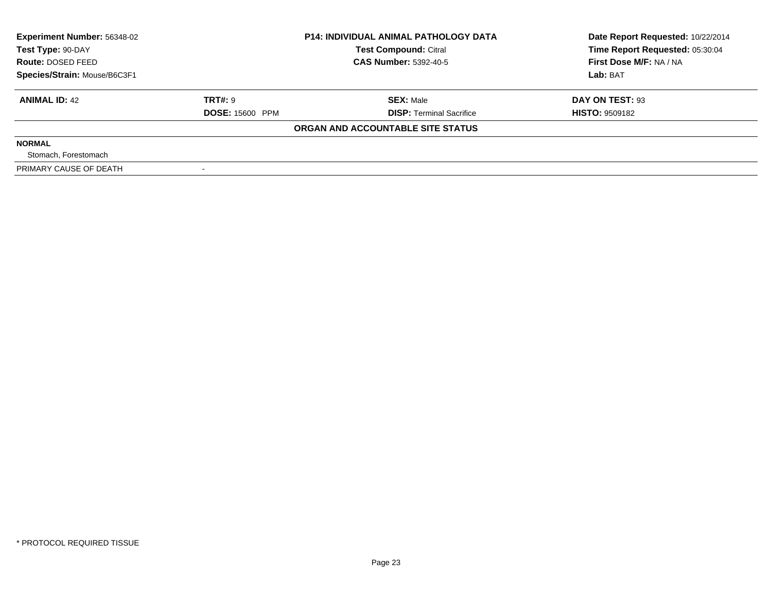| <b>Experiment Number: 56348-02</b><br>Test Type: 90-DAY |                        | <b>P14: INDIVIDUAL ANIMAL PATHOLOGY DATA</b><br><b>Test Compound: Citral</b> | Date Report Requested: 10/22/2014<br>Time Report Requested: 05:30:04 |
|---------------------------------------------------------|------------------------|------------------------------------------------------------------------------|----------------------------------------------------------------------|
| Route: DOSED FEED                                       |                        | <b>CAS Number: 5392-40-5</b>                                                 | First Dose M/F: NA / NA                                              |
| Species/Strain: Mouse/B6C3F1                            |                        |                                                                              | Lab: BAT                                                             |
| <b>ANIMAL ID: 42</b>                                    | TRT#: 9                | <b>SEX: Male</b>                                                             | DAY ON TEST: 93                                                      |
|                                                         | <b>DOSE: 15600 PPM</b> | <b>DISP:</b> Terminal Sacrifice                                              | <b>HISTO: 9509182</b>                                                |
|                                                         |                        | ORGAN AND ACCOUNTABLE SITE STATUS                                            |                                                                      |
| <b>NORMAL</b>                                           |                        |                                                                              |                                                                      |
| Stomach, Forestomach                                    |                        |                                                                              |                                                                      |
| PRIMARY CAUSE OF DEATH                                  |                        |                                                                              |                                                                      |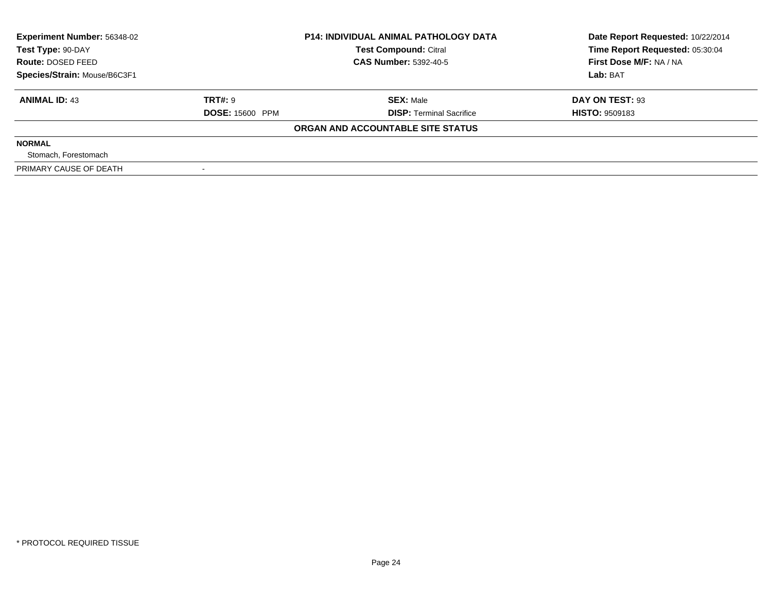| <b>Experiment Number: 56348-02</b><br>Test Type: 90-DAY |                        | <b>P14: INDIVIDUAL ANIMAL PATHOLOGY DATA</b><br><b>Test Compound: Citral</b> | Date Report Requested: 10/22/2014<br>Time Report Requested: 05:30:04 |  |
|---------------------------------------------------------|------------------------|------------------------------------------------------------------------------|----------------------------------------------------------------------|--|
| Route: DOSED FEED                                       |                        | <b>CAS Number: 5392-40-5</b>                                                 | First Dose M/F: NA / NA                                              |  |
| Species/Strain: Mouse/B6C3F1                            |                        |                                                                              | Lab: BAT                                                             |  |
| <b>ANIMAL ID: 43</b>                                    | TRT#: 9                | <b>SEX: Male</b>                                                             | DAY ON TEST: 93                                                      |  |
|                                                         | <b>DOSE: 15600 PPM</b> | <b>DISP:</b> Terminal Sacrifice                                              | <b>HISTO: 9509183</b>                                                |  |
|                                                         |                        | ORGAN AND ACCOUNTABLE SITE STATUS                                            |                                                                      |  |
| <b>NORMAL</b>                                           |                        |                                                                              |                                                                      |  |
| Stomach, Forestomach                                    |                        |                                                                              |                                                                      |  |
| PRIMARY CAUSE OF DEATH                                  |                        |                                                                              |                                                                      |  |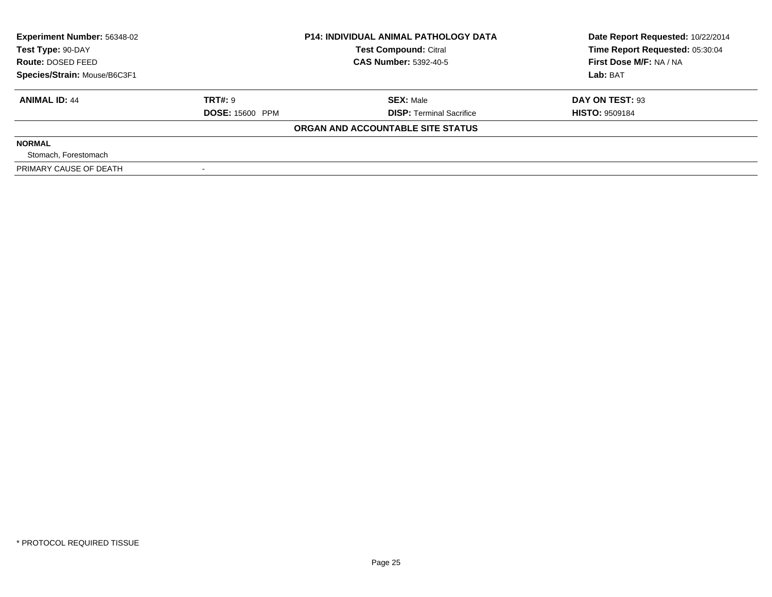| <b>Experiment Number: 56348-02</b><br>Test Type: 90-DAY |                        | <b>P14: INDIVIDUAL ANIMAL PATHOLOGY DATA</b><br><b>Test Compound: Citral</b> | Date Report Requested: 10/22/2014<br>Time Report Requested: 05:30:04 |  |
|---------------------------------------------------------|------------------------|------------------------------------------------------------------------------|----------------------------------------------------------------------|--|
| Route: DOSED FEED                                       |                        | <b>CAS Number: 5392-40-5</b>                                                 | First Dose M/F: NA / NA                                              |  |
| Species/Strain: Mouse/B6C3F1                            |                        |                                                                              | Lab: BAT                                                             |  |
| <b>ANIMAL ID: 44</b>                                    | <b>TRT#: 9</b>         | <b>SEX:</b> Male                                                             | DAY ON TEST: 93                                                      |  |
|                                                         | <b>DOSE: 15600 PPM</b> | <b>DISP:</b> Terminal Sacrifice                                              | <b>HISTO: 9509184</b>                                                |  |
|                                                         |                        | ORGAN AND ACCOUNTABLE SITE STATUS                                            |                                                                      |  |
| <b>NORMAL</b>                                           |                        |                                                                              |                                                                      |  |
| Stomach, Forestomach                                    |                        |                                                                              |                                                                      |  |
| PRIMARY CAUSE OF DEATH                                  |                        |                                                                              |                                                                      |  |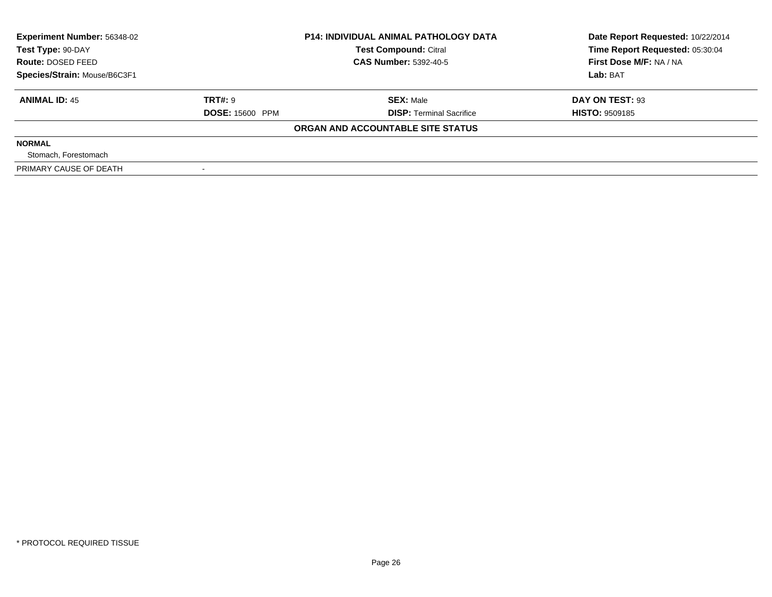| <b>Experiment Number: 56348-02</b><br>Test Type: 90-DAY |                        | <b>P14: INDIVIDUAL ANIMAL PATHOLOGY DATA</b><br><b>Test Compound: Citral</b> | Date Report Requested: 10/22/2014<br>Time Report Requested: 05:30:04 |  |
|---------------------------------------------------------|------------------------|------------------------------------------------------------------------------|----------------------------------------------------------------------|--|
| Route: DOSED FEED                                       |                        | <b>CAS Number: 5392-40-5</b>                                                 | First Dose M/F: NA / NA                                              |  |
| Species/Strain: Mouse/B6C3F1                            |                        |                                                                              | Lab: BAT                                                             |  |
| <b>ANIMAL ID: 45</b>                                    | TRT#: 9                | <b>SEX: Male</b>                                                             | DAY ON TEST: 93                                                      |  |
|                                                         | <b>DOSE: 15600 PPM</b> | <b>DISP:</b> Terminal Sacrifice                                              | <b>HISTO: 9509185</b>                                                |  |
|                                                         |                        | ORGAN AND ACCOUNTABLE SITE STATUS                                            |                                                                      |  |
| <b>NORMAL</b>                                           |                        |                                                                              |                                                                      |  |
| Stomach, Forestomach                                    |                        |                                                                              |                                                                      |  |
| PRIMARY CAUSE OF DEATH                                  |                        |                                                                              |                                                                      |  |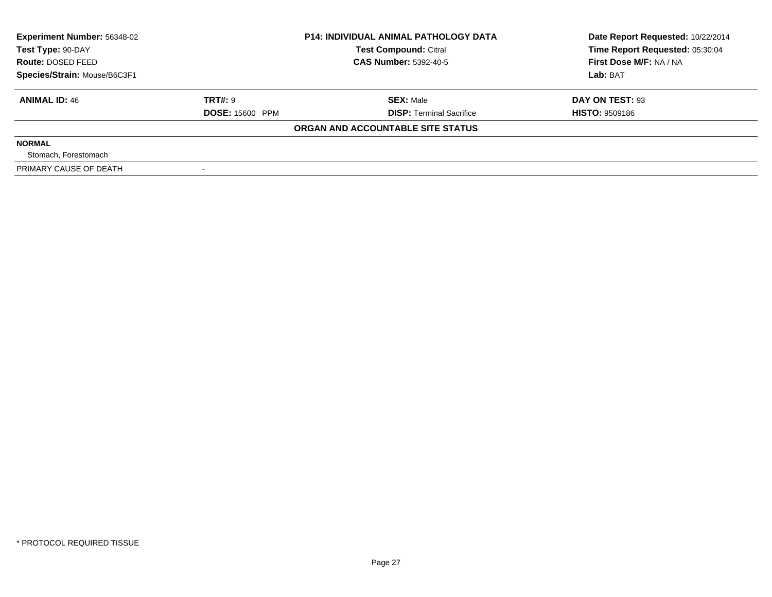| <b>Experiment Number: 56348-02</b><br>Test Type: 90-DAY |                        | <b>P14: INDIVIDUAL ANIMAL PATHOLOGY DATA</b><br><b>Test Compound: Citral</b> | Date Report Requested: 10/22/2014<br>Time Report Requested: 05:30:04 |  |
|---------------------------------------------------------|------------------------|------------------------------------------------------------------------------|----------------------------------------------------------------------|--|
| Route: DOSED FEED                                       |                        | <b>CAS Number: 5392-40-5</b>                                                 | First Dose M/F: NA / NA                                              |  |
| Species/Strain: Mouse/B6C3F1                            |                        |                                                                              | Lab: BAT                                                             |  |
| <b>ANIMAL ID: 46</b>                                    | TRT#: 9                | <b>SEX: Male</b>                                                             | DAY ON TEST: 93                                                      |  |
|                                                         | <b>DOSE: 15600 PPM</b> | <b>DISP:</b> Terminal Sacrifice                                              | <b>HISTO: 9509186</b>                                                |  |
|                                                         |                        | ORGAN AND ACCOUNTABLE SITE STATUS                                            |                                                                      |  |
| <b>NORMAL</b>                                           |                        |                                                                              |                                                                      |  |
| Stomach, Forestomach                                    |                        |                                                                              |                                                                      |  |
| PRIMARY CAUSE OF DEATH                                  |                        |                                                                              |                                                                      |  |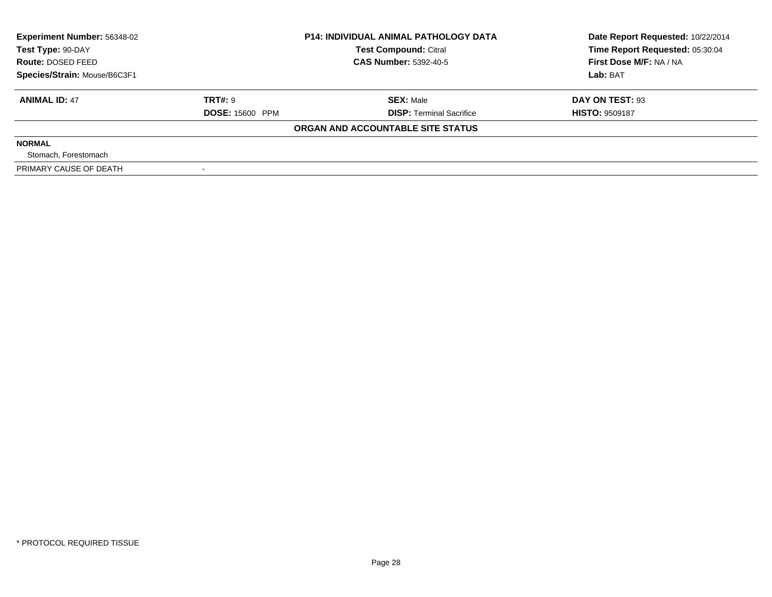| <b>Experiment Number: 56348-02</b><br>Test Type: 90-DAY |                        | <b>P14: INDIVIDUAL ANIMAL PATHOLOGY DATA</b><br><b>Test Compound: Citral</b> | Date Report Requested: 10/22/2014<br>Time Report Requested: 05:30:04 |  |
|---------------------------------------------------------|------------------------|------------------------------------------------------------------------------|----------------------------------------------------------------------|--|
| Route: DOSED FEED                                       |                        | <b>CAS Number: 5392-40-5</b>                                                 | First Dose M/F: NA / NA                                              |  |
| Species/Strain: Mouse/B6C3F1                            |                        |                                                                              | Lab: BAT                                                             |  |
| <b>ANIMAL ID: 47</b>                                    | <b>TRT#: 9</b>         | <b>SEX:</b> Male                                                             | DAY ON TEST: 93                                                      |  |
|                                                         | <b>DOSE: 15600 PPM</b> | <b>DISP:</b> Terminal Sacrifice                                              | <b>HISTO: 9509187</b>                                                |  |
|                                                         |                        | ORGAN AND ACCOUNTABLE SITE STATUS                                            |                                                                      |  |
| <b>NORMAL</b>                                           |                        |                                                                              |                                                                      |  |
| Stomach, Forestomach                                    |                        |                                                                              |                                                                      |  |
| PRIMARY CAUSE OF DEATH                                  |                        |                                                                              |                                                                      |  |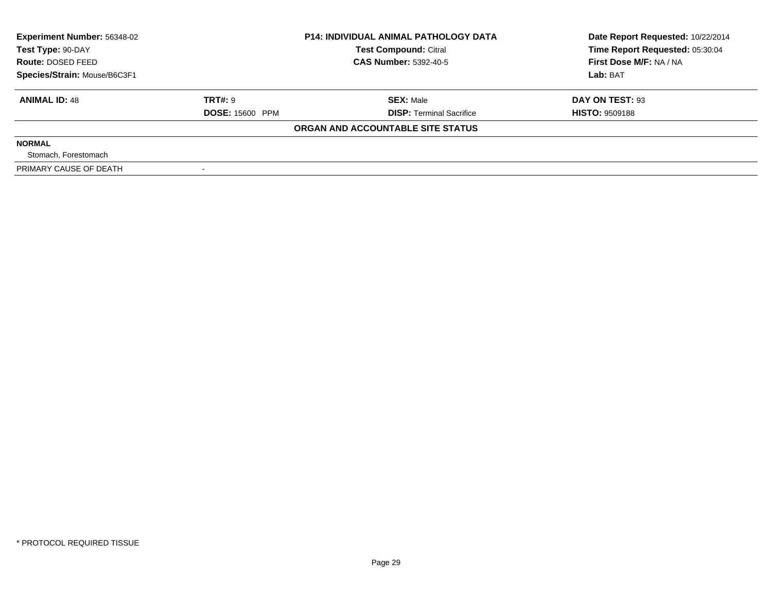| <b>Experiment Number: 56348-02</b><br>Test Type: 90-DAY |                        | <b>P14: INDIVIDUAL ANIMAL PATHOLOGY DATA</b><br><b>Test Compound: Citral</b> | Date Report Requested: 10/22/2014<br>Time Report Requested: 05:30:04 |  |
|---------------------------------------------------------|------------------------|------------------------------------------------------------------------------|----------------------------------------------------------------------|--|
| Route: DOSED FEED                                       |                        | <b>CAS Number: 5392-40-5</b>                                                 | First Dose M/F: NA / NA                                              |  |
| Species/Strain: Mouse/B6C3F1                            |                        |                                                                              | Lab: BAT                                                             |  |
| <b>ANIMAL ID: 48</b>                                    | TRT#: 9                | <b>SEX: Male</b>                                                             | DAY ON TEST: 93                                                      |  |
|                                                         | <b>DOSE: 15600 PPM</b> | <b>DISP:</b> Terminal Sacrifice                                              | <b>HISTO: 9509188</b>                                                |  |
|                                                         |                        | ORGAN AND ACCOUNTABLE SITE STATUS                                            |                                                                      |  |
| <b>NORMAL</b>                                           |                        |                                                                              |                                                                      |  |
| Stomach, Forestomach                                    |                        |                                                                              |                                                                      |  |
| PRIMARY CAUSE OF DEATH                                  |                        |                                                                              |                                                                      |  |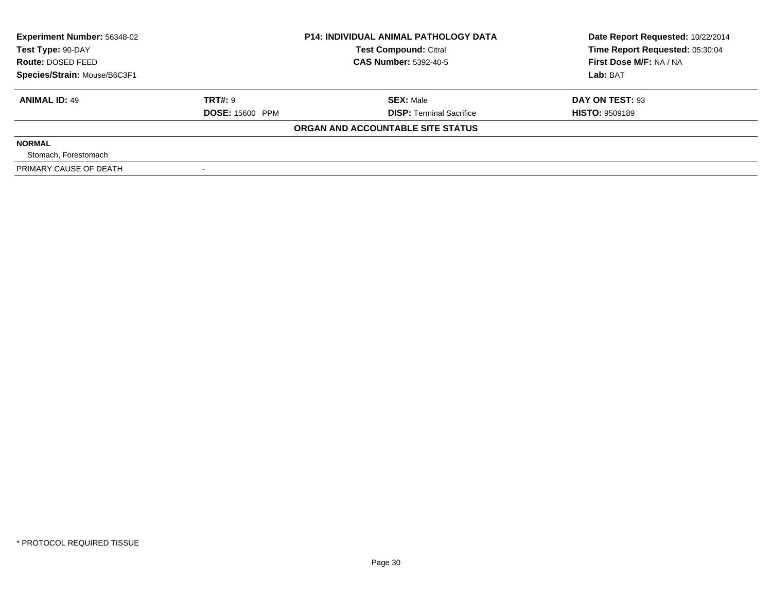| <b>Experiment Number: 56348-02</b><br>Test Type: 90-DAY |                        | <b>P14: INDIVIDUAL ANIMAL PATHOLOGY DATA</b><br><b>Test Compound: Citral</b> | Date Report Requested: 10/22/2014<br>Time Report Requested: 05:30:04 |  |
|---------------------------------------------------------|------------------------|------------------------------------------------------------------------------|----------------------------------------------------------------------|--|
| Route: DOSED FEED                                       |                        | <b>CAS Number: 5392-40-5</b>                                                 | First Dose M/F: NA / NA                                              |  |
| Species/Strain: Mouse/B6C3F1                            |                        |                                                                              | Lab: BAT                                                             |  |
| <b>ANIMAL ID: 49</b>                                    | <b>TRT#: 9</b>         | <b>SEX: Male</b>                                                             | DAY ON TEST: 93                                                      |  |
|                                                         | <b>DOSE: 15600 PPM</b> | <b>DISP: Terminal Sacrifice</b>                                              | <b>HISTO: 9509189</b>                                                |  |
|                                                         |                        | ORGAN AND ACCOUNTABLE SITE STATUS                                            |                                                                      |  |
| <b>NORMAL</b>                                           |                        |                                                                              |                                                                      |  |
| Stomach, Forestomach                                    |                        |                                                                              |                                                                      |  |
| PRIMARY CAUSE OF DEATH                                  |                        |                                                                              |                                                                      |  |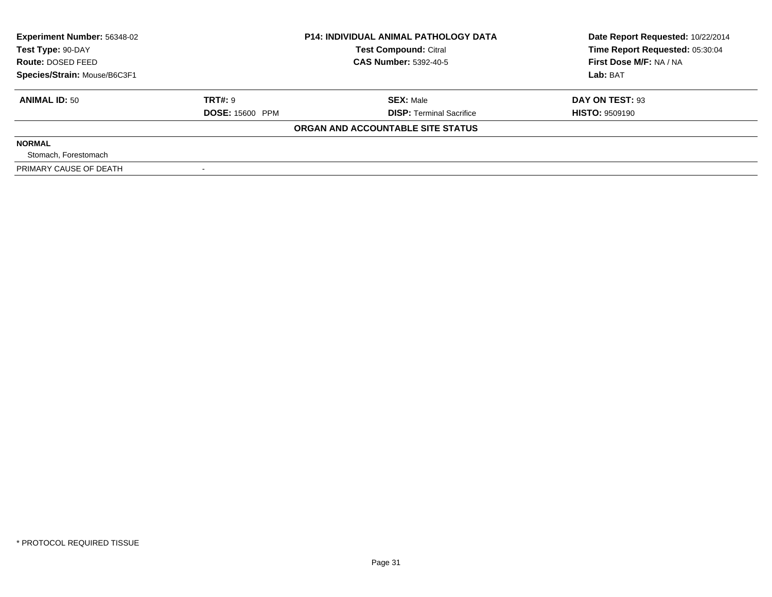| <b>Experiment Number: 56348-02</b><br>Test Type: 90-DAY |                        | <b>P14: INDIVIDUAL ANIMAL PATHOLOGY DATA</b><br><b>Test Compound: Citral</b> | Date Report Requested: 10/22/2014<br>Time Report Requested: 05:30:04 |  |
|---------------------------------------------------------|------------------------|------------------------------------------------------------------------------|----------------------------------------------------------------------|--|
| Route: DOSED FEED                                       |                        | <b>CAS Number: 5392-40-5</b>                                                 | First Dose M/F: NA / NA                                              |  |
| Species/Strain: Mouse/B6C3F1                            |                        |                                                                              | Lab: BAT                                                             |  |
| <b>ANIMAL ID: 50</b>                                    | <b>TRT#: 9</b>         | <b>SEX:</b> Male                                                             | DAY ON TEST: 93                                                      |  |
|                                                         | <b>DOSE: 15600 PPM</b> | <b>DISP:</b> Terminal Sacrifice                                              | <b>HISTO: 9509190</b>                                                |  |
|                                                         |                        | ORGAN AND ACCOUNTABLE SITE STATUS                                            |                                                                      |  |
| <b>NORMAL</b>                                           |                        |                                                                              |                                                                      |  |
| Stomach, Forestomach                                    |                        |                                                                              |                                                                      |  |
| PRIMARY CAUSE OF DEATH                                  |                        |                                                                              |                                                                      |  |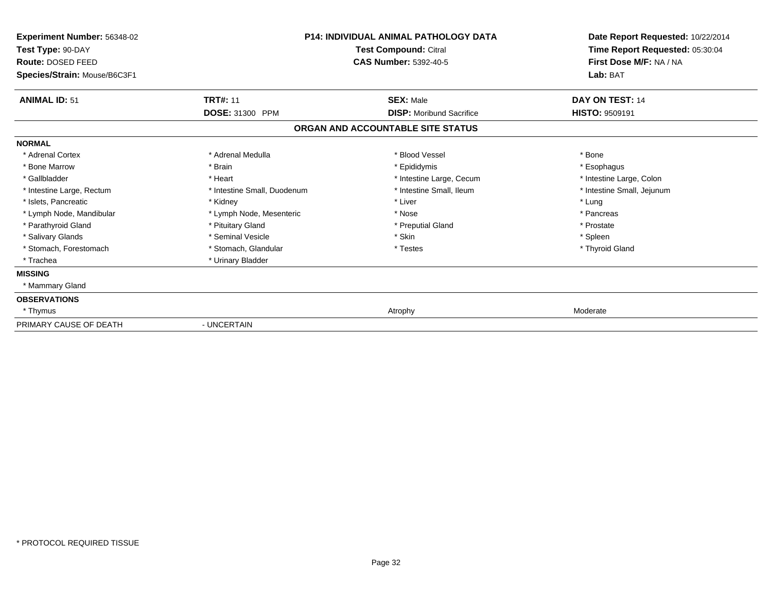| Experiment Number: 56348-02<br>Test Type: 90-DAY<br>Route: DOSED FEED<br>Species/Strain: Mouse/B6C3F1 | <b>P14: INDIVIDUAL ANIMAL PATHOLOGY DATA</b><br>Test Compound: Citral<br><b>CAS Number: 5392-40-5</b> |                                   | Date Report Requested: 10/22/2014<br>Time Report Requested: 05:30:04<br>First Dose M/F: NA / NA<br>Lab: BAT |  |
|-------------------------------------------------------------------------------------------------------|-------------------------------------------------------------------------------------------------------|-----------------------------------|-------------------------------------------------------------------------------------------------------------|--|
| <b>ANIMAL ID: 51</b>                                                                                  | <b>TRT#: 11</b>                                                                                       | <b>SEX: Male</b>                  | DAY ON TEST: 14                                                                                             |  |
|                                                                                                       | DOSE: 31300 PPM                                                                                       | <b>DISP:</b> Moribund Sacrifice   | <b>HISTO: 9509191</b>                                                                                       |  |
|                                                                                                       |                                                                                                       | ORGAN AND ACCOUNTABLE SITE STATUS |                                                                                                             |  |
| <b>NORMAL</b>                                                                                         |                                                                                                       |                                   |                                                                                                             |  |
| * Adrenal Cortex                                                                                      | * Adrenal Medulla                                                                                     | * Blood Vessel                    | * Bone                                                                                                      |  |
| * Bone Marrow                                                                                         | * Brain                                                                                               | * Epididymis                      | * Esophagus                                                                                                 |  |
| * Gallbladder                                                                                         | * Heart                                                                                               | * Intestine Large, Cecum          | * Intestine Large, Colon                                                                                    |  |
| * Intestine Large, Rectum                                                                             | * Intestine Small, Duodenum                                                                           | * Intestine Small, Ileum          | * Intestine Small, Jejunum                                                                                  |  |
| * Islets, Pancreatic                                                                                  | * Kidney                                                                                              | * Liver                           | * Lung                                                                                                      |  |
| * Lymph Node, Mandibular                                                                              | * Lymph Node, Mesenteric                                                                              | * Nose                            | * Pancreas                                                                                                  |  |
| * Parathyroid Gland                                                                                   | * Pituitary Gland                                                                                     | * Preputial Gland                 | * Prostate                                                                                                  |  |
| * Salivary Glands                                                                                     | * Seminal Vesicle                                                                                     | * Skin                            | * Spleen                                                                                                    |  |
| * Stomach, Forestomach                                                                                | * Stomach, Glandular                                                                                  | * Testes                          | * Thyroid Gland                                                                                             |  |
| * Trachea                                                                                             | * Urinary Bladder                                                                                     |                                   |                                                                                                             |  |
| <b>MISSING</b>                                                                                        |                                                                                                       |                                   |                                                                                                             |  |
| * Mammary Gland                                                                                       |                                                                                                       |                                   |                                                                                                             |  |
| <b>OBSERVATIONS</b>                                                                                   |                                                                                                       |                                   |                                                                                                             |  |
| * Thymus                                                                                              |                                                                                                       | Atrophy                           | Moderate                                                                                                    |  |
| PRIMARY CAUSE OF DEATH                                                                                | - UNCERTAIN                                                                                           |                                   |                                                                                                             |  |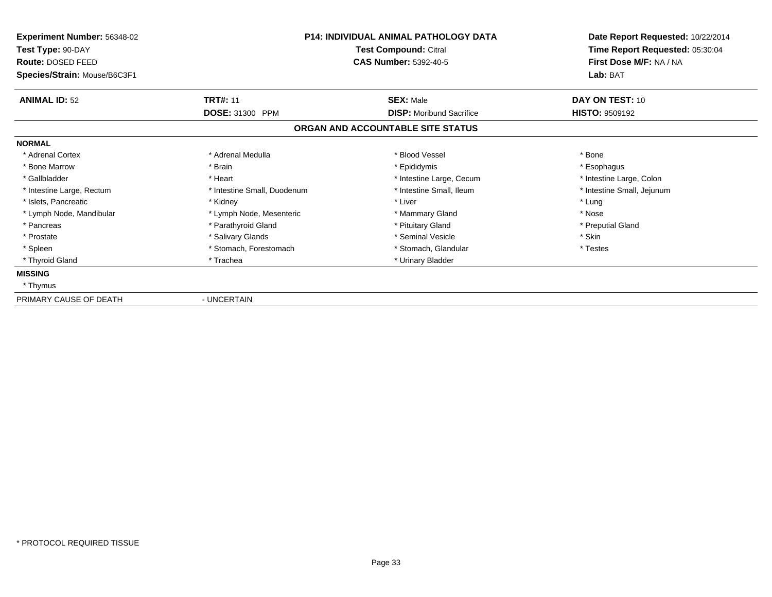| Experiment Number: 56348-02<br>Test Type: 90-DAY<br>Route: DOSED FEED<br>Species/Strain: Mouse/B6C3F1 | <b>P14: INDIVIDUAL ANIMAL PATHOLOGY DATA</b><br>Test Compound: Citral<br><b>CAS Number: 5392-40-5</b> |                                   | Date Report Requested: 10/22/2014<br>Time Report Requested: 05:30:04<br>First Dose M/F: NA / NA<br>Lab: BAT |  |
|-------------------------------------------------------------------------------------------------------|-------------------------------------------------------------------------------------------------------|-----------------------------------|-------------------------------------------------------------------------------------------------------------|--|
| <b>ANIMAL ID: 52</b>                                                                                  | <b>TRT#: 11</b>                                                                                       | <b>SEX: Male</b>                  | DAY ON TEST: 10                                                                                             |  |
|                                                                                                       | DOSE: 31300 PPM                                                                                       | <b>DISP:</b> Moribund Sacrifice   | <b>HISTO: 9509192</b>                                                                                       |  |
|                                                                                                       |                                                                                                       | ORGAN AND ACCOUNTABLE SITE STATUS |                                                                                                             |  |
| <b>NORMAL</b>                                                                                         |                                                                                                       |                                   |                                                                                                             |  |
| * Adrenal Cortex                                                                                      | * Adrenal Medulla                                                                                     | * Blood Vessel                    | * Bone                                                                                                      |  |
| * Bone Marrow                                                                                         | * Brain                                                                                               | * Epididymis                      | * Esophagus                                                                                                 |  |
| * Gallbladder                                                                                         | * Heart                                                                                               | * Intestine Large, Cecum          | * Intestine Large, Colon                                                                                    |  |
| * Intestine Large, Rectum                                                                             | * Intestine Small, Duodenum                                                                           | * Intestine Small, Ileum          | * Intestine Small, Jejunum                                                                                  |  |
| * Islets, Pancreatic                                                                                  | * Kidney                                                                                              | * Liver                           | * Lung                                                                                                      |  |
| * Lymph Node, Mandibular                                                                              | * Lymph Node, Mesenteric                                                                              | * Mammary Gland                   | * Nose                                                                                                      |  |
| * Pancreas                                                                                            | * Parathyroid Gland                                                                                   | * Pituitary Gland                 | * Preputial Gland                                                                                           |  |
| * Prostate                                                                                            | * Salivary Glands                                                                                     | * Seminal Vesicle                 | * Skin                                                                                                      |  |
| * Spleen                                                                                              | * Stomach, Forestomach                                                                                | * Stomach, Glandular              | * Testes                                                                                                    |  |
| * Thyroid Gland                                                                                       | * Trachea                                                                                             | * Urinary Bladder                 |                                                                                                             |  |
| <b>MISSING</b>                                                                                        |                                                                                                       |                                   |                                                                                                             |  |
| * Thymus                                                                                              |                                                                                                       |                                   |                                                                                                             |  |
| PRIMARY CAUSE OF DEATH                                                                                | - UNCERTAIN                                                                                           |                                   |                                                                                                             |  |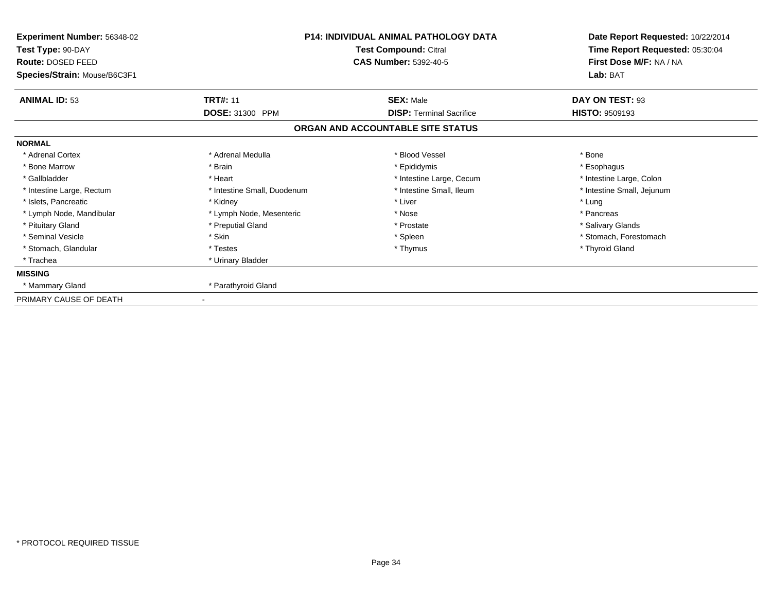| Experiment Number: 56348-02<br>Test Type: 90-DAY<br>Route: DOSED FEED<br>Species/Strain: Mouse/B6C3F1 | <b>P14: INDIVIDUAL ANIMAL PATHOLOGY DATA</b><br>Test Compound: Citral<br><b>CAS Number: 5392-40-5</b> |                                   | Date Report Requested: 10/22/2014<br>Time Report Requested: 05:30:04<br>First Dose M/F: NA / NA<br>Lab: BAT |  |
|-------------------------------------------------------------------------------------------------------|-------------------------------------------------------------------------------------------------------|-----------------------------------|-------------------------------------------------------------------------------------------------------------|--|
| <b>ANIMAL ID: 53</b>                                                                                  | <b>TRT#: 11</b>                                                                                       | <b>SEX: Male</b>                  | DAY ON TEST: 93                                                                                             |  |
|                                                                                                       | DOSE: 31300 PPM                                                                                       | <b>DISP: Terminal Sacrifice</b>   | <b>HISTO: 9509193</b>                                                                                       |  |
|                                                                                                       |                                                                                                       | ORGAN AND ACCOUNTABLE SITE STATUS |                                                                                                             |  |
| <b>NORMAL</b>                                                                                         |                                                                                                       |                                   |                                                                                                             |  |
| * Adrenal Cortex                                                                                      | * Adrenal Medulla                                                                                     | * Blood Vessel                    | * Bone                                                                                                      |  |
| * Bone Marrow                                                                                         | * Brain                                                                                               | * Epididymis                      | * Esophagus                                                                                                 |  |
| * Gallbladder                                                                                         | * Heart                                                                                               | * Intestine Large, Cecum          | * Intestine Large, Colon                                                                                    |  |
| * Intestine Large, Rectum                                                                             | * Intestine Small, Duodenum                                                                           | * Intestine Small, Ileum          | * Intestine Small, Jejunum                                                                                  |  |
| * Islets, Pancreatic                                                                                  | * Kidney                                                                                              | * Liver                           | * Lung                                                                                                      |  |
| * Lymph Node, Mandibular                                                                              | * Lymph Node, Mesenteric                                                                              | * Nose                            | * Pancreas                                                                                                  |  |
| * Pituitary Gland                                                                                     | * Preputial Gland                                                                                     | * Prostate                        | * Salivary Glands                                                                                           |  |
| * Seminal Vesicle                                                                                     | * Skin                                                                                                | * Spleen                          | * Stomach, Forestomach                                                                                      |  |
| * Stomach, Glandular                                                                                  | * Testes                                                                                              | * Thymus                          | * Thyroid Gland                                                                                             |  |
| * Trachea                                                                                             | * Urinary Bladder                                                                                     |                                   |                                                                                                             |  |
| <b>MISSING</b>                                                                                        |                                                                                                       |                                   |                                                                                                             |  |
| * Mammary Gland                                                                                       | * Parathyroid Gland                                                                                   |                                   |                                                                                                             |  |
| PRIMARY CAUSE OF DEATH                                                                                |                                                                                                       |                                   |                                                                                                             |  |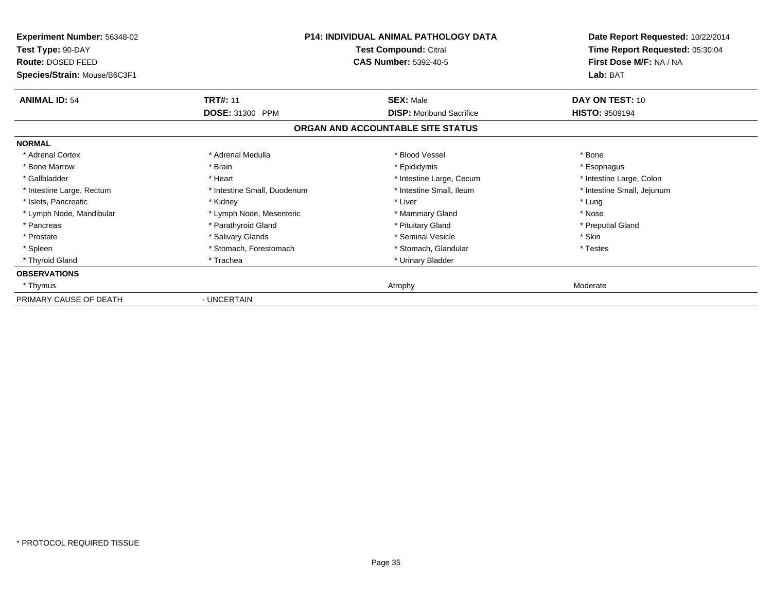| Experiment Number: 56348-02<br>Test Type: 90-DAY<br>Route: DOSED FEED<br>Species/Strain: Mouse/B6C3F1 | <b>P14: INDIVIDUAL ANIMAL PATHOLOGY DATA</b><br>Test Compound: Citral<br><b>CAS Number: 5392-40-5</b> |                                   | Date Report Requested: 10/22/2014<br>Time Report Requested: 05:30:04<br>First Dose M/F: NA / NA<br>Lab: BAT |  |
|-------------------------------------------------------------------------------------------------------|-------------------------------------------------------------------------------------------------------|-----------------------------------|-------------------------------------------------------------------------------------------------------------|--|
| <b>ANIMAL ID: 54</b>                                                                                  | <b>TRT#: 11</b>                                                                                       | <b>SEX: Male</b>                  | DAY ON TEST: 10                                                                                             |  |
|                                                                                                       | DOSE: 31300 PPM                                                                                       | <b>DISP:</b> Moribund Sacrifice   | <b>HISTO: 9509194</b>                                                                                       |  |
|                                                                                                       |                                                                                                       | ORGAN AND ACCOUNTABLE SITE STATUS |                                                                                                             |  |
| <b>NORMAL</b>                                                                                         |                                                                                                       |                                   |                                                                                                             |  |
| * Adrenal Cortex                                                                                      | * Adrenal Medulla                                                                                     | * Blood Vessel                    | * Bone                                                                                                      |  |
| * Bone Marrow                                                                                         | * Brain                                                                                               | * Epididymis                      | * Esophagus                                                                                                 |  |
| * Gallbladder                                                                                         | * Heart                                                                                               | * Intestine Large, Cecum          | * Intestine Large, Colon                                                                                    |  |
| * Intestine Large, Rectum                                                                             | * Intestine Small, Duodenum                                                                           | * Intestine Small, Ileum          | * Intestine Small, Jejunum                                                                                  |  |
| * Islets, Pancreatic                                                                                  | * Kidney                                                                                              | * Liver                           | * Lung                                                                                                      |  |
| * Lymph Node, Mandibular                                                                              | * Lymph Node, Mesenteric                                                                              | * Mammary Gland                   | * Nose                                                                                                      |  |
| * Pancreas                                                                                            | * Parathyroid Gland                                                                                   | * Pituitary Gland                 | * Preputial Gland                                                                                           |  |
| * Prostate                                                                                            | * Salivary Glands                                                                                     | * Seminal Vesicle                 | * Skin                                                                                                      |  |
| * Spleen                                                                                              | * Stomach, Forestomach                                                                                | * Stomach, Glandular              | * Testes                                                                                                    |  |
| * Thyroid Gland                                                                                       | * Trachea                                                                                             | * Urinary Bladder                 |                                                                                                             |  |
| <b>OBSERVATIONS</b>                                                                                   |                                                                                                       |                                   |                                                                                                             |  |
| * Thymus                                                                                              |                                                                                                       | Atrophy                           | Moderate                                                                                                    |  |
| PRIMARY CAUSE OF DEATH                                                                                | - UNCERTAIN                                                                                           |                                   |                                                                                                             |  |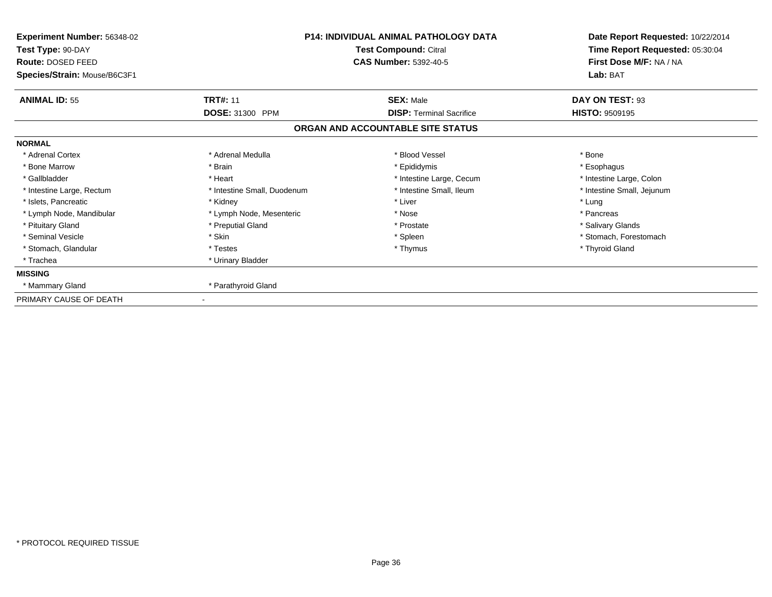| Experiment Number: 56348-02<br>Test Type: 90-DAY<br>Route: DOSED FEED<br>Species/Strain: Mouse/B6C3F1 | <b>P14: INDIVIDUAL ANIMAL PATHOLOGY DATA</b><br>Test Compound: Citral<br><b>CAS Number: 5392-40-5</b> |                                   | Date Report Requested: 10/22/2014<br>Time Report Requested: 05:30:04<br>First Dose M/F: NA / NA<br>Lab: BAT |
|-------------------------------------------------------------------------------------------------------|-------------------------------------------------------------------------------------------------------|-----------------------------------|-------------------------------------------------------------------------------------------------------------|
| <b>ANIMAL ID: 55</b>                                                                                  | <b>TRT#: 11</b>                                                                                       | <b>SEX: Male</b>                  | DAY ON TEST: 93                                                                                             |
|                                                                                                       | DOSE: 31300 PPM                                                                                       | <b>DISP: Terminal Sacrifice</b>   | <b>HISTO: 9509195</b>                                                                                       |
|                                                                                                       |                                                                                                       | ORGAN AND ACCOUNTABLE SITE STATUS |                                                                                                             |
| <b>NORMAL</b>                                                                                         |                                                                                                       |                                   |                                                                                                             |
| * Adrenal Cortex                                                                                      | * Adrenal Medulla                                                                                     | * Blood Vessel                    | * Bone                                                                                                      |
| * Bone Marrow                                                                                         | * Brain                                                                                               | * Epididymis                      | * Esophagus                                                                                                 |
| * Gallbladder                                                                                         | * Heart                                                                                               | * Intestine Large, Cecum          | * Intestine Large, Colon                                                                                    |
| * Intestine Large, Rectum                                                                             | * Intestine Small, Duodenum                                                                           | * Intestine Small, Ileum          | * Intestine Small, Jejunum                                                                                  |
| * Islets, Pancreatic                                                                                  | * Kidney                                                                                              | * Liver                           | * Lung                                                                                                      |
| * Lymph Node, Mandibular                                                                              | * Lymph Node, Mesenteric                                                                              | * Nose                            | * Pancreas                                                                                                  |
| * Pituitary Gland                                                                                     | * Preputial Gland                                                                                     | * Prostate                        | * Salivary Glands                                                                                           |
| * Seminal Vesicle                                                                                     | * Skin                                                                                                | * Spleen                          | * Stomach, Forestomach                                                                                      |
| * Stomach, Glandular                                                                                  | * Testes                                                                                              | * Thymus                          | * Thyroid Gland                                                                                             |
| * Trachea                                                                                             | * Urinary Bladder                                                                                     |                                   |                                                                                                             |
| <b>MISSING</b>                                                                                        |                                                                                                       |                                   |                                                                                                             |
| * Mammary Gland                                                                                       | * Parathyroid Gland                                                                                   |                                   |                                                                                                             |
| PRIMARY CAUSE OF DEATH                                                                                |                                                                                                       |                                   |                                                                                                             |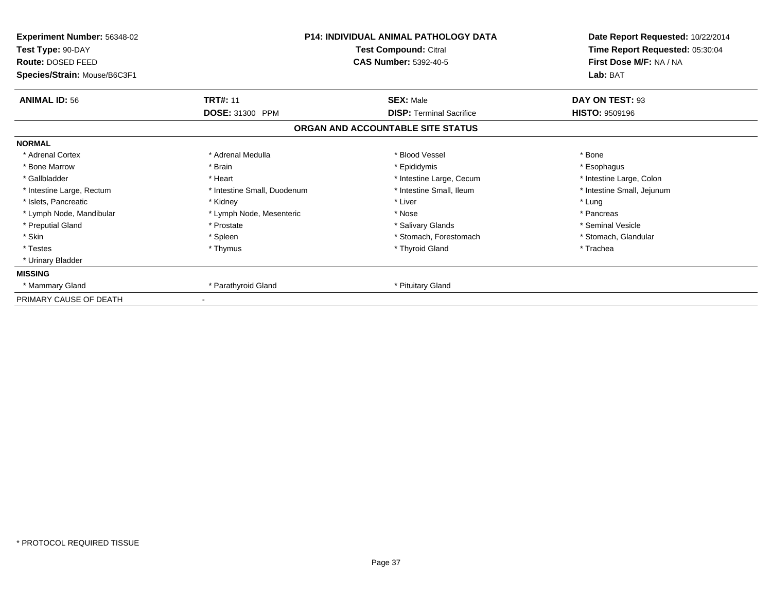| Experiment Number: 56348-02<br>Test Type: 90-DAY<br>Route: DOSED FEED<br>Species/Strain: Mouse/B6C3F1 | <b>P14: INDIVIDUAL ANIMAL PATHOLOGY DATA</b><br>Test Compound: Citral<br><b>CAS Number: 5392-40-5</b> |                                   | Date Report Requested: 10/22/2014<br>Time Report Requested: 05:30:04<br>First Dose M/F: NA / NA<br>Lab: BAT |  |
|-------------------------------------------------------------------------------------------------------|-------------------------------------------------------------------------------------------------------|-----------------------------------|-------------------------------------------------------------------------------------------------------------|--|
| <b>ANIMAL ID: 56</b>                                                                                  | <b>TRT#: 11</b>                                                                                       | <b>SEX: Male</b>                  | DAY ON TEST: 93                                                                                             |  |
|                                                                                                       | DOSE: 31300 PPM                                                                                       | <b>DISP: Terminal Sacrifice</b>   | <b>HISTO: 9509196</b>                                                                                       |  |
|                                                                                                       |                                                                                                       | ORGAN AND ACCOUNTABLE SITE STATUS |                                                                                                             |  |
| <b>NORMAL</b>                                                                                         |                                                                                                       |                                   |                                                                                                             |  |
| * Adrenal Cortex                                                                                      | * Adrenal Medulla                                                                                     | * Blood Vessel                    | * Bone                                                                                                      |  |
| * Bone Marrow                                                                                         | * Brain                                                                                               | * Epididymis                      | * Esophagus                                                                                                 |  |
| * Gallbladder                                                                                         | * Heart                                                                                               | * Intestine Large, Cecum          | * Intestine Large, Colon                                                                                    |  |
| * Intestine Large, Rectum                                                                             | * Intestine Small, Duodenum                                                                           | * Intestine Small, Ileum          | * Intestine Small, Jejunum                                                                                  |  |
| * Islets, Pancreatic                                                                                  | * Kidney                                                                                              | * Liver                           | * Lung                                                                                                      |  |
| * Lymph Node, Mandibular                                                                              | * Lymph Node, Mesenteric                                                                              | * Nose                            | * Pancreas                                                                                                  |  |
| * Preputial Gland                                                                                     | * Prostate                                                                                            | * Salivary Glands                 | * Seminal Vesicle                                                                                           |  |
| * Skin                                                                                                | * Spleen                                                                                              | * Stomach, Forestomach            | * Stomach, Glandular                                                                                        |  |
| * Testes                                                                                              | * Thymus                                                                                              | * Thyroid Gland                   | * Trachea                                                                                                   |  |
| * Urinary Bladder                                                                                     |                                                                                                       |                                   |                                                                                                             |  |
| <b>MISSING</b>                                                                                        |                                                                                                       |                                   |                                                                                                             |  |
| * Mammary Gland                                                                                       | * Parathyroid Gland                                                                                   | * Pituitary Gland                 |                                                                                                             |  |
| PRIMARY CAUSE OF DEATH                                                                                |                                                                                                       |                                   |                                                                                                             |  |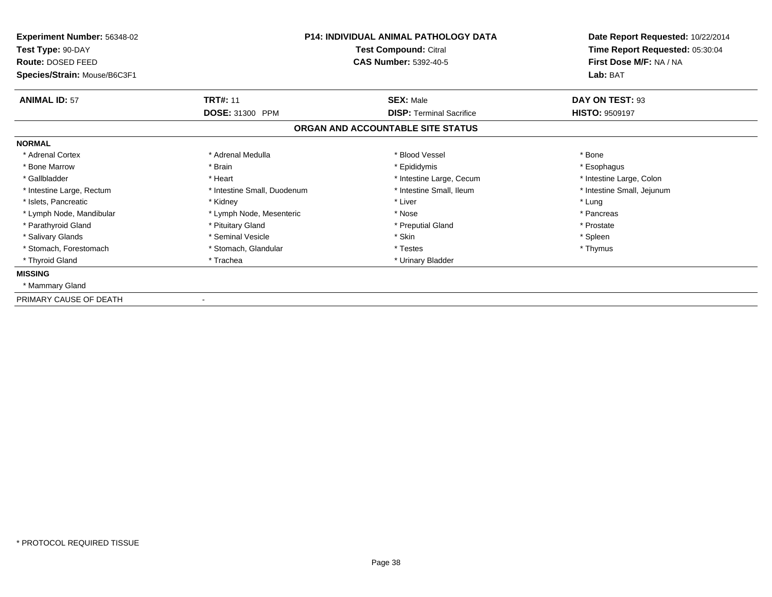| Experiment Number: 56348-02<br>Test Type: 90-DAY<br>Route: DOSED FEED | <b>P14: INDIVIDUAL ANIMAL PATHOLOGY DATA</b><br>Test Compound: Citral<br><b>CAS Number: 5392-40-5</b> |                                   | Date Report Requested: 10/22/2014<br>Time Report Requested: 05:30:04<br>First Dose M/F: NA / NA |  |
|-----------------------------------------------------------------------|-------------------------------------------------------------------------------------------------------|-----------------------------------|-------------------------------------------------------------------------------------------------|--|
| Species/Strain: Mouse/B6C3F1                                          |                                                                                                       |                                   | Lab: BAT                                                                                        |  |
| <b>ANIMAL ID: 57</b>                                                  | <b>TRT#: 11</b>                                                                                       | <b>SEX: Male</b>                  | DAY ON TEST: 93                                                                                 |  |
|                                                                       | <b>DOSE: 31300 PPM</b>                                                                                | <b>DISP: Terminal Sacrifice</b>   | <b>HISTO: 9509197</b>                                                                           |  |
|                                                                       |                                                                                                       | ORGAN AND ACCOUNTABLE SITE STATUS |                                                                                                 |  |
| <b>NORMAL</b>                                                         |                                                                                                       |                                   |                                                                                                 |  |
| * Adrenal Cortex                                                      | * Adrenal Medulla                                                                                     | * Blood Vessel                    | * Bone                                                                                          |  |
| * Bone Marrow                                                         | * Brain                                                                                               | * Epididymis                      | * Esophagus                                                                                     |  |
| * Gallbladder                                                         | * Heart                                                                                               | * Intestine Large, Cecum          | * Intestine Large, Colon                                                                        |  |
| * Intestine Large, Rectum                                             | * Intestine Small, Duodenum                                                                           | * Intestine Small, Ileum          | * Intestine Small, Jejunum                                                                      |  |
| * Islets, Pancreatic                                                  | * Kidney                                                                                              | * Liver                           | * Lung                                                                                          |  |
| * Lymph Node, Mandibular                                              | * Lymph Node, Mesenteric                                                                              | * Nose                            | * Pancreas                                                                                      |  |
| * Parathyroid Gland                                                   | * Pituitary Gland                                                                                     | * Preputial Gland                 | * Prostate                                                                                      |  |
| * Salivary Glands                                                     | * Seminal Vesicle                                                                                     | * Skin                            | * Spleen                                                                                        |  |
| * Stomach, Forestomach                                                | * Stomach, Glandular                                                                                  | * Testes                          | * Thymus                                                                                        |  |
| * Thyroid Gland                                                       | * Trachea                                                                                             | * Urinary Bladder                 |                                                                                                 |  |
| <b>MISSING</b>                                                        |                                                                                                       |                                   |                                                                                                 |  |
| * Mammary Gland                                                       |                                                                                                       |                                   |                                                                                                 |  |
| PRIMARY CAUSE OF DEATH                                                |                                                                                                       |                                   |                                                                                                 |  |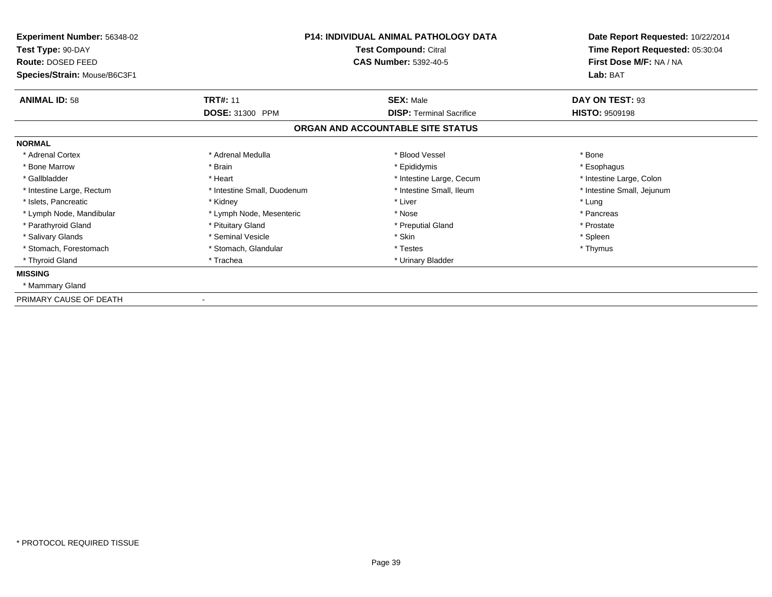| <b>Experiment Number: 56348-02</b><br>Test Type: 90-DAY<br>Route: DOSED FEED<br>Species/Strain: Mouse/B6C3F1 | <b>P14: INDIVIDUAL ANIMAL PATHOLOGY DATA</b><br>Test Compound: Citral<br><b>CAS Number: 5392-40-5</b> |                                   | First Dose M/F: NA / NA<br>Lab: BAT |  | Date Report Requested: 10/22/2014<br>Time Report Requested: 05:30:04 |
|--------------------------------------------------------------------------------------------------------------|-------------------------------------------------------------------------------------------------------|-----------------------------------|-------------------------------------|--|----------------------------------------------------------------------|
| <b>ANIMAL ID: 58</b>                                                                                         | <b>TRT#: 11</b>                                                                                       | <b>SEX: Male</b>                  | DAY ON TEST: 93                     |  |                                                                      |
|                                                                                                              | <b>DOSE: 31300 PPM</b>                                                                                | <b>DISP: Terminal Sacrifice</b>   | <b>HISTO: 9509198</b>               |  |                                                                      |
|                                                                                                              |                                                                                                       | ORGAN AND ACCOUNTABLE SITE STATUS |                                     |  |                                                                      |
| <b>NORMAL</b>                                                                                                |                                                                                                       |                                   |                                     |  |                                                                      |
| * Adrenal Cortex                                                                                             | * Adrenal Medulla                                                                                     | * Blood Vessel                    | * Bone                              |  |                                                                      |
| * Bone Marrow                                                                                                | * Brain                                                                                               | * Epididymis                      | * Esophagus                         |  |                                                                      |
| * Gallbladder                                                                                                | * Heart                                                                                               | * Intestine Large, Cecum          | * Intestine Large, Colon            |  |                                                                      |
| * Intestine Large, Rectum                                                                                    | * Intestine Small, Duodenum                                                                           | * Intestine Small, Ileum          | * Intestine Small, Jejunum          |  |                                                                      |
| * Islets, Pancreatic                                                                                         | * Kidney                                                                                              | * Liver                           | * Lung                              |  |                                                                      |
| * Lymph Node, Mandibular                                                                                     | * Lymph Node, Mesenteric                                                                              | * Nose                            | * Pancreas                          |  |                                                                      |
| * Parathyroid Gland                                                                                          | * Pituitary Gland                                                                                     | * Preputial Gland                 | * Prostate                          |  |                                                                      |
| * Salivary Glands                                                                                            | * Seminal Vesicle                                                                                     | * Skin                            | * Spleen                            |  |                                                                      |
| * Stomach, Forestomach                                                                                       | * Stomach, Glandular                                                                                  | * Testes                          | * Thymus                            |  |                                                                      |
| * Thyroid Gland                                                                                              | * Trachea                                                                                             | * Urinary Bladder                 |                                     |  |                                                                      |
| <b>MISSING</b>                                                                                               |                                                                                                       |                                   |                                     |  |                                                                      |
| * Mammary Gland                                                                                              |                                                                                                       |                                   |                                     |  |                                                                      |
| PRIMARY CAUSE OF DEATH                                                                                       |                                                                                                       |                                   |                                     |  |                                                                      |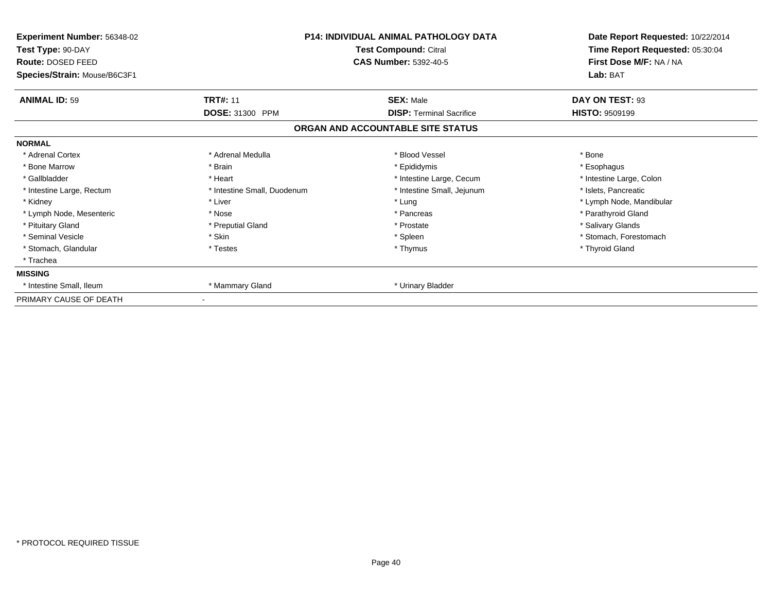| Experiment Number: 56348-02<br>Test Type: 90-DAY<br>Route: DOSED FEED |                             | <b>P14: INDIVIDUAL ANIMAL PATHOLOGY DATA</b><br>Test Compound: Citral<br><b>CAS Number: 5392-40-5</b> | Date Report Requested: 10/22/2014<br>Time Report Requested: 05:30:04<br>First Dose M/F: NA / NA |  |
|-----------------------------------------------------------------------|-----------------------------|-------------------------------------------------------------------------------------------------------|-------------------------------------------------------------------------------------------------|--|
| Species/Strain: Mouse/B6C3F1                                          |                             |                                                                                                       | Lab: BAT                                                                                        |  |
| <b>ANIMAL ID: 59</b>                                                  | <b>TRT#: 11</b>             | <b>SEX: Male</b>                                                                                      | DAY ON TEST: 93                                                                                 |  |
|                                                                       | DOSE: 31300 PPM             | <b>DISP: Terminal Sacrifice</b>                                                                       | <b>HISTO: 9509199</b>                                                                           |  |
|                                                                       |                             | ORGAN AND ACCOUNTABLE SITE STATUS                                                                     |                                                                                                 |  |
| <b>NORMAL</b>                                                         |                             |                                                                                                       |                                                                                                 |  |
| * Adrenal Cortex                                                      | * Adrenal Medulla           | * Blood Vessel                                                                                        | * Bone                                                                                          |  |
| * Bone Marrow                                                         | * Brain                     | * Epididymis                                                                                          | * Esophagus                                                                                     |  |
| * Gallbladder                                                         | * Heart                     | * Intestine Large, Cecum                                                                              | * Intestine Large, Colon                                                                        |  |
| * Intestine Large, Rectum                                             | * Intestine Small, Duodenum | * Intestine Small, Jejunum                                                                            | * Islets, Pancreatic                                                                            |  |
| * Kidney                                                              | * Liver                     | * Lung                                                                                                | * Lymph Node, Mandibular                                                                        |  |
| * Lymph Node, Mesenteric                                              | * Nose                      | * Pancreas                                                                                            | * Parathyroid Gland                                                                             |  |
| * Pituitary Gland                                                     | * Preputial Gland           | * Prostate                                                                                            | * Salivary Glands                                                                               |  |
| * Seminal Vesicle                                                     | * Skin                      | * Spleen                                                                                              | * Stomach, Forestomach                                                                          |  |
| * Stomach, Glandular                                                  | * Testes                    | * Thymus                                                                                              | * Thyroid Gland                                                                                 |  |
| * Trachea                                                             |                             |                                                                                                       |                                                                                                 |  |
| <b>MISSING</b>                                                        |                             |                                                                                                       |                                                                                                 |  |
| * Intestine Small, Ileum                                              | * Mammary Gland             | * Urinary Bladder                                                                                     |                                                                                                 |  |
| PRIMARY CAUSE OF DEATH                                                |                             |                                                                                                       |                                                                                                 |  |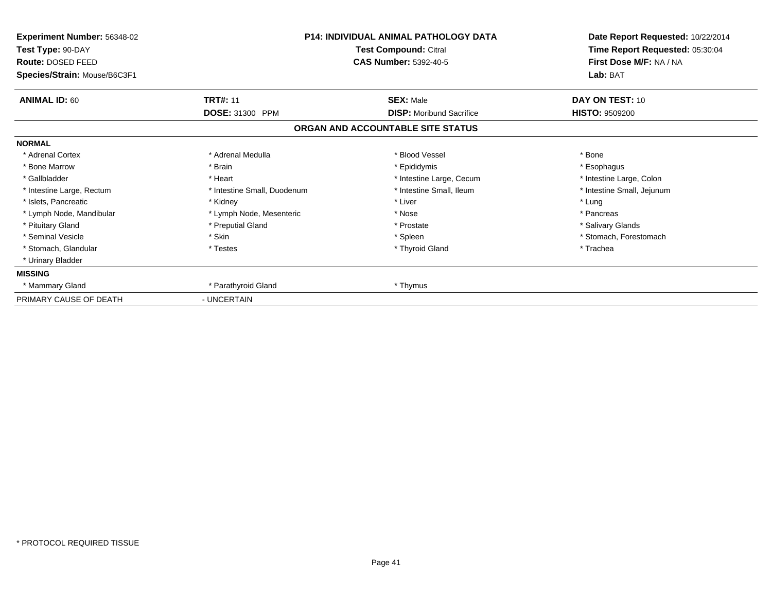| Experiment Number: 56348-02<br>Test Type: 90-DAY<br><b>Route: DOSED FEED</b><br>Species/Strain: Mouse/B6C3F1 | <b>P14: INDIVIDUAL ANIMAL PATHOLOGY DATA</b><br>Test Compound: Citral<br><b>CAS Number: 5392-40-5</b> |                                   | Date Report Requested: 10/22/2014<br>Time Report Requested: 05:30:04<br>First Dose M/F: NA / NA<br>Lab: BAT |
|--------------------------------------------------------------------------------------------------------------|-------------------------------------------------------------------------------------------------------|-----------------------------------|-------------------------------------------------------------------------------------------------------------|
| <b>ANIMAL ID: 60</b>                                                                                         | <b>TRT#: 11</b>                                                                                       | <b>SEX: Male</b>                  | DAY ON TEST: 10                                                                                             |
|                                                                                                              | DOSE: 31300 PPM                                                                                       | <b>DISP:</b> Moribund Sacrifice   | <b>HISTO: 9509200</b>                                                                                       |
|                                                                                                              |                                                                                                       | ORGAN AND ACCOUNTABLE SITE STATUS |                                                                                                             |
| <b>NORMAL</b>                                                                                                |                                                                                                       |                                   |                                                                                                             |
| * Adrenal Cortex                                                                                             | * Adrenal Medulla                                                                                     | * Blood Vessel                    | * Bone                                                                                                      |
| * Bone Marrow                                                                                                | * Brain                                                                                               | * Epididymis                      | * Esophagus                                                                                                 |
| * Gallbladder                                                                                                | * Heart                                                                                               | * Intestine Large, Cecum          | * Intestine Large, Colon                                                                                    |
| * Intestine Large, Rectum                                                                                    | * Intestine Small, Duodenum                                                                           | * Intestine Small, Ileum          | * Intestine Small, Jejunum                                                                                  |
| * Islets, Pancreatic                                                                                         | * Kidney                                                                                              | * Liver                           | * Lung                                                                                                      |
| * Lymph Node, Mandibular                                                                                     | * Lymph Node, Mesenteric                                                                              | * Nose                            | * Pancreas                                                                                                  |
| * Pituitary Gland                                                                                            | * Preputial Gland                                                                                     | * Prostate                        | * Salivary Glands                                                                                           |
| * Seminal Vesicle                                                                                            | * Skin                                                                                                | * Spleen                          | * Stomach, Forestomach                                                                                      |
| * Stomach, Glandular                                                                                         | * Testes                                                                                              | * Thyroid Gland                   | * Trachea                                                                                                   |
| * Urinary Bladder                                                                                            |                                                                                                       |                                   |                                                                                                             |
| <b>MISSING</b>                                                                                               |                                                                                                       |                                   |                                                                                                             |
| * Mammary Gland                                                                                              | * Parathyroid Gland                                                                                   | * Thymus                          |                                                                                                             |
| PRIMARY CAUSE OF DEATH                                                                                       | - UNCERTAIN                                                                                           |                                   |                                                                                                             |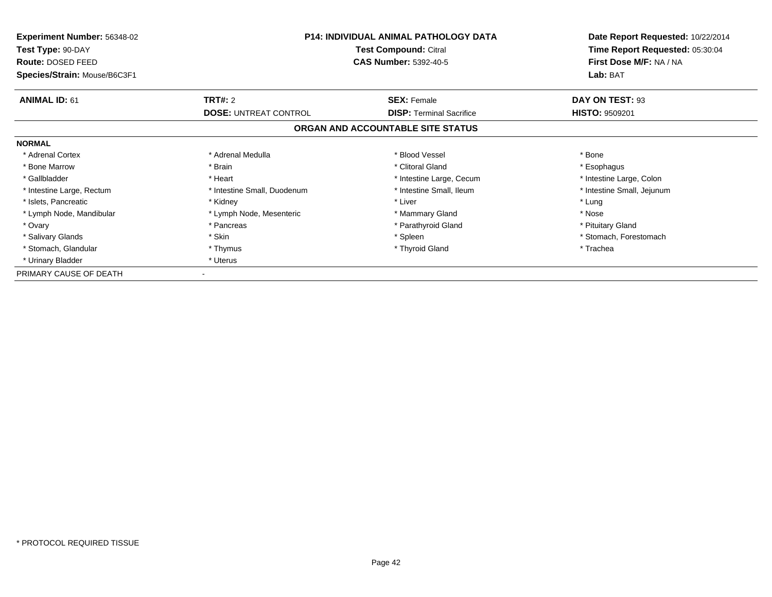| Experiment Number: 56348-02<br>Test Type: 90-DAY | <b>P14: INDIVIDUAL ANIMAL PATHOLOGY DATA</b><br><b>Test Compound: Citral</b> |                                   | Date Report Requested: 10/22/2014<br>Time Report Requested: 05:30:04 |
|--------------------------------------------------|------------------------------------------------------------------------------|-----------------------------------|----------------------------------------------------------------------|
| Route: DOSED FEED                                |                                                                              | <b>CAS Number: 5392-40-5</b>      | First Dose M/F: NA / NA                                              |
| Species/Strain: Mouse/B6C3F1                     |                                                                              |                                   | Lab: BAT                                                             |
| <b>ANIMAL ID: 61</b>                             | <b>TRT#: 2</b>                                                               | <b>SEX: Female</b>                | DAY ON TEST: 93                                                      |
|                                                  | <b>DOSE: UNTREAT CONTROL</b>                                                 | <b>DISP: Terminal Sacrifice</b>   | <b>HISTO: 9509201</b>                                                |
|                                                  |                                                                              | ORGAN AND ACCOUNTABLE SITE STATUS |                                                                      |
| <b>NORMAL</b>                                    |                                                                              |                                   |                                                                      |
| * Adrenal Cortex                                 | * Adrenal Medulla                                                            | * Blood Vessel                    | * Bone                                                               |
| * Bone Marrow                                    | * Brain                                                                      | * Clitoral Gland                  | * Esophagus                                                          |
| * Gallbladder                                    | * Heart                                                                      | * Intestine Large, Cecum          | * Intestine Large, Colon                                             |
| * Intestine Large, Rectum                        | * Intestine Small, Duodenum                                                  | * Intestine Small, Ileum          | * Intestine Small, Jejunum                                           |
| * Islets, Pancreatic                             | * Kidney                                                                     | * Liver                           | * Lung                                                               |
| * Lymph Node, Mandibular                         | * Lymph Node, Mesenteric                                                     | * Mammary Gland                   | * Nose                                                               |
| * Ovary                                          | * Pancreas                                                                   | * Parathyroid Gland               | * Pituitary Gland                                                    |
| * Salivary Glands                                | * Skin                                                                       | * Spleen                          | * Stomach, Forestomach                                               |
| * Stomach, Glandular                             | * Thymus                                                                     | * Thyroid Gland                   | * Trachea                                                            |
| * Urinary Bladder                                | * Uterus                                                                     |                                   |                                                                      |
| PRIMARY CAUSE OF DEATH                           |                                                                              |                                   |                                                                      |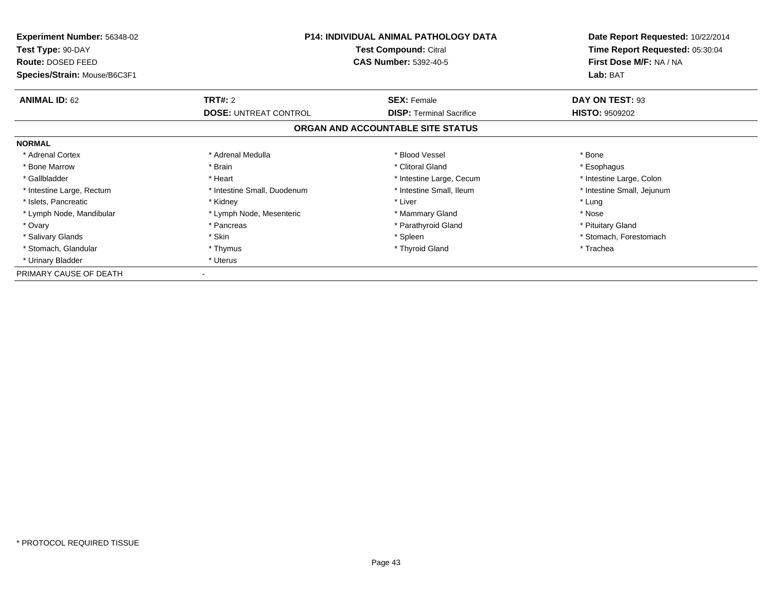| Experiment Number: 56348-02            | <b>P14: INDIVIDUAL ANIMAL PATHOLOGY DATA</b> |                                                              | Date Report Requested: 10/22/2014                          |
|----------------------------------------|----------------------------------------------|--------------------------------------------------------------|------------------------------------------------------------|
| Test Type: 90-DAY<br>Route: DOSED FEED |                                              | <b>Test Compound: Citral</b><br><b>CAS Number: 5392-40-5</b> | Time Report Requested: 05:30:04<br>First Dose M/F: NA / NA |
| Species/Strain: Mouse/B6C3F1           |                                              |                                                              | Lab: BAT                                                   |
| <b>ANIMAL ID: 62</b>                   | <b>TRT#: 2</b>                               | <b>SEX: Female</b>                                           | DAY ON TEST: 93                                            |
|                                        | <b>DOSE: UNTREAT CONTROL</b>                 | <b>DISP: Terminal Sacrifice</b>                              | <b>HISTO: 9509202</b>                                      |
|                                        |                                              | ORGAN AND ACCOUNTABLE SITE STATUS                            |                                                            |
| <b>NORMAL</b>                          |                                              |                                                              |                                                            |
| * Adrenal Cortex                       | * Adrenal Medulla                            | * Blood Vessel                                               | * Bone                                                     |
| * Bone Marrow                          | * Brain                                      | * Clitoral Gland                                             | * Esophagus                                                |
| * Gallbladder                          | * Heart                                      | * Intestine Large, Cecum                                     | * Intestine Large, Colon                                   |
| * Intestine Large, Rectum              | * Intestine Small, Duodenum                  | * Intestine Small, Ileum                                     | * Intestine Small, Jejunum                                 |
| * Islets, Pancreatic                   | * Kidney                                     | * Liver                                                      | * Lung                                                     |
| * Lymph Node, Mandibular               | * Lymph Node, Mesenteric                     | * Mammary Gland                                              | * Nose                                                     |
| * Ovary                                | * Pancreas                                   | * Parathyroid Gland                                          | * Pituitary Gland                                          |
| * Salivary Glands                      | * Skin                                       | * Spleen                                                     | * Stomach, Forestomach                                     |
| * Stomach, Glandular                   | * Thymus                                     | * Thyroid Gland                                              | * Trachea                                                  |
| * Urinary Bladder                      | * Uterus                                     |                                                              |                                                            |
| PRIMARY CAUSE OF DEATH                 |                                              |                                                              |                                                            |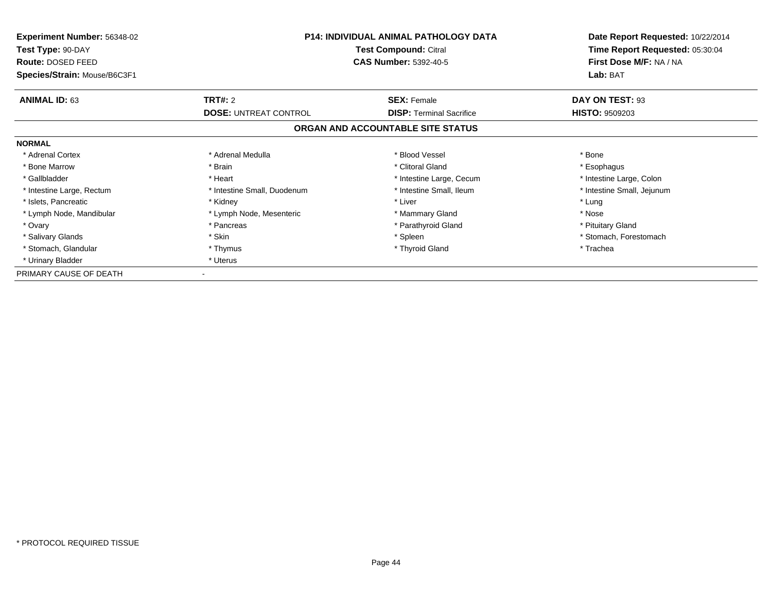| Experiment Number: 56348-02            | <b>P14: INDIVIDUAL ANIMAL PATHOLOGY DATA</b> |                                                              | Date Report Requested: 10/22/2014                          |  |
|----------------------------------------|----------------------------------------------|--------------------------------------------------------------|------------------------------------------------------------|--|
| Test Type: 90-DAY<br>Route: DOSED FEED |                                              | <b>Test Compound: Citral</b><br><b>CAS Number: 5392-40-5</b> | Time Report Requested: 05:30:04<br>First Dose M/F: NA / NA |  |
| Species/Strain: Mouse/B6C3F1           |                                              |                                                              | Lab: BAT                                                   |  |
| <b>ANIMAL ID: 63</b>                   | <b>TRT#: 2</b>                               | <b>SEX: Female</b>                                           | DAY ON TEST: 93                                            |  |
|                                        | <b>DOSE: UNTREAT CONTROL</b>                 | <b>DISP: Terminal Sacrifice</b>                              | <b>HISTO: 9509203</b>                                      |  |
|                                        |                                              | ORGAN AND ACCOUNTABLE SITE STATUS                            |                                                            |  |
| <b>NORMAL</b>                          |                                              |                                                              |                                                            |  |
| * Adrenal Cortex                       | * Adrenal Medulla                            | * Blood Vessel                                               | * Bone                                                     |  |
| * Bone Marrow                          | * Brain                                      | * Clitoral Gland                                             | * Esophagus                                                |  |
| * Gallbladder                          | * Heart                                      | * Intestine Large, Cecum                                     | * Intestine Large, Colon                                   |  |
| * Intestine Large, Rectum              | * Intestine Small, Duodenum                  | * Intestine Small, Ileum                                     | * Intestine Small, Jejunum                                 |  |
| * Islets, Pancreatic                   | * Kidney                                     | * Liver                                                      | * Lung                                                     |  |
| * Lymph Node, Mandibular               | * Lymph Node, Mesenteric                     | * Mammary Gland                                              | * Nose                                                     |  |
| * Ovary                                | * Pancreas                                   | * Parathyroid Gland                                          | * Pituitary Gland                                          |  |
| * Salivary Glands                      | * Skin                                       | * Spleen                                                     | * Stomach, Forestomach                                     |  |
| * Stomach, Glandular                   | * Thymus                                     | * Thyroid Gland                                              | * Trachea                                                  |  |
| * Urinary Bladder                      | * Uterus                                     |                                                              |                                                            |  |
| PRIMARY CAUSE OF DEATH                 |                                              |                                                              |                                                            |  |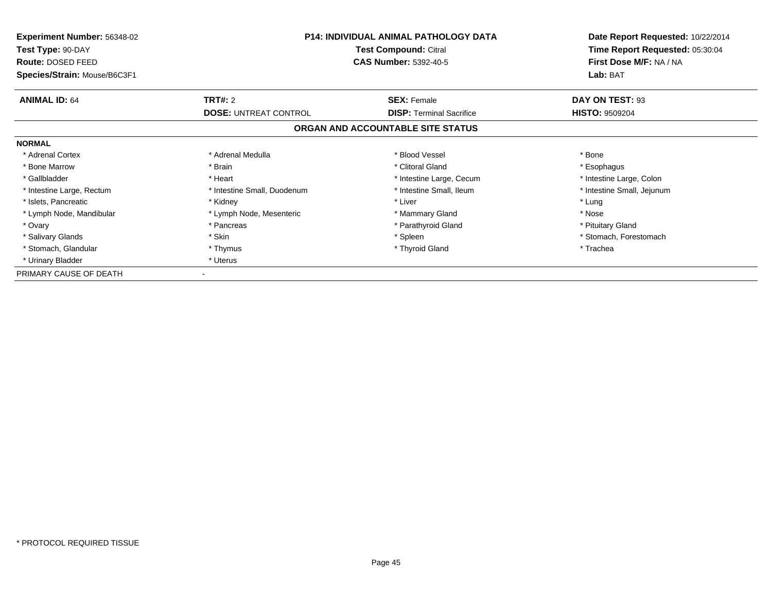| Experiment Number: 56348-02<br>Test Type: 90-DAY | <b>P14: INDIVIDUAL ANIMAL PATHOLOGY DATA</b><br><b>Test Compound: Citral</b> |                                   | Date Report Requested: 10/22/2014<br>Time Report Requested: 05:30:04 |
|--------------------------------------------------|------------------------------------------------------------------------------|-----------------------------------|----------------------------------------------------------------------|
| Route: DOSED FEED                                |                                                                              | <b>CAS Number: 5392-40-5</b>      | First Dose M/F: NA / NA                                              |
| Species/Strain: Mouse/B6C3F1                     |                                                                              |                                   | Lab: BAT                                                             |
| <b>ANIMAL ID: 64</b>                             | <b>TRT#: 2</b>                                                               | <b>SEX: Female</b>                | DAY ON TEST: 93                                                      |
|                                                  | <b>DOSE: UNTREAT CONTROL</b>                                                 | <b>DISP: Terminal Sacrifice</b>   | <b>HISTO: 9509204</b>                                                |
|                                                  |                                                                              | ORGAN AND ACCOUNTABLE SITE STATUS |                                                                      |
| <b>NORMAL</b>                                    |                                                                              |                                   |                                                                      |
| * Adrenal Cortex                                 | * Adrenal Medulla                                                            | * Blood Vessel                    | * Bone                                                               |
| * Bone Marrow                                    | * Brain                                                                      | * Clitoral Gland                  | * Esophagus                                                          |
| * Gallbladder                                    | * Heart                                                                      | * Intestine Large, Cecum          | * Intestine Large, Colon                                             |
| * Intestine Large, Rectum                        | * Intestine Small, Duodenum                                                  | * Intestine Small, Ileum          | * Intestine Small, Jejunum                                           |
| * Islets, Pancreatic                             | * Kidney                                                                     | * Liver                           | * Lung                                                               |
| * Lymph Node, Mandibular                         | * Lymph Node, Mesenteric                                                     | * Mammary Gland                   | * Nose                                                               |
| * Ovary                                          | * Pancreas                                                                   | * Parathyroid Gland               | * Pituitary Gland                                                    |
| * Salivary Glands                                | * Skin                                                                       | * Spleen                          | * Stomach, Forestomach                                               |
| * Stomach, Glandular                             | * Thymus                                                                     | * Thyroid Gland                   | * Trachea                                                            |
| * Urinary Bladder                                | * Uterus                                                                     |                                   |                                                                      |
| PRIMARY CAUSE OF DEATH                           |                                                                              |                                   |                                                                      |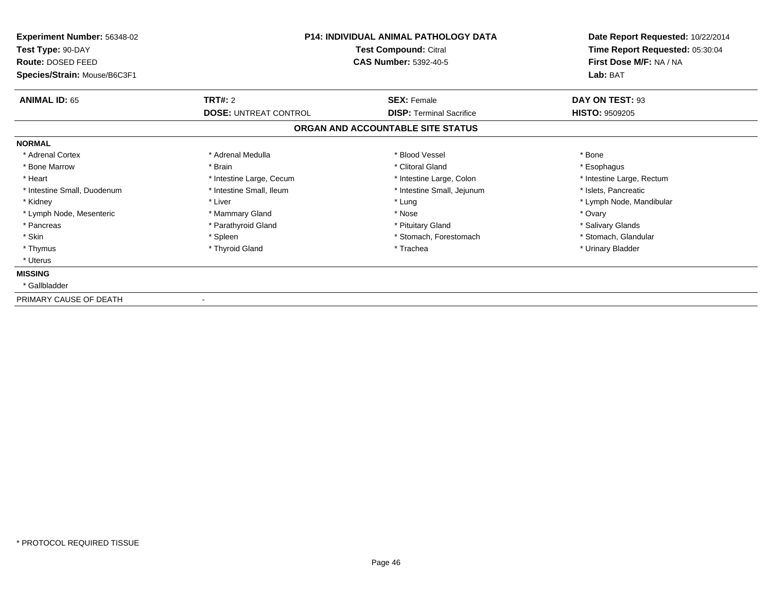| Experiment Number: 56348-02<br>Test Type: 90-DAY<br>Route: DOSED FEED<br>Species/Strain: Mouse/B6C3F1 | <b>P14: INDIVIDUAL ANIMAL PATHOLOGY DATA</b><br>Test Compound: Citral<br><b>CAS Number: 5392-40-5</b> |                                   | Date Report Requested: 10/22/2014<br>Time Report Requested: 05:30:04<br>First Dose M/F: NA / NA<br>Lab: BAT |
|-------------------------------------------------------------------------------------------------------|-------------------------------------------------------------------------------------------------------|-----------------------------------|-------------------------------------------------------------------------------------------------------------|
| <b>ANIMAL ID: 65</b>                                                                                  | TRT#: 2                                                                                               | <b>SEX: Female</b>                | DAY ON TEST: 93                                                                                             |
|                                                                                                       | <b>DOSE: UNTREAT CONTROL</b>                                                                          | <b>DISP: Terminal Sacrifice</b>   | <b>HISTO: 9509205</b>                                                                                       |
|                                                                                                       |                                                                                                       | ORGAN AND ACCOUNTABLE SITE STATUS |                                                                                                             |
| <b>NORMAL</b>                                                                                         |                                                                                                       |                                   |                                                                                                             |
| * Adrenal Cortex                                                                                      | * Adrenal Medulla                                                                                     | * Blood Vessel                    | * Bone                                                                                                      |
| * Bone Marrow                                                                                         | * Brain                                                                                               | * Clitoral Gland                  | * Esophagus                                                                                                 |
| * Heart                                                                                               | * Intestine Large, Cecum                                                                              | * Intestine Large, Colon          | * Intestine Large, Rectum                                                                                   |
| * Intestine Small, Duodenum                                                                           | * Intestine Small, Ileum                                                                              | * Intestine Small, Jejunum        | * Islets, Pancreatic                                                                                        |
| * Kidney                                                                                              | * Liver                                                                                               | * Lung                            | * Lymph Node, Mandibular                                                                                    |
| * Lymph Node, Mesenteric                                                                              | * Mammary Gland                                                                                       | * Nose                            | * Ovary                                                                                                     |
| * Pancreas                                                                                            | * Parathyroid Gland                                                                                   | * Pituitary Gland                 | * Salivary Glands                                                                                           |
| * Skin                                                                                                | * Spleen                                                                                              | * Stomach, Forestomach            | * Stomach, Glandular                                                                                        |
| * Thymus                                                                                              | * Thyroid Gland                                                                                       | * Trachea                         | * Urinary Bladder                                                                                           |
| * Uterus                                                                                              |                                                                                                       |                                   |                                                                                                             |
| <b>MISSING</b>                                                                                        |                                                                                                       |                                   |                                                                                                             |
| * Gallbladder                                                                                         |                                                                                                       |                                   |                                                                                                             |
|                                                                                                       |                                                                                                       |                                   |                                                                                                             |

PRIMARY CAUSE OF DEATH-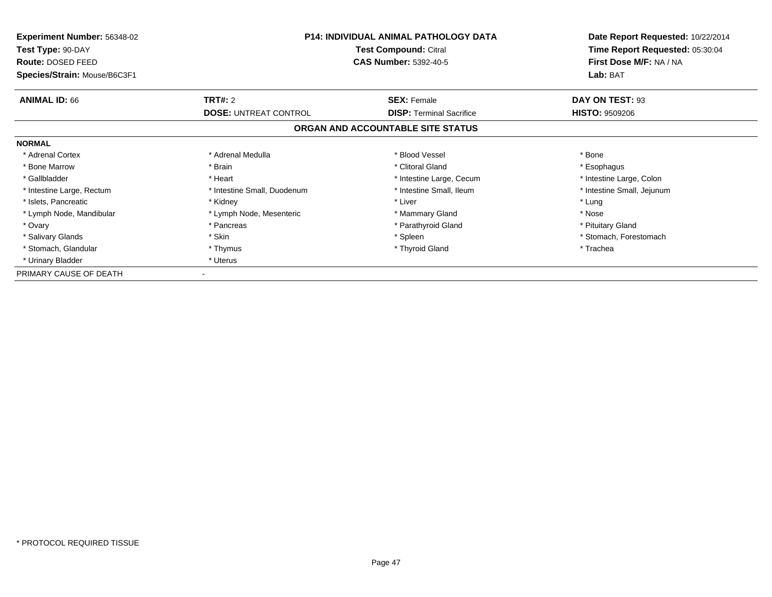| Experiment Number: 56348-02  | <b>P14: INDIVIDUAL ANIMAL PATHOLOGY DATA</b><br>Test Compound: Citral |                                   | Date Report Requested: 10/22/2014 |
|------------------------------|-----------------------------------------------------------------------|-----------------------------------|-----------------------------------|
| Test Type: 90-DAY            |                                                                       |                                   | Time Report Requested: 05:30:04   |
| Route: DOSED FEED            |                                                                       | <b>CAS Number: 5392-40-5</b>      | First Dose M/F: NA / NA           |
| Species/Strain: Mouse/B6C3F1 |                                                                       |                                   | Lab: BAT                          |
| <b>ANIMAL ID: 66</b>         | <b>TRT#: 2</b>                                                        | <b>SEX: Female</b>                | DAY ON TEST: 93                   |
|                              | <b>DOSE: UNTREAT CONTROL</b>                                          | <b>DISP:</b> Terminal Sacrifice   | <b>HISTO: 9509206</b>             |
|                              |                                                                       | ORGAN AND ACCOUNTABLE SITE STATUS |                                   |
| <b>NORMAL</b>                |                                                                       |                                   |                                   |
| * Adrenal Cortex             | * Adrenal Medulla                                                     | * Blood Vessel                    | * Bone                            |
| * Bone Marrow                | * Brain                                                               | * Clitoral Gland                  | * Esophagus                       |
| * Gallbladder                | * Heart                                                               | * Intestine Large, Cecum          | * Intestine Large, Colon          |
| * Intestine Large, Rectum    | * Intestine Small, Duodenum                                           | * Intestine Small, Ileum          | * Intestine Small, Jejunum        |
| * Islets, Pancreatic         | * Kidney                                                              | * Liver                           | * Lung                            |
| * Lymph Node, Mandibular     | * Lymph Node, Mesenteric                                              | * Mammary Gland                   | * Nose                            |
| * Ovary                      | * Pancreas                                                            | * Parathyroid Gland               | * Pituitary Gland                 |
| * Salivary Glands            | * Skin                                                                | * Spleen                          | * Stomach, Forestomach            |
| * Stomach, Glandular         | * Thymus                                                              | * Thyroid Gland                   | * Trachea                         |
| * Urinary Bladder            | * Uterus                                                              |                                   |                                   |
| PRIMARY CAUSE OF DEATH       |                                                                       |                                   |                                   |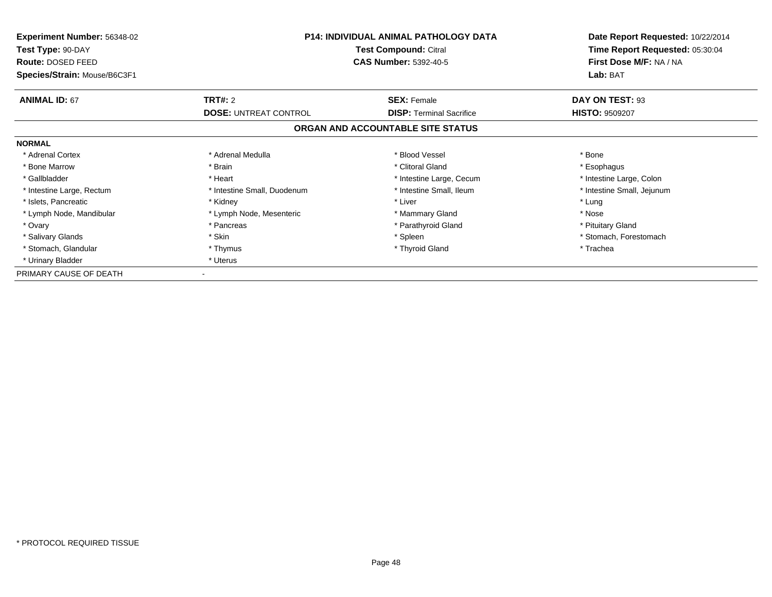| Experiment Number: 56348-02<br>Test Type: 90-DAY | <b>P14: INDIVIDUAL ANIMAL PATHOLOGY DATA</b><br><b>Test Compound: Citral</b> |                                   | Date Report Requested: 10/22/2014<br>Time Report Requested: 05:30:04 |
|--------------------------------------------------|------------------------------------------------------------------------------|-----------------------------------|----------------------------------------------------------------------|
| Route: DOSED FEED                                |                                                                              | <b>CAS Number: 5392-40-5</b>      | First Dose M/F: NA / NA                                              |
| Species/Strain: Mouse/B6C3F1                     |                                                                              |                                   | Lab: BAT                                                             |
| <b>ANIMAL ID: 67</b>                             | <b>TRT#: 2</b>                                                               | <b>SEX: Female</b>                | DAY ON TEST: 93                                                      |
|                                                  | <b>DOSE: UNTREAT CONTROL</b>                                                 | <b>DISP: Terminal Sacrifice</b>   | <b>HISTO: 9509207</b>                                                |
|                                                  |                                                                              | ORGAN AND ACCOUNTABLE SITE STATUS |                                                                      |
| <b>NORMAL</b>                                    |                                                                              |                                   |                                                                      |
| * Adrenal Cortex                                 | * Adrenal Medulla                                                            | * Blood Vessel                    | * Bone                                                               |
| * Bone Marrow                                    | * Brain                                                                      | * Clitoral Gland                  | * Esophagus                                                          |
| * Gallbladder                                    | * Heart                                                                      | * Intestine Large, Cecum          | * Intestine Large, Colon                                             |
| * Intestine Large, Rectum                        | * Intestine Small, Duodenum                                                  | * Intestine Small, Ileum          | * Intestine Small, Jejunum                                           |
| * Islets, Pancreatic                             | * Kidney                                                                     | * Liver                           | * Lung                                                               |
| * Lymph Node, Mandibular                         | * Lymph Node, Mesenteric                                                     | * Mammary Gland                   | * Nose                                                               |
| * Ovary                                          | * Pancreas                                                                   | * Parathyroid Gland               | * Pituitary Gland                                                    |
| * Salivary Glands                                | * Skin                                                                       | * Spleen                          | * Stomach, Forestomach                                               |
| * Stomach, Glandular                             | * Thymus                                                                     | * Thyroid Gland                   | * Trachea                                                            |
| * Urinary Bladder                                | * Uterus                                                                     |                                   |                                                                      |
| PRIMARY CAUSE OF DEATH                           |                                                                              |                                   |                                                                      |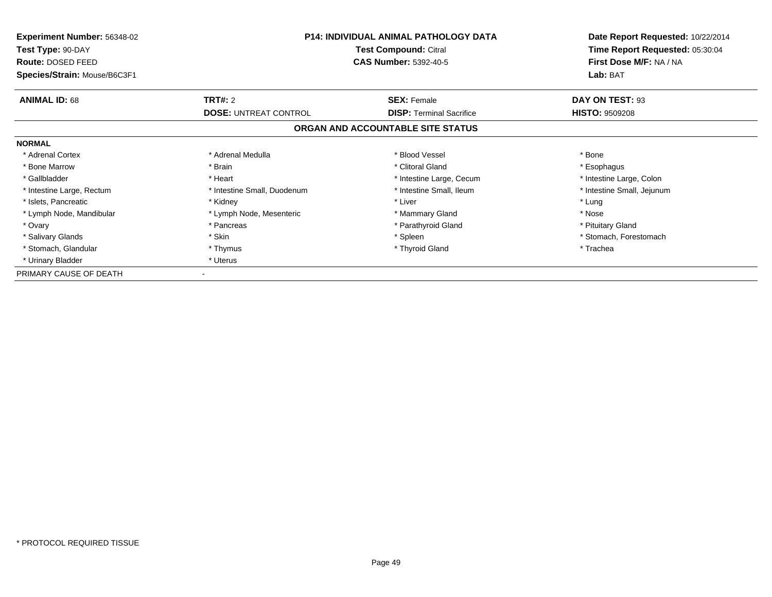| Experiment Number: 56348-02  | <b>P14: INDIVIDUAL ANIMAL PATHOLOGY DATA</b> |                                   | Date Report Requested: 10/22/2014 |
|------------------------------|----------------------------------------------|-----------------------------------|-----------------------------------|
| Test Type: 90-DAY            |                                              | <b>Test Compound: Citral</b>      | Time Report Requested: 05:30:04   |
| Route: DOSED FEED            |                                              | <b>CAS Number: 5392-40-5</b>      | First Dose M/F: NA / NA           |
| Species/Strain: Mouse/B6C3F1 |                                              |                                   | Lab: BAT                          |
| <b>ANIMAL ID: 68</b>         | <b>TRT#: 2</b>                               | <b>SEX: Female</b>                | DAY ON TEST: 93                   |
|                              | <b>DOSE: UNTREAT CONTROL</b>                 | <b>DISP: Terminal Sacrifice</b>   | <b>HISTO: 9509208</b>             |
|                              |                                              | ORGAN AND ACCOUNTABLE SITE STATUS |                                   |
| <b>NORMAL</b>                |                                              |                                   |                                   |
| * Adrenal Cortex             | * Adrenal Medulla                            | * Blood Vessel                    | * Bone                            |
| * Bone Marrow                | * Brain                                      | * Clitoral Gland                  | * Esophagus                       |
| * Gallbladder                | * Heart                                      | * Intestine Large, Cecum          | * Intestine Large, Colon          |
| * Intestine Large, Rectum    | * Intestine Small, Duodenum                  | * Intestine Small, Ileum          | * Intestine Small, Jejunum        |
| * Islets, Pancreatic         | * Kidney                                     | * Liver                           | * Lung                            |
| * Lymph Node, Mandibular     | * Lymph Node, Mesenteric                     | * Mammary Gland                   | * Nose                            |
| * Ovary                      | * Pancreas                                   | * Parathyroid Gland               | * Pituitary Gland                 |
| * Salivary Glands            | * Skin                                       | * Spleen                          | * Stomach, Forestomach            |
| * Stomach, Glandular         | * Thymus                                     | * Thyroid Gland                   | * Trachea                         |
| * Urinary Bladder            | * Uterus                                     |                                   |                                   |
| PRIMARY CAUSE OF DEATH       |                                              |                                   |                                   |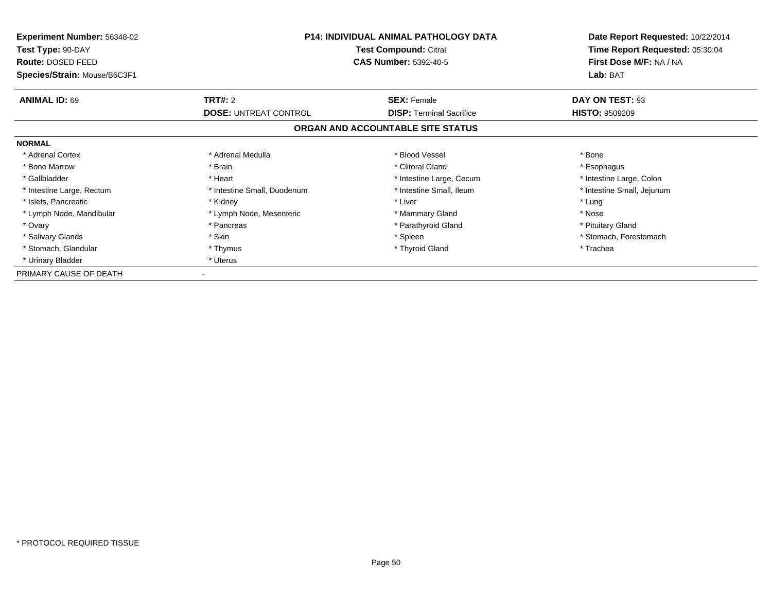| Experiment Number: 56348-02  | <b>P14: INDIVIDUAL ANIMAL PATHOLOGY DATA</b><br>Test Compound: Citral |                                   | Date Report Requested: 10/22/2014 |
|------------------------------|-----------------------------------------------------------------------|-----------------------------------|-----------------------------------|
| Test Type: 90-DAY            |                                                                       |                                   | Time Report Requested: 05:30:04   |
| Route: DOSED FEED            |                                                                       | <b>CAS Number: 5392-40-5</b>      | First Dose M/F: NA / NA           |
| Species/Strain: Mouse/B6C3F1 |                                                                       |                                   | Lab: BAT                          |
| <b>ANIMAL ID: 69</b>         | <b>TRT#: 2</b>                                                        | <b>SEX: Female</b>                | DAY ON TEST: 93                   |
|                              | <b>DOSE: UNTREAT CONTROL</b>                                          | <b>DISP:</b> Terminal Sacrifice   | <b>HISTO: 9509209</b>             |
|                              |                                                                       | ORGAN AND ACCOUNTABLE SITE STATUS |                                   |
| <b>NORMAL</b>                |                                                                       |                                   |                                   |
| * Adrenal Cortex             | * Adrenal Medulla                                                     | * Blood Vessel                    | * Bone                            |
| * Bone Marrow                | * Brain                                                               | * Clitoral Gland                  | * Esophagus                       |
| * Gallbladder                | * Heart                                                               | * Intestine Large, Cecum          | * Intestine Large, Colon          |
| * Intestine Large, Rectum    | * Intestine Small, Duodenum                                           | * Intestine Small, Ileum          | * Intestine Small, Jejunum        |
| * Islets, Pancreatic         | * Kidney                                                              | * Liver                           | * Lung                            |
| * Lymph Node, Mandibular     | * Lymph Node, Mesenteric                                              | * Mammary Gland                   | * Nose                            |
| * Ovary                      | * Pancreas                                                            | * Parathyroid Gland               | * Pituitary Gland                 |
| * Salivary Glands            | * Skin                                                                | * Spleen                          | * Stomach, Forestomach            |
| * Stomach, Glandular         | * Thymus                                                              | * Thyroid Gland                   | * Trachea                         |
| * Urinary Bladder            | * Uterus                                                              |                                   |                                   |
| PRIMARY CAUSE OF DEATH       |                                                                       |                                   |                                   |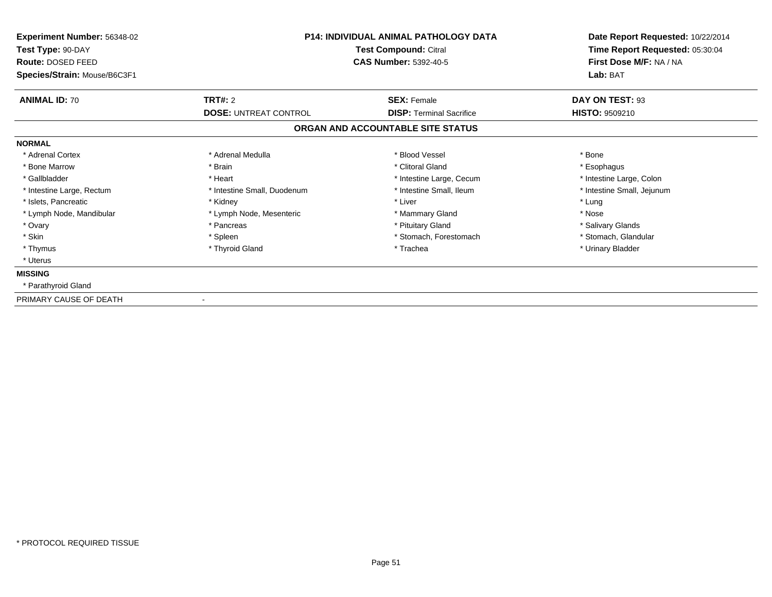| <b>Experiment Number: 56348-02</b><br>Test Type: 90-DAY<br>Route: DOSED FEED<br>Species/Strain: Mouse/B6C3F1 | <b>P14: INDIVIDUAL ANIMAL PATHOLOGY DATA</b><br>Test Compound: Citral<br><b>CAS Number: 5392-40-5</b> |                                   | Date Report Requested: 10/22/2014<br>Time Report Requested: 05:30:04<br>First Dose M/F: NA / NA<br>Lab: BAT |
|--------------------------------------------------------------------------------------------------------------|-------------------------------------------------------------------------------------------------------|-----------------------------------|-------------------------------------------------------------------------------------------------------------|
| <b>ANIMAL ID: 70</b>                                                                                         | TRT#: 2                                                                                               | <b>SEX: Female</b>                | DAY ON TEST: 93                                                                                             |
|                                                                                                              | <b>DOSE: UNTREAT CONTROL</b>                                                                          | <b>DISP:</b> Terminal Sacrifice   | HISTO: 9509210                                                                                              |
|                                                                                                              |                                                                                                       | ORGAN AND ACCOUNTABLE SITE STATUS |                                                                                                             |
| <b>NORMAL</b>                                                                                                |                                                                                                       |                                   |                                                                                                             |
| * Adrenal Cortex                                                                                             | * Adrenal Medulla                                                                                     | * Blood Vessel                    | * Bone                                                                                                      |
| * Bone Marrow                                                                                                | * Brain                                                                                               | * Clitoral Gland                  | * Esophagus                                                                                                 |
| * Gallbladder                                                                                                | * Heart                                                                                               | * Intestine Large, Cecum          | * Intestine Large, Colon                                                                                    |
| * Intestine Large, Rectum                                                                                    | * Intestine Small, Duodenum                                                                           | * Intestine Small, Ileum          | * Intestine Small, Jejunum                                                                                  |
| * Islets, Pancreatic                                                                                         | * Kidney                                                                                              | * Liver                           | * Lung                                                                                                      |
| * Lymph Node, Mandibular                                                                                     | * Lymph Node, Mesenteric                                                                              | * Mammary Gland                   | * Nose                                                                                                      |
| * Ovary                                                                                                      | * Pancreas                                                                                            | * Pituitary Gland                 | * Salivary Glands                                                                                           |
| * Skin                                                                                                       | * Spleen                                                                                              | * Stomach, Forestomach            | * Stomach, Glandular                                                                                        |
| * Thymus                                                                                                     | * Thyroid Gland                                                                                       | * Trachea                         | * Urinary Bladder                                                                                           |
| * Uterus                                                                                                     |                                                                                                       |                                   |                                                                                                             |
| <b>MISSING</b>                                                                                               |                                                                                                       |                                   |                                                                                                             |
| * Parathyroid Gland                                                                                          |                                                                                                       |                                   |                                                                                                             |
| PRIMARY CAUSE OF DEATH                                                                                       |                                                                                                       |                                   |                                                                                                             |

-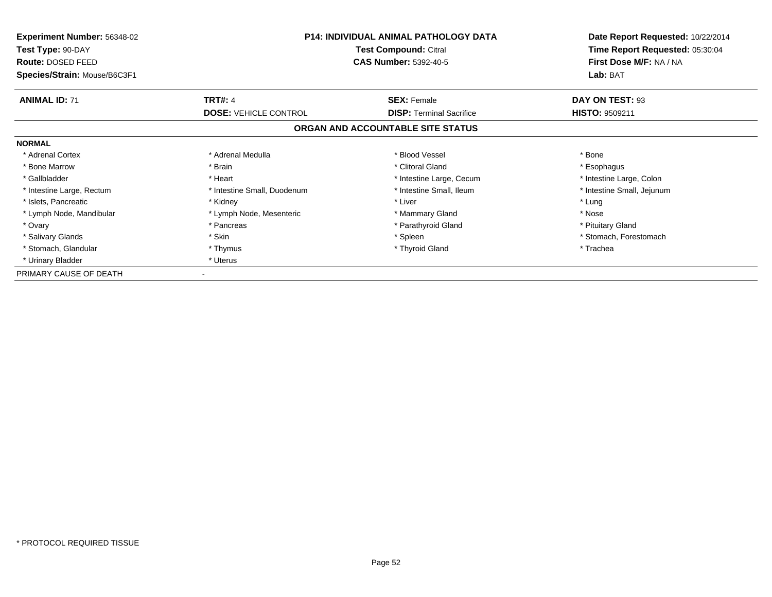| Experiment Number: 56348-02            |                              | <b>P14: INDIVIDUAL ANIMAL PATHOLOGY DATA</b><br><b>Test Compound: Citral</b> |                                                            |
|----------------------------------------|------------------------------|------------------------------------------------------------------------------|------------------------------------------------------------|
| Test Type: 90-DAY<br>Route: DOSED FEED |                              | <b>CAS Number: 5392-40-5</b>                                                 | Time Report Requested: 05:30:04<br>First Dose M/F: NA / NA |
| Species/Strain: Mouse/B6C3F1           |                              | Lab: BAT                                                                     |                                                            |
| <b>ANIMAL ID: 71</b>                   | <b>TRT#: 4</b>               | <b>SEX: Female</b>                                                           | DAY ON TEST: 93                                            |
|                                        | <b>DOSE: VEHICLE CONTROL</b> | <b>DISP: Terminal Sacrifice</b>                                              | <b>HISTO: 9509211</b>                                      |
|                                        |                              | ORGAN AND ACCOUNTABLE SITE STATUS                                            |                                                            |
| <b>NORMAL</b>                          |                              |                                                                              |                                                            |
| * Adrenal Cortex                       | * Adrenal Medulla            | * Blood Vessel                                                               | * Bone                                                     |
| * Bone Marrow                          | * Brain                      | * Clitoral Gland                                                             | * Esophagus                                                |
| * Gallbladder                          | * Heart                      | * Intestine Large, Cecum                                                     | * Intestine Large, Colon                                   |
| * Intestine Large, Rectum              | * Intestine Small, Duodenum  | * Intestine Small, Ileum                                                     | * Intestine Small, Jejunum                                 |
| * Islets, Pancreatic                   | * Kidney                     | * Liver                                                                      | * Lung                                                     |
| * Lymph Node, Mandibular               | * Lymph Node, Mesenteric     | * Mammary Gland                                                              | * Nose                                                     |
| * Ovary                                | * Pancreas                   | * Parathyroid Gland                                                          | * Pituitary Gland                                          |
| * Salivary Glands                      | * Skin                       | * Spleen                                                                     | * Stomach, Forestomach                                     |
| * Stomach, Glandular                   | * Thymus                     | * Thyroid Gland                                                              | * Trachea                                                  |
| * Urinary Bladder                      | * Uterus                     |                                                                              |                                                            |
| PRIMARY CAUSE OF DEATH                 |                              |                                                                              |                                                            |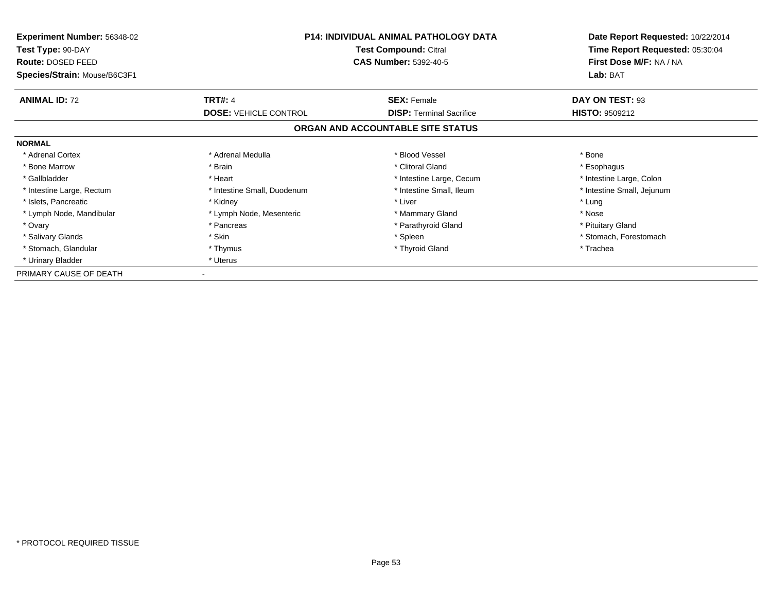| <b>Experiment Number: 56348-02</b><br>Test Type: 90-DAY<br>Route: DOSED FEED | <b>P14: INDIVIDUAL ANIMAL PATHOLOGY DATA</b><br>Test Compound: Citral<br><b>CAS Number: 5392-40-5</b> |                                   | Date Report Requested: 10/22/2014<br>Time Report Requested: 05:30:04<br>First Dose M/F: NA / NA |  |
|------------------------------------------------------------------------------|-------------------------------------------------------------------------------------------------------|-----------------------------------|-------------------------------------------------------------------------------------------------|--|
| Species/Strain: Mouse/B6C3F1                                                 |                                                                                                       |                                   | Lab: BAT                                                                                        |  |
| <b>ANIMAL ID: 72</b>                                                         | <b>TRT#: 4</b>                                                                                        | <b>SEX: Female</b>                | DAY ON TEST: 93                                                                                 |  |
|                                                                              | <b>DOSE: VEHICLE CONTROL</b>                                                                          | <b>DISP:</b> Terminal Sacrifice   | <b>HISTO: 9509212</b>                                                                           |  |
|                                                                              |                                                                                                       | ORGAN AND ACCOUNTABLE SITE STATUS |                                                                                                 |  |
| <b>NORMAL</b>                                                                |                                                                                                       |                                   |                                                                                                 |  |
| * Adrenal Cortex                                                             | * Adrenal Medulla                                                                                     | * Blood Vessel                    | * Bone                                                                                          |  |
| * Bone Marrow                                                                | * Brain                                                                                               | * Clitoral Gland                  | * Esophagus                                                                                     |  |
| * Gallbladder                                                                | * Heart                                                                                               | * Intestine Large, Cecum          | * Intestine Large, Colon                                                                        |  |
| * Intestine Large, Rectum                                                    | * Intestine Small, Duodenum                                                                           | * Intestine Small, Ileum          | * Intestine Small, Jejunum                                                                      |  |
| * Islets, Pancreatic                                                         | * Kidney                                                                                              | * Liver                           | * Lung                                                                                          |  |
| * Lymph Node, Mandibular                                                     | * Lymph Node, Mesenteric                                                                              | * Mammary Gland                   | * Nose                                                                                          |  |
| * Ovary                                                                      | * Pancreas                                                                                            | * Parathyroid Gland               | * Pituitary Gland                                                                               |  |
| * Salivary Glands                                                            | * Skin                                                                                                | * Spleen                          | * Stomach, Forestomach                                                                          |  |
| * Stomach, Glandular                                                         | * Thymus                                                                                              | * Thyroid Gland                   | * Trachea                                                                                       |  |
| * Urinary Bladder                                                            | * Uterus                                                                                              |                                   |                                                                                                 |  |
| PRIMARY CAUSE OF DEATH                                                       |                                                                                                       |                                   |                                                                                                 |  |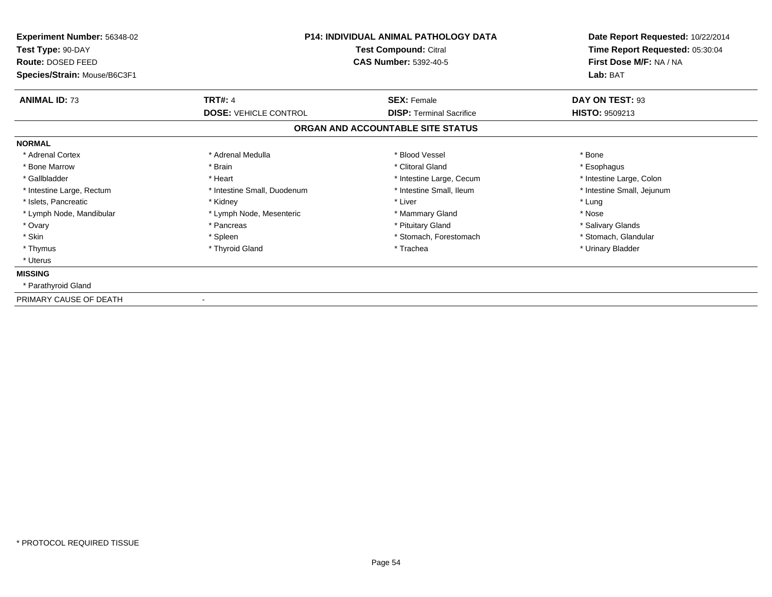| <b>Experiment Number: 56348-02</b><br>Test Type: 90-DAY<br>Route: DOSED FEED<br>Species/Strain: Mouse/B6C3F1 | <b>P14: INDIVIDUAL ANIMAL PATHOLOGY DATA</b><br>Test Compound: Citral<br><b>CAS Number: 5392-40-5</b> |                                   | Date Report Requested: 10/22/2014<br>Time Report Requested: 05:30:04<br>First Dose M/F: NA / NA<br>Lab: BAT |
|--------------------------------------------------------------------------------------------------------------|-------------------------------------------------------------------------------------------------------|-----------------------------------|-------------------------------------------------------------------------------------------------------------|
| <b>ANIMAL ID: 73</b>                                                                                         | <b>TRT#: 4</b>                                                                                        | <b>SEX: Female</b>                | DAY ON TEST: 93                                                                                             |
|                                                                                                              | <b>DOSE: VEHICLE CONTROL</b>                                                                          | <b>DISP:</b> Terminal Sacrifice   | <b>HISTO: 9509213</b>                                                                                       |
|                                                                                                              |                                                                                                       | ORGAN AND ACCOUNTABLE SITE STATUS |                                                                                                             |
| <b>NORMAL</b>                                                                                                |                                                                                                       |                                   |                                                                                                             |
| * Adrenal Cortex                                                                                             | * Adrenal Medulla                                                                                     | * Blood Vessel                    | * Bone                                                                                                      |
| * Bone Marrow                                                                                                | * Brain                                                                                               | * Clitoral Gland                  | * Esophagus                                                                                                 |
| * Gallbladder                                                                                                | * Heart                                                                                               | * Intestine Large, Cecum          | * Intestine Large, Colon                                                                                    |
| * Intestine Large, Rectum                                                                                    | * Intestine Small, Duodenum                                                                           | * Intestine Small, Ileum          | * Intestine Small, Jejunum                                                                                  |
| * Islets, Pancreatic                                                                                         | * Kidney                                                                                              | * Liver                           | * Lung                                                                                                      |
| * Lymph Node, Mandibular                                                                                     | * Lymph Node, Mesenteric                                                                              | * Mammary Gland                   | * Nose                                                                                                      |
| * Ovary                                                                                                      | * Pancreas                                                                                            | * Pituitary Gland                 | * Salivary Glands                                                                                           |
| * Skin                                                                                                       | * Spleen                                                                                              | * Stomach, Forestomach            | * Stomach, Glandular                                                                                        |
| * Thymus                                                                                                     | * Thyroid Gland                                                                                       | * Trachea                         | * Urinary Bladder                                                                                           |
| * Uterus                                                                                                     |                                                                                                       |                                   |                                                                                                             |
| <b>MISSING</b>                                                                                               |                                                                                                       |                                   |                                                                                                             |
| * Parathyroid Gland                                                                                          |                                                                                                       |                                   |                                                                                                             |
| PRIMARY CAUSE OF DEATH                                                                                       |                                                                                                       |                                   |                                                                                                             |

-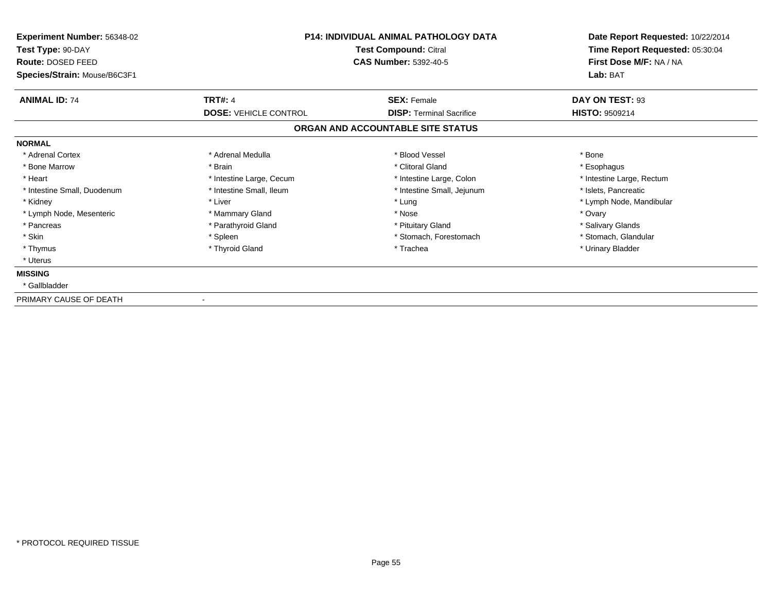| <b>Experiment Number: 56348-02</b><br>Test Type: 90-DAY<br><b>Route: DOSED FEED</b><br>Species/Strain: Mouse/B6C3F1 | <b>P14: INDIVIDUAL ANIMAL PATHOLOGY DATA</b><br>Test Compound: Citral<br><b>CAS Number: 5392-40-5</b> |                                   | Date Report Requested: 10/22/2014<br>Time Report Requested: 05:30:04<br>First Dose M/F: NA / NA<br>Lab: BAT |
|---------------------------------------------------------------------------------------------------------------------|-------------------------------------------------------------------------------------------------------|-----------------------------------|-------------------------------------------------------------------------------------------------------------|
| <b>ANIMAL ID: 74</b>                                                                                                | <b>TRT#: 4</b>                                                                                        | <b>SEX: Female</b>                | DAY ON TEST: 93                                                                                             |
|                                                                                                                     | <b>DOSE: VEHICLE CONTROL</b>                                                                          | <b>DISP: Terminal Sacrifice</b>   | <b>HISTO: 9509214</b>                                                                                       |
|                                                                                                                     |                                                                                                       | ORGAN AND ACCOUNTABLE SITE STATUS |                                                                                                             |
| <b>NORMAL</b>                                                                                                       |                                                                                                       |                                   |                                                                                                             |
| * Adrenal Cortex                                                                                                    | * Adrenal Medulla                                                                                     | * Blood Vessel                    | * Bone                                                                                                      |
| * Bone Marrow                                                                                                       | * Brain                                                                                               | * Clitoral Gland                  | * Esophagus                                                                                                 |
| * Heart                                                                                                             | * Intestine Large, Cecum                                                                              | * Intestine Large, Colon          | * Intestine Large, Rectum                                                                                   |
| * Intestine Small, Duodenum                                                                                         | * Intestine Small, Ileum                                                                              | * Intestine Small, Jejunum        | * Islets, Pancreatic                                                                                        |
| * Kidney                                                                                                            | * Liver                                                                                               | * Lung                            | * Lymph Node, Mandibular                                                                                    |
| * Lymph Node, Mesenteric                                                                                            | * Mammary Gland                                                                                       | * Nose                            | * Ovary                                                                                                     |
| * Pancreas                                                                                                          | * Parathyroid Gland                                                                                   | * Pituitary Gland                 | * Salivary Glands                                                                                           |
| * Skin                                                                                                              | * Spleen                                                                                              | * Stomach, Forestomach            | * Stomach, Glandular                                                                                        |
| * Thymus                                                                                                            | * Thyroid Gland                                                                                       | * Trachea                         | * Urinary Bladder                                                                                           |
| * Uterus                                                                                                            |                                                                                                       |                                   |                                                                                                             |
| <b>MISSING</b>                                                                                                      |                                                                                                       |                                   |                                                                                                             |
| * Gallbladder                                                                                                       |                                                                                                       |                                   |                                                                                                             |
|                                                                                                                     |                                                                                                       |                                   |                                                                                                             |

PRIMARY CAUSE OF DEATH-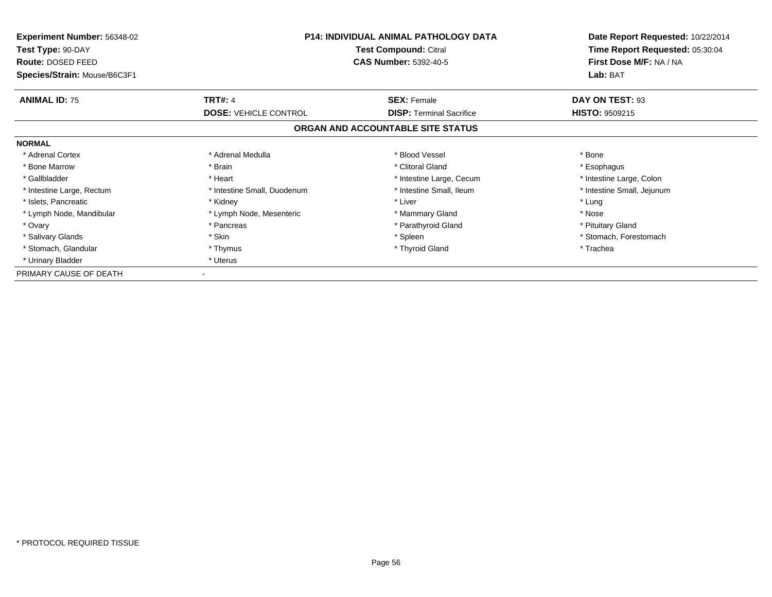| <b>Experiment Number: 56348-02</b><br>Test Type: 90-DAY<br>Route: DOSED FEED | <b>P14: INDIVIDUAL ANIMAL PATHOLOGY DATA</b><br>Test Compound: Citral<br><b>CAS Number: 5392-40-5</b> |                                   | Date Report Requested: 10/22/2014<br>Time Report Requested: 05:30:04<br>First Dose M/F: NA / NA |  |
|------------------------------------------------------------------------------|-------------------------------------------------------------------------------------------------------|-----------------------------------|-------------------------------------------------------------------------------------------------|--|
| Species/Strain: Mouse/B6C3F1                                                 |                                                                                                       |                                   | Lab: BAT                                                                                        |  |
| <b>ANIMAL ID: 75</b>                                                         | <b>TRT#: 4</b>                                                                                        | <b>SEX: Female</b>                | DAY ON TEST: 93                                                                                 |  |
|                                                                              | <b>DOSE: VEHICLE CONTROL</b>                                                                          | <b>DISP:</b> Terminal Sacrifice   | <b>HISTO: 9509215</b>                                                                           |  |
|                                                                              |                                                                                                       | ORGAN AND ACCOUNTABLE SITE STATUS |                                                                                                 |  |
| <b>NORMAL</b>                                                                |                                                                                                       |                                   |                                                                                                 |  |
| * Adrenal Cortex                                                             | * Adrenal Medulla                                                                                     | * Blood Vessel                    | * Bone                                                                                          |  |
| * Bone Marrow                                                                | * Brain                                                                                               | * Clitoral Gland                  | * Esophagus                                                                                     |  |
| * Gallbladder                                                                | * Heart                                                                                               | * Intestine Large, Cecum          | * Intestine Large, Colon                                                                        |  |
| * Intestine Large, Rectum                                                    | * Intestine Small, Duodenum                                                                           | * Intestine Small, Ileum          | * Intestine Small, Jejunum                                                                      |  |
| * Islets, Pancreatic                                                         | * Kidney                                                                                              | * Liver                           | * Lung                                                                                          |  |
| * Lymph Node, Mandibular                                                     | * Lymph Node, Mesenteric                                                                              | * Mammary Gland                   | * Nose                                                                                          |  |
| * Ovary                                                                      | * Pancreas                                                                                            | * Parathyroid Gland               | * Pituitary Gland                                                                               |  |
| * Salivary Glands                                                            | * Skin                                                                                                | * Spleen                          | * Stomach, Forestomach                                                                          |  |
| * Stomach, Glandular                                                         | * Thymus                                                                                              | * Thyroid Gland                   | * Trachea                                                                                       |  |
| * Urinary Bladder                                                            | * Uterus                                                                                              |                                   |                                                                                                 |  |
| PRIMARY CAUSE OF DEATH                                                       |                                                                                                       |                                   |                                                                                                 |  |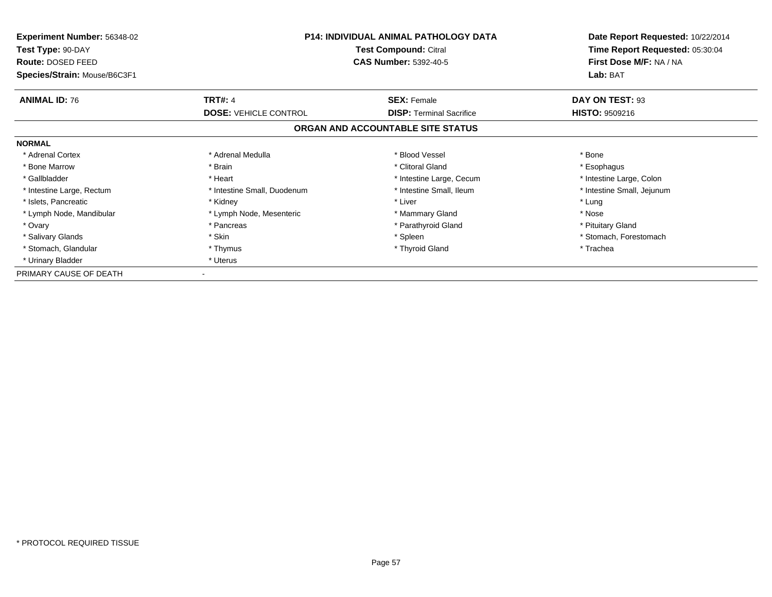| <b>Experiment Number: 56348-02</b><br>Test Type: 90-DAY<br>Route: DOSED FEED | <b>P14: INDIVIDUAL ANIMAL PATHOLOGY DATA</b><br>Test Compound: Citral<br><b>CAS Number: 5392-40-5</b> |                                   | Date Report Requested: 10/22/2014<br>Time Report Requested: 05:30:04<br>First Dose M/F: NA / NA |  |
|------------------------------------------------------------------------------|-------------------------------------------------------------------------------------------------------|-----------------------------------|-------------------------------------------------------------------------------------------------|--|
| Species/Strain: Mouse/B6C3F1                                                 |                                                                                                       |                                   | Lab: BAT                                                                                        |  |
| <b>ANIMAL ID: 76</b>                                                         | <b>TRT#: 4</b>                                                                                        | <b>SEX: Female</b>                | DAY ON TEST: 93                                                                                 |  |
|                                                                              | <b>DOSE: VEHICLE CONTROL</b>                                                                          | <b>DISP:</b> Terminal Sacrifice   | <b>HISTO: 9509216</b>                                                                           |  |
|                                                                              |                                                                                                       | ORGAN AND ACCOUNTABLE SITE STATUS |                                                                                                 |  |
| <b>NORMAL</b>                                                                |                                                                                                       |                                   |                                                                                                 |  |
| * Adrenal Cortex                                                             | * Adrenal Medulla                                                                                     | * Blood Vessel                    | * Bone                                                                                          |  |
| * Bone Marrow                                                                | * Brain                                                                                               | * Clitoral Gland                  | * Esophagus                                                                                     |  |
| * Gallbladder                                                                | * Heart                                                                                               | * Intestine Large, Cecum          | * Intestine Large, Colon                                                                        |  |
| * Intestine Large, Rectum                                                    | * Intestine Small, Duodenum                                                                           | * Intestine Small, Ileum          | * Intestine Small, Jejunum                                                                      |  |
| * Islets, Pancreatic                                                         | * Kidney                                                                                              | * Liver                           | * Lung                                                                                          |  |
| * Lymph Node, Mandibular                                                     | * Lymph Node, Mesenteric                                                                              | * Mammary Gland                   | * Nose                                                                                          |  |
| * Ovary                                                                      | * Pancreas                                                                                            | * Parathyroid Gland               | * Pituitary Gland                                                                               |  |
| * Salivary Glands                                                            | * Skin                                                                                                | * Spleen                          | * Stomach, Forestomach                                                                          |  |
| * Stomach, Glandular                                                         | * Thymus                                                                                              | * Thyroid Gland                   | * Trachea                                                                                       |  |
| * Urinary Bladder                                                            | * Uterus                                                                                              |                                   |                                                                                                 |  |
| PRIMARY CAUSE OF DEATH                                                       |                                                                                                       |                                   |                                                                                                 |  |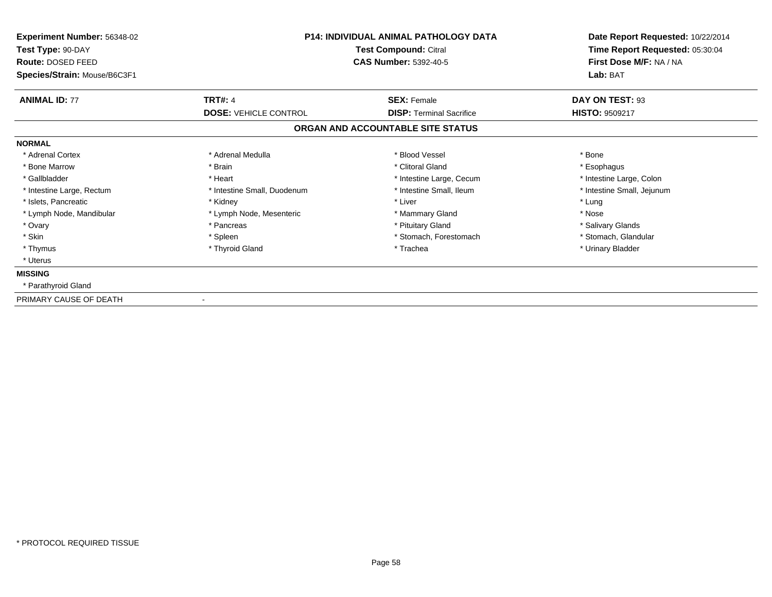| <b>Experiment Number: 56348-02</b><br>Test Type: 90-DAY<br>Route: DOSED FEED<br>Species/Strain: Mouse/B6C3F1 | <b>P14: INDIVIDUAL ANIMAL PATHOLOGY DATA</b><br>Test Compound: Citral<br><b>CAS Number: 5392-40-5</b> |                                   | Date Report Requested: 10/22/2014<br>Time Report Requested: 05:30:04<br>First Dose M/F: NA / NA<br>Lab: BAT |
|--------------------------------------------------------------------------------------------------------------|-------------------------------------------------------------------------------------------------------|-----------------------------------|-------------------------------------------------------------------------------------------------------------|
| <b>ANIMAL ID: 77</b>                                                                                         | <b>TRT#: 4</b>                                                                                        | <b>SEX: Female</b>                | DAY ON TEST: 93                                                                                             |
|                                                                                                              | <b>DOSE: VEHICLE CONTROL</b>                                                                          | <b>DISP:</b> Terminal Sacrifice   | <b>HISTO: 9509217</b>                                                                                       |
|                                                                                                              |                                                                                                       | ORGAN AND ACCOUNTABLE SITE STATUS |                                                                                                             |
| <b>NORMAL</b>                                                                                                |                                                                                                       |                                   |                                                                                                             |
| * Adrenal Cortex                                                                                             | * Adrenal Medulla                                                                                     | * Blood Vessel                    | * Bone                                                                                                      |
| * Bone Marrow                                                                                                | * Brain                                                                                               | * Clitoral Gland                  | * Esophagus                                                                                                 |
| * Gallbladder                                                                                                | * Heart                                                                                               | * Intestine Large, Cecum          | * Intestine Large, Colon                                                                                    |
| * Intestine Large, Rectum                                                                                    | * Intestine Small, Duodenum                                                                           | * Intestine Small, Ileum          | * Intestine Small, Jejunum                                                                                  |
| * Islets, Pancreatic                                                                                         | * Kidney                                                                                              | * Liver                           | * Lung                                                                                                      |
| * Lymph Node, Mandibular                                                                                     | * Lymph Node, Mesenteric                                                                              | * Mammary Gland                   | * Nose                                                                                                      |
| * Ovary                                                                                                      | * Pancreas                                                                                            | * Pituitary Gland                 | * Salivary Glands                                                                                           |
| * Skin                                                                                                       | * Spleen                                                                                              | * Stomach, Forestomach            | * Stomach, Glandular                                                                                        |
| * Thymus                                                                                                     | * Thyroid Gland                                                                                       | * Trachea                         | * Urinary Bladder                                                                                           |
| * Uterus                                                                                                     |                                                                                                       |                                   |                                                                                                             |
| <b>MISSING</b>                                                                                               |                                                                                                       |                                   |                                                                                                             |
| * Parathyroid Gland                                                                                          |                                                                                                       |                                   |                                                                                                             |
| PRIMARY CAUSE OF DEATH                                                                                       |                                                                                                       |                                   |                                                                                                             |

-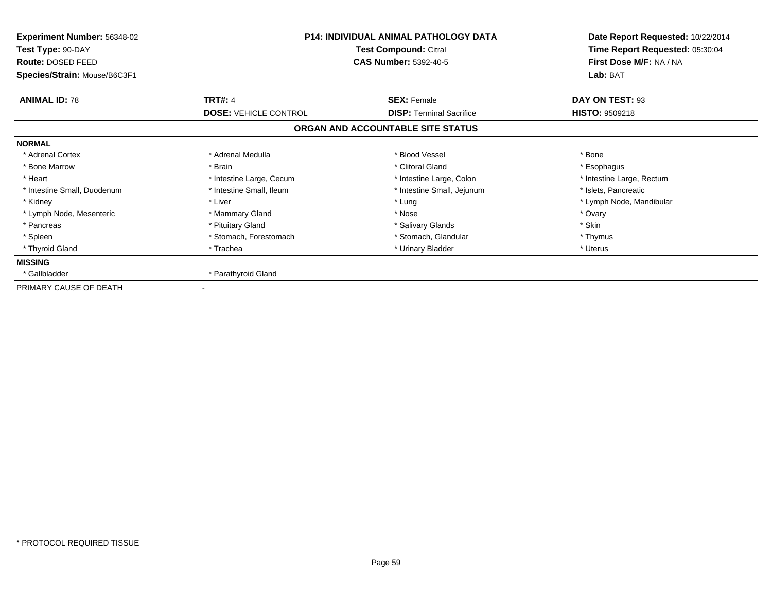| Experiment Number: 56348-02<br>Test Type: 90-DAY<br><b>Route: DOSED FEED</b><br>Species/Strain: Mouse/B6C3F1 | <b>P14: INDIVIDUAL ANIMAL PATHOLOGY DATA</b><br>Test Compound: Citral<br><b>CAS Number: 5392-40-5</b> |                                   | Date Report Requested: 10/22/2014<br>Time Report Requested: 05:30:04<br>First Dose M/F: NA / NA<br>Lab: BAT |
|--------------------------------------------------------------------------------------------------------------|-------------------------------------------------------------------------------------------------------|-----------------------------------|-------------------------------------------------------------------------------------------------------------|
| <b>ANIMAL ID: 78</b>                                                                                         | <b>TRT#: 4</b>                                                                                        | <b>SEX: Female</b>                | DAY ON TEST: 93                                                                                             |
|                                                                                                              | <b>DOSE: VEHICLE CONTROL</b>                                                                          | <b>DISP:</b> Terminal Sacrifice   | <b>HISTO: 9509218</b>                                                                                       |
|                                                                                                              |                                                                                                       | ORGAN AND ACCOUNTABLE SITE STATUS |                                                                                                             |
| <b>NORMAL</b>                                                                                                |                                                                                                       |                                   |                                                                                                             |
| * Adrenal Cortex                                                                                             | * Adrenal Medulla                                                                                     | * Blood Vessel                    | * Bone                                                                                                      |
| * Bone Marrow                                                                                                | * Brain                                                                                               | * Clitoral Gland                  | * Esophagus                                                                                                 |
| * Heart                                                                                                      | * Intestine Large, Cecum                                                                              | * Intestine Large, Colon          | * Intestine Large, Rectum                                                                                   |
| * Intestine Small, Duodenum                                                                                  | * Intestine Small, Ileum                                                                              | * Intestine Small, Jejunum        | * Islets, Pancreatic                                                                                        |
| * Kidney                                                                                                     | * Liver                                                                                               | * Lung                            | * Lymph Node, Mandibular                                                                                    |
| * Lymph Node, Mesenteric                                                                                     | * Mammary Gland                                                                                       | * Nose                            | * Ovary                                                                                                     |
| * Pancreas                                                                                                   | * Pituitary Gland                                                                                     | * Salivary Glands                 | * Skin                                                                                                      |
| * Spleen                                                                                                     | * Stomach, Forestomach                                                                                | * Stomach, Glandular              | * Thymus                                                                                                    |
| * Thyroid Gland                                                                                              | * Trachea                                                                                             | * Urinary Bladder                 | * Uterus                                                                                                    |
| <b>MISSING</b>                                                                                               |                                                                                                       |                                   |                                                                                                             |
| * Gallbladder                                                                                                | * Parathyroid Gland                                                                                   |                                   |                                                                                                             |
| PRIMARY CAUSE OF DEATH                                                                                       |                                                                                                       |                                   |                                                                                                             |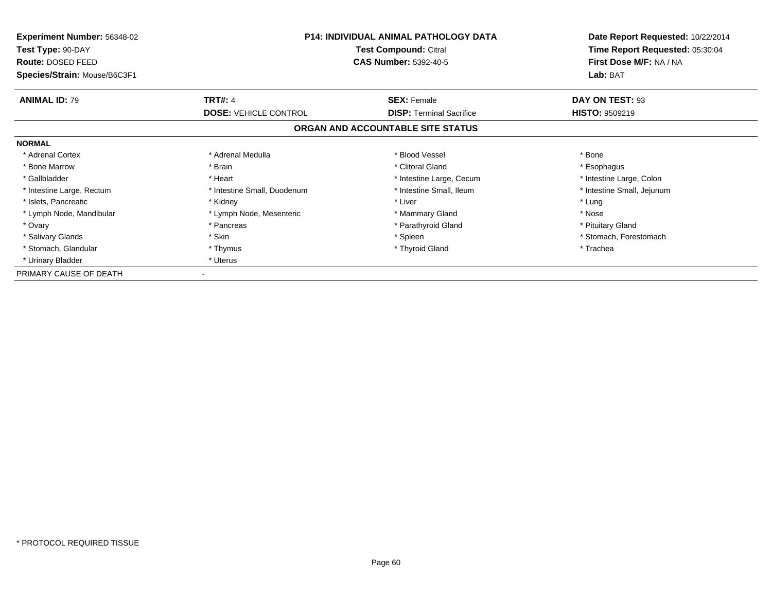| <b>Experiment Number: 56348-02</b><br>Test Type: 90-DAY<br>Route: DOSED FEED | <b>P14: INDIVIDUAL ANIMAL PATHOLOGY DATA</b><br>Test Compound: Citral<br><b>CAS Number: 5392-40-5</b> |                                   | Date Report Requested: 10/22/2014<br>Time Report Requested: 05:30:04<br>First Dose M/F: NA / NA |  |
|------------------------------------------------------------------------------|-------------------------------------------------------------------------------------------------------|-----------------------------------|-------------------------------------------------------------------------------------------------|--|
| Species/Strain: Mouse/B6C3F1                                                 |                                                                                                       |                                   |                                                                                                 |  |
| <b>ANIMAL ID: 79</b>                                                         | <b>TRT#: 4</b>                                                                                        | <b>SEX: Female</b>                | DAY ON TEST: 93                                                                                 |  |
|                                                                              | <b>DOSE: VEHICLE CONTROL</b>                                                                          | <b>DISP:</b> Terminal Sacrifice   | <b>HISTO: 9509219</b>                                                                           |  |
|                                                                              |                                                                                                       | ORGAN AND ACCOUNTABLE SITE STATUS |                                                                                                 |  |
| <b>NORMAL</b>                                                                |                                                                                                       |                                   |                                                                                                 |  |
| * Adrenal Cortex                                                             | * Adrenal Medulla                                                                                     | * Blood Vessel                    | * Bone                                                                                          |  |
| * Bone Marrow                                                                | * Brain                                                                                               | * Clitoral Gland                  | * Esophagus                                                                                     |  |
| * Gallbladder                                                                | * Heart                                                                                               | * Intestine Large, Cecum          | * Intestine Large, Colon                                                                        |  |
| * Intestine Large, Rectum                                                    | * Intestine Small, Duodenum                                                                           | * Intestine Small, Ileum          | * Intestine Small, Jejunum                                                                      |  |
| * Islets, Pancreatic                                                         | * Kidney                                                                                              | * Liver                           | * Lung                                                                                          |  |
| * Lymph Node, Mandibular                                                     | * Lymph Node, Mesenteric                                                                              | * Mammary Gland                   | * Nose                                                                                          |  |
| * Ovary                                                                      | * Pancreas                                                                                            | * Parathyroid Gland               | * Pituitary Gland                                                                               |  |
| * Salivary Glands                                                            | * Skin                                                                                                | * Spleen                          | * Stomach, Forestomach                                                                          |  |
| * Stomach, Glandular                                                         | * Thymus                                                                                              | * Thyroid Gland                   | * Trachea                                                                                       |  |
| * Urinary Bladder                                                            | * Uterus                                                                                              |                                   |                                                                                                 |  |
| PRIMARY CAUSE OF DEATH                                                       |                                                                                                       |                                   |                                                                                                 |  |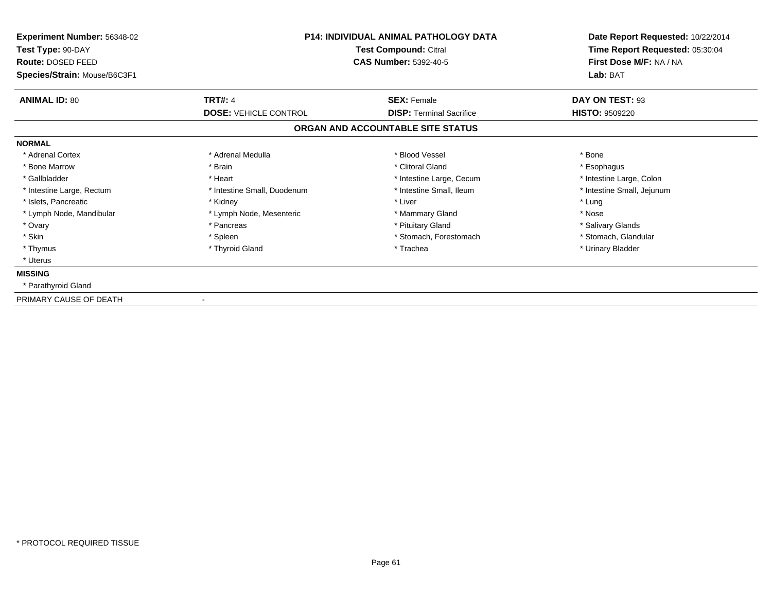| Experiment Number: 56348-02                   | <b>P14: INDIVIDUAL ANIMAL PATHOLOGY DATA</b> |                                                       | Date Report Requested: 10/22/2014<br>Time Report Requested: 05:30:04 |  |
|-----------------------------------------------|----------------------------------------------|-------------------------------------------------------|----------------------------------------------------------------------|--|
| Test Type: 90-DAY<br><b>Route: DOSED FEED</b> |                                              | Test Compound: Citral<br><b>CAS Number: 5392-40-5</b> |                                                                      |  |
| Species/Strain: Mouse/B6C3F1                  |                                              |                                                       | First Dose M/F: NA / NA<br>Lab: BAT                                  |  |
| <b>ANIMAL ID: 80</b>                          | <b>TRT#: 4</b>                               | <b>SEX: Female</b>                                    | DAY ON TEST: 93                                                      |  |
|                                               | <b>DOSE: VEHICLE CONTROL</b>                 | <b>DISP: Terminal Sacrifice</b>                       | <b>HISTO: 9509220</b>                                                |  |
|                                               |                                              | ORGAN AND ACCOUNTABLE SITE STATUS                     |                                                                      |  |
| <b>NORMAL</b>                                 |                                              |                                                       |                                                                      |  |
| * Adrenal Cortex                              | * Adrenal Medulla                            | * Blood Vessel                                        | * Bone                                                               |  |
| * Bone Marrow                                 | * Brain                                      | * Clitoral Gland                                      | * Esophagus                                                          |  |
| * Gallbladder                                 | * Heart                                      | * Intestine Large, Cecum                              | * Intestine Large, Colon                                             |  |
| * Intestine Large, Rectum                     | * Intestine Small, Duodenum                  | * Intestine Small, Ileum                              | * Intestine Small, Jejunum                                           |  |
| * Islets, Pancreatic                          | * Kidney                                     | * Liver                                               | * Lung                                                               |  |
| * Lymph Node, Mandibular                      | * Lymph Node, Mesenteric                     | * Mammary Gland                                       | * Nose                                                               |  |
| * Ovary                                       | * Pancreas                                   | * Pituitary Gland                                     | * Salivary Glands                                                    |  |
| * Skin                                        | * Spleen                                     | * Stomach, Forestomach                                | * Stomach, Glandular                                                 |  |
| * Thymus                                      | * Thyroid Gland                              | * Trachea                                             | * Urinary Bladder                                                    |  |
| * Uterus                                      |                                              |                                                       |                                                                      |  |
| <b>MISSING</b>                                |                                              |                                                       |                                                                      |  |
| * Parathyroid Gland                           |                                              |                                                       |                                                                      |  |
| PRIMARY CAUSE OF DEATH                        |                                              |                                                       |                                                                      |  |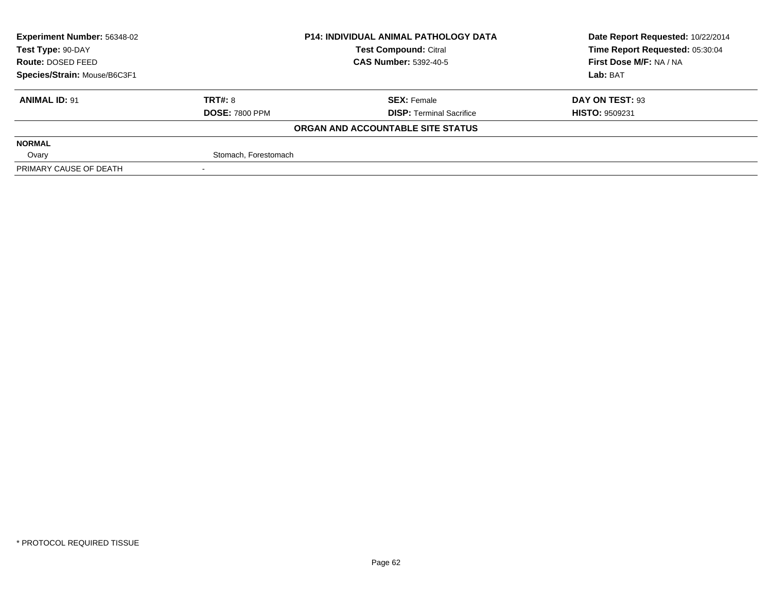| <b>Experiment Number: 56348-02</b> |                       | <b>P14: INDIVIDUAL ANIMAL PATHOLOGY DATA</b> | Date Report Requested: 10/22/2014 |  |
|------------------------------------|-----------------------|----------------------------------------------|-----------------------------------|--|
| Test Type: 90-DAY                  |                       | <b>Test Compound: Citral</b>                 | Time Report Requested: 05:30:04   |  |
| <b>Route: DOSED FEED</b>           |                       | <b>CAS Number: 5392-40-5</b>                 | First Dose M/F: NA / NA           |  |
| Species/Strain: Mouse/B6C3F1       |                       |                                              | Lab: BAT                          |  |
| <b>ANIMAL ID: 91</b>               | <b>TRT#: 8</b>        | <b>SEX: Female</b>                           | DAY ON TEST: 93                   |  |
|                                    | <b>DOSE: 7800 PPM</b> | <b>DISP: Terminal Sacrifice</b>              | <b>HISTO: 9509231</b>             |  |
|                                    |                       | ORGAN AND ACCOUNTABLE SITE STATUS            |                                   |  |
| <b>NORMAL</b>                      |                       |                                              |                                   |  |
| Ovary                              | Stomach, Forestomach  |                                              |                                   |  |
| PRIMARY CAUSE OF DEATH             |                       |                                              |                                   |  |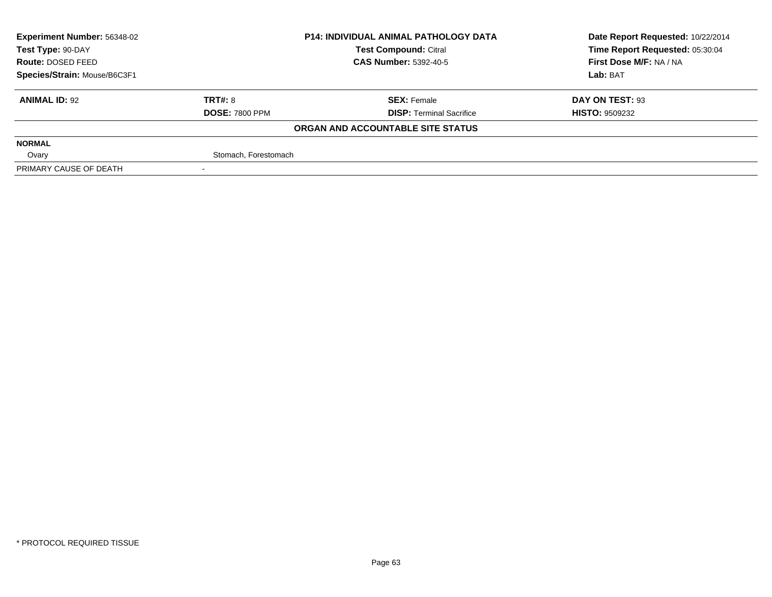| <b>Experiment Number: 56348-02</b> | <b>P14: INDIVIDUAL ANIMAL PATHOLOGY DATA</b> |                                   | Date Report Requested: 10/22/2014 |  |
|------------------------------------|----------------------------------------------|-----------------------------------|-----------------------------------|--|
| Test Type: 90-DAY                  |                                              | <b>Test Compound: Citral</b>      | Time Report Requested: 05:30:04   |  |
| Route: DOSED FEED                  |                                              | <b>CAS Number: 5392-40-5</b>      | First Dose M/F: NA / NA           |  |
| Species/Strain: Mouse/B6C3F1       |                                              |                                   | Lab: BAT                          |  |
| <b>ANIMAL ID: 92</b>               | TRT#: 8                                      | <b>SEX: Female</b>                | DAY ON TEST: 93                   |  |
|                                    | <b>DOSE: 7800 PPM</b>                        | <b>DISP: Terminal Sacrifice</b>   | <b>HISTO: 9509232</b>             |  |
|                                    |                                              | ORGAN AND ACCOUNTABLE SITE STATUS |                                   |  |
| <b>NORMAL</b>                      |                                              |                                   |                                   |  |
| Ovary                              | Stomach, Forestomach                         |                                   |                                   |  |
| PRIMARY CAUSE OF DEATH             |                                              |                                   |                                   |  |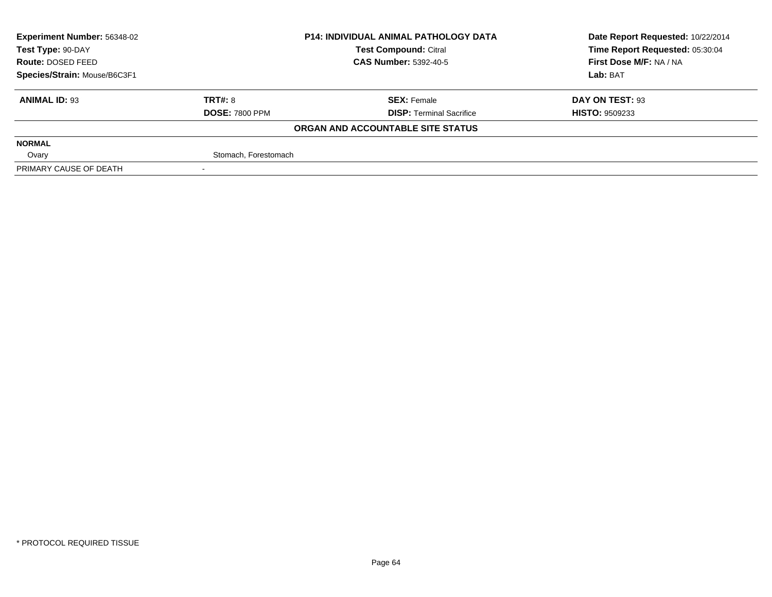| <b>Experiment Number: 56348-02</b> | <b>P14: INDIVIDUAL ANIMAL PATHOLOGY DATA</b> |                                   | Date Report Requested: 10/22/2014 |  |
|------------------------------------|----------------------------------------------|-----------------------------------|-----------------------------------|--|
| Test Type: 90-DAY                  |                                              | <b>Test Compound: Citral</b>      | Time Report Requested: 05:30:04   |  |
| <b>Route: DOSED FEED</b>           |                                              | <b>CAS Number: 5392-40-5</b>      | First Dose M/F: NA / NA           |  |
| Species/Strain: Mouse/B6C3F1       |                                              |                                   | Lab: BAT                          |  |
| <b>ANIMAL ID: 93</b>               | <b>TRT#: 8</b>                               | <b>SEX: Female</b>                | DAY ON TEST: 93                   |  |
|                                    | <b>DOSE: 7800 PPM</b>                        | <b>DISP: Terminal Sacrifice</b>   | <b>HISTO: 9509233</b>             |  |
|                                    |                                              | ORGAN AND ACCOUNTABLE SITE STATUS |                                   |  |
| <b>NORMAL</b>                      |                                              |                                   |                                   |  |
| Ovary                              | Stomach, Forestomach                         |                                   |                                   |  |
| PRIMARY CAUSE OF DEATH             |                                              |                                   |                                   |  |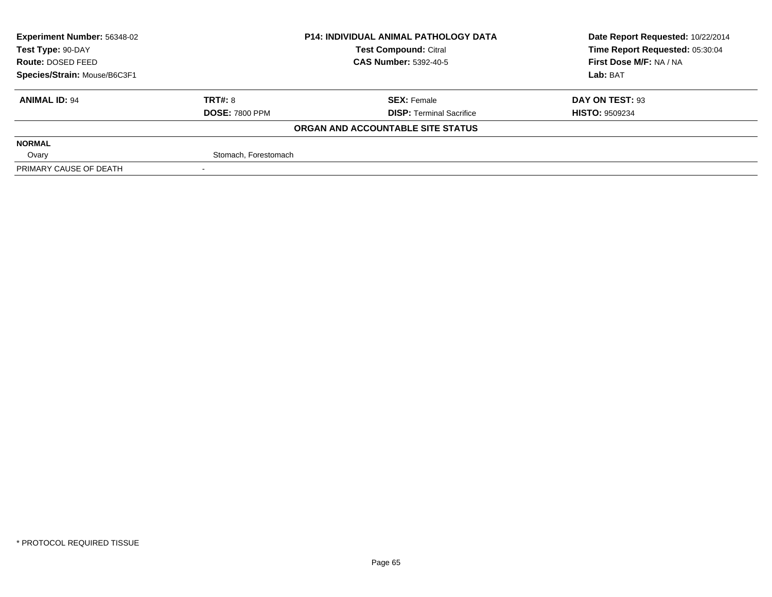| <b>Experiment Number: 56348-02</b> | <b>P14: INDIVIDUAL ANIMAL PATHOLOGY DATA</b> |                                   | Date Report Requested: 10/22/2014 |  |
|------------------------------------|----------------------------------------------|-----------------------------------|-----------------------------------|--|
| Test Type: 90-DAY                  |                                              | <b>Test Compound: Citral</b>      | Time Report Requested: 05:30:04   |  |
| <b>Route: DOSED FEED</b>           |                                              | <b>CAS Number: 5392-40-5</b>      | First Dose M/F: NA / NA           |  |
| Species/Strain: Mouse/B6C3F1       |                                              |                                   | Lab: BAT                          |  |
| <b>ANIMAL ID: 94</b>               | <b>TRT#: 8</b>                               | <b>SEX: Female</b>                | DAY ON TEST: 93                   |  |
|                                    | <b>DOSE: 7800 PPM</b>                        | <b>DISP: Terminal Sacrifice</b>   | <b>HISTO: 9509234</b>             |  |
|                                    |                                              | ORGAN AND ACCOUNTABLE SITE STATUS |                                   |  |
| <b>NORMAL</b>                      |                                              |                                   |                                   |  |
| Ovary                              | Stomach, Forestomach                         |                                   |                                   |  |
| PRIMARY CAUSE OF DEATH             |                                              |                                   |                                   |  |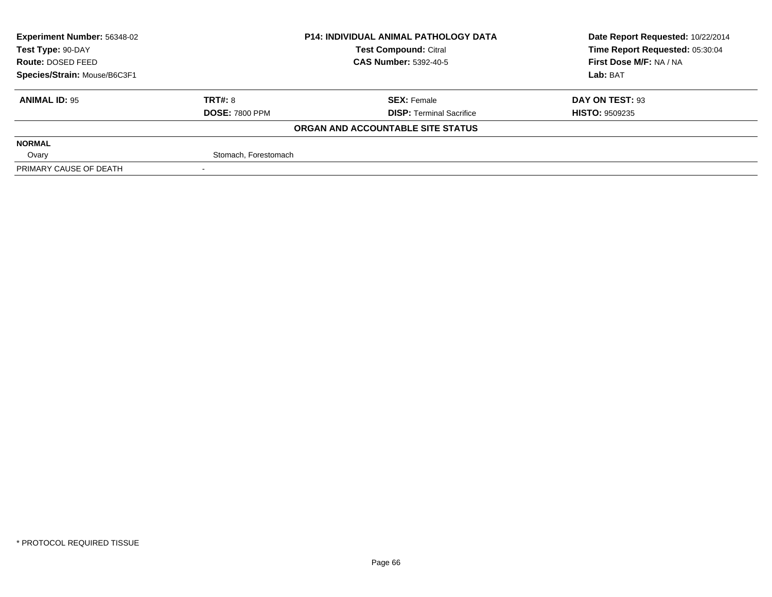| <b>Experiment Number: 56348-02</b> | <b>P14: INDIVIDUAL ANIMAL PATHOLOGY DATA</b> |                                   | Date Report Requested: 10/22/2014 |
|------------------------------------|----------------------------------------------|-----------------------------------|-----------------------------------|
| Test Type: 90-DAY                  |                                              | <b>Test Compound: Citral</b>      | Time Report Requested: 05:30:04   |
| Route: DOSED FEED                  |                                              | <b>CAS Number: 5392-40-5</b>      | First Dose M/F: NA / NA           |
| Species/Strain: Mouse/B6C3F1       |                                              |                                   | Lab: BAT                          |
| <b>ANIMAL ID: 95</b>               | <b>TRT#: 8</b>                               | <b>SEX: Female</b>                | DAY ON TEST: 93                   |
|                                    | <b>DOSE: 7800 PPM</b>                        | <b>DISP:</b> Terminal Sacrifice   | <b>HISTO: 9509235</b>             |
|                                    |                                              | ORGAN AND ACCOUNTABLE SITE STATUS |                                   |
| <b>NORMAL</b>                      |                                              |                                   |                                   |
| Ovary                              | Stomach, Forestomach                         |                                   |                                   |
| PRIMARY CAUSE OF DEATH             |                                              |                                   |                                   |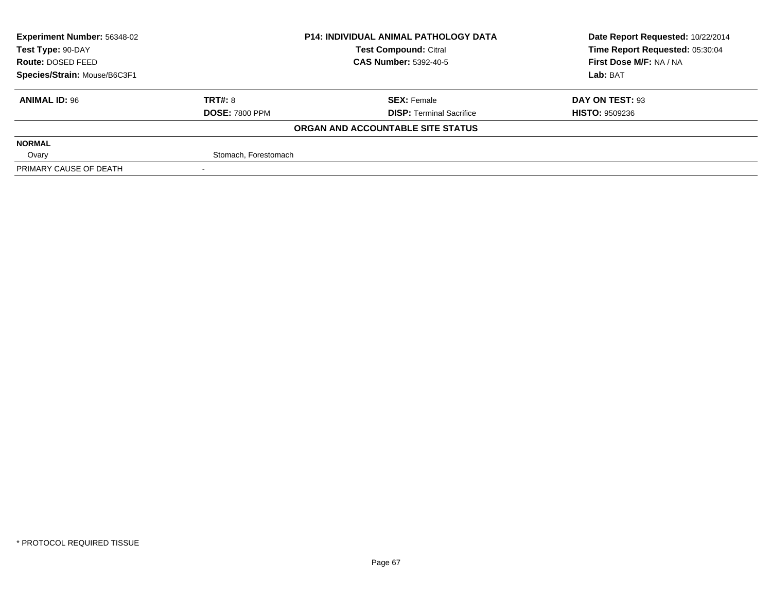| <b>Experiment Number: 56348-02</b> |                       | <b>P14: INDIVIDUAL ANIMAL PATHOLOGY DATA</b> | Date Report Requested: 10/22/2014 |  |
|------------------------------------|-----------------------|----------------------------------------------|-----------------------------------|--|
| Test Type: 90-DAY                  |                       | <b>Test Compound: Citral</b>                 | Time Report Requested: 05:30:04   |  |
| <b>Route: DOSED FEED</b>           |                       | <b>CAS Number: 5392-40-5</b>                 | First Dose M/F: NA / NA           |  |
| Species/Strain: Mouse/B6C3F1       |                       |                                              | Lab: BAT                          |  |
| <b>ANIMAL ID: 96</b>               | <b>TRT#: 8</b>        | <b>SEX: Female</b>                           | DAY ON TEST: 93                   |  |
|                                    | <b>DOSE: 7800 PPM</b> | <b>DISP: Terminal Sacrifice</b>              | <b>HISTO: 9509236</b>             |  |
|                                    |                       | ORGAN AND ACCOUNTABLE SITE STATUS            |                                   |  |
| <b>NORMAL</b>                      |                       |                                              |                                   |  |
| Ovary                              | Stomach, Forestomach  |                                              |                                   |  |
| PRIMARY CAUSE OF DEATH             |                       |                                              |                                   |  |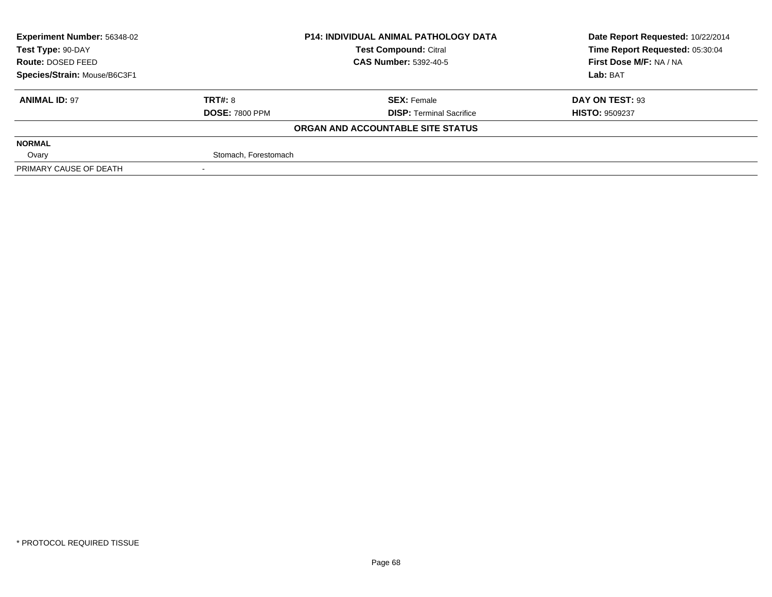| <b>Experiment Number: 56348-02</b> | <b>P14: INDIVIDUAL ANIMAL PATHOLOGY DATA</b> |                                   | Date Report Requested: 10/22/2014 |  |
|------------------------------------|----------------------------------------------|-----------------------------------|-----------------------------------|--|
| Test Type: 90-DAY                  |                                              | <b>Test Compound: Citral</b>      | Time Report Requested: 05:30:04   |  |
| <b>Route: DOSED FEED</b>           |                                              | <b>CAS Number: 5392-40-5</b>      | First Dose M/F: NA / NA           |  |
| Species/Strain: Mouse/B6C3F1       |                                              |                                   | Lab: BAT                          |  |
| <b>ANIMAL ID: 97</b>               | <b>TRT#: 8</b>                               | <b>SEX: Female</b>                | DAY ON TEST: 93                   |  |
|                                    | <b>DOSE: 7800 PPM</b>                        | <b>DISP: Terminal Sacrifice</b>   | <b>HISTO: 9509237</b>             |  |
|                                    |                                              | ORGAN AND ACCOUNTABLE SITE STATUS |                                   |  |
| <b>NORMAL</b>                      |                                              |                                   |                                   |  |
| Ovary                              | Stomach, Forestomach                         |                                   |                                   |  |
| PRIMARY CAUSE OF DEATH             |                                              |                                   |                                   |  |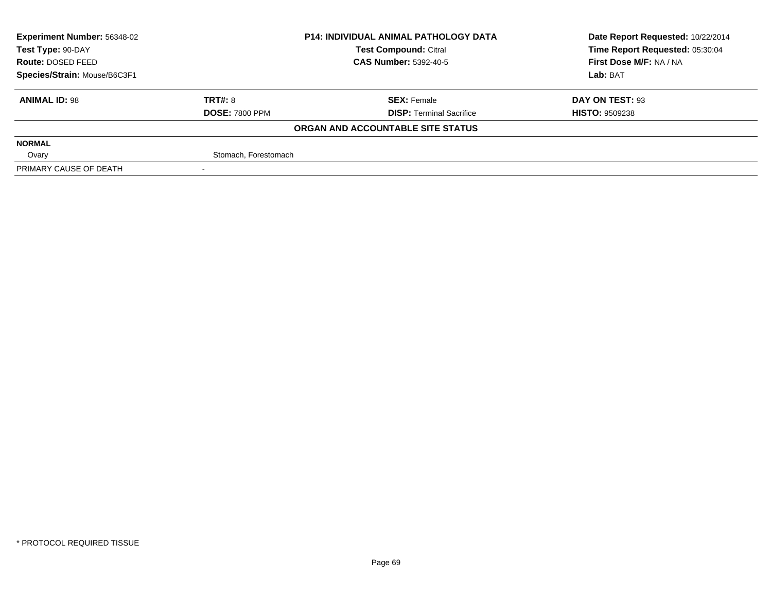| <b>Experiment Number: 56348-02</b> | <b>P14: INDIVIDUAL ANIMAL PATHOLOGY DATA</b> |                                   | Date Report Requested: 10/22/2014 |  |
|------------------------------------|----------------------------------------------|-----------------------------------|-----------------------------------|--|
| Test Type: 90-DAY                  |                                              | <b>Test Compound: Citral</b>      | Time Report Requested: 05:30:04   |  |
| <b>Route: DOSED FEED</b>           |                                              | <b>CAS Number: 5392-40-5</b>      | First Dose M/F: NA / NA           |  |
| Species/Strain: Mouse/B6C3F1       |                                              |                                   | Lab: BAT                          |  |
| <b>ANIMAL ID: 98</b>               | <b>TRT#: 8</b>                               | <b>SEX: Female</b>                | DAY ON TEST: 93                   |  |
|                                    | <b>DOSE: 7800 PPM</b>                        | <b>DISP: Terminal Sacrifice</b>   | <b>HISTO: 9509238</b>             |  |
|                                    |                                              | ORGAN AND ACCOUNTABLE SITE STATUS |                                   |  |
| <b>NORMAL</b>                      |                                              |                                   |                                   |  |
| Ovary                              | Stomach, Forestomach                         |                                   |                                   |  |
| PRIMARY CAUSE OF DEATH             |                                              |                                   |                                   |  |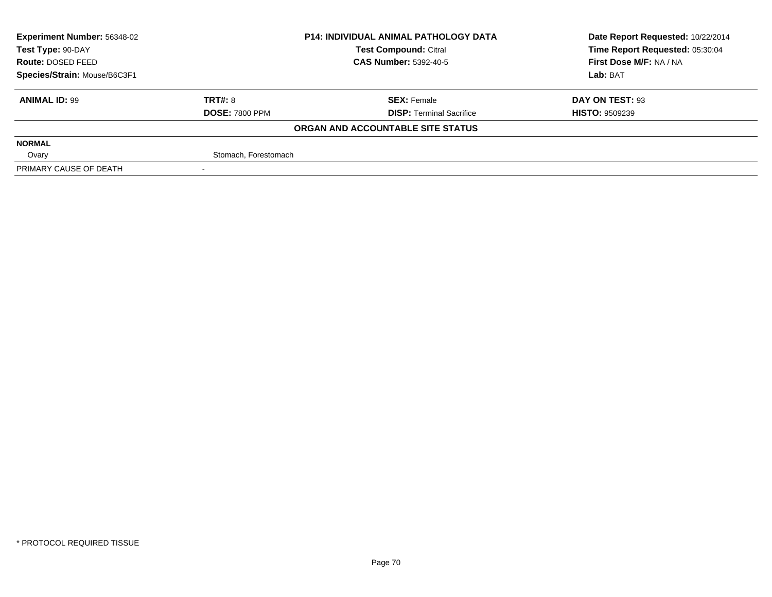| <b>Experiment Number: 56348-02</b> | <b>P14: INDIVIDUAL ANIMAL PATHOLOGY DATA</b> |                                   | Date Report Requested: 10/22/2014 |  |
|------------------------------------|----------------------------------------------|-----------------------------------|-----------------------------------|--|
| Test Type: 90-DAY                  |                                              | <b>Test Compound: Citral</b>      | Time Report Requested: 05:30:04   |  |
| Route: DOSED FEED                  |                                              | <b>CAS Number: 5392-40-5</b>      | First Dose M/F: NA / NA           |  |
| Species/Strain: Mouse/B6C3F1       |                                              |                                   | Lab: BAT                          |  |
| <b>ANIMAL ID: 99</b>               | TRT#: 8                                      | <b>SEX: Female</b>                | DAY ON TEST: 93                   |  |
|                                    | <b>DOSE: 7800 PPM</b>                        | <b>DISP: Terminal Sacrifice</b>   | <b>HISTO: 9509239</b>             |  |
|                                    |                                              | ORGAN AND ACCOUNTABLE SITE STATUS |                                   |  |
| <b>NORMAL</b>                      |                                              |                                   |                                   |  |
| Ovary                              | Stomach, Forestomach                         |                                   |                                   |  |
| PRIMARY CAUSE OF DEATH             |                                              |                                   |                                   |  |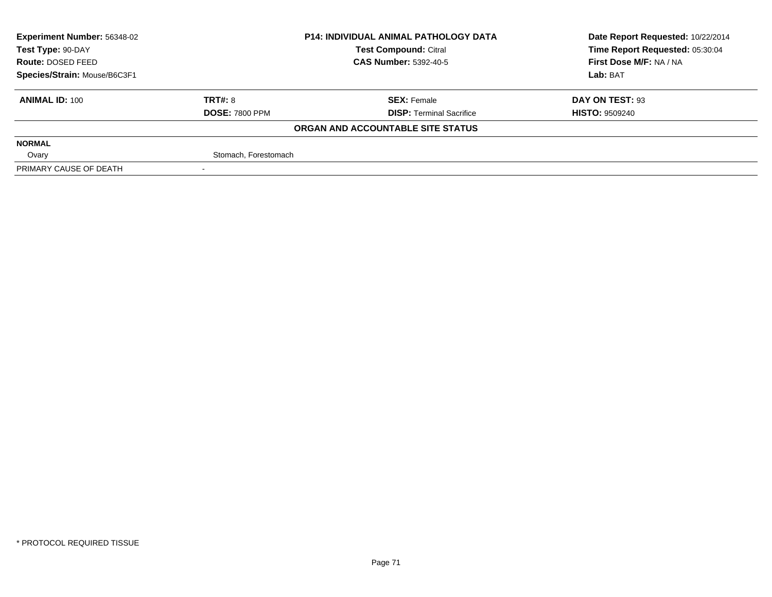| <b>Experiment Number: 56348-02</b> | <b>P14: INDIVIDUAL ANIMAL PATHOLOGY DATA</b> |                                   | Date Report Requested: 10/22/2014 |  |
|------------------------------------|----------------------------------------------|-----------------------------------|-----------------------------------|--|
| Test Type: 90-DAY                  |                                              | <b>Test Compound: Citral</b>      | Time Report Requested: 05:30:04   |  |
| Route: DOSED FEED                  |                                              | <b>CAS Number: 5392-40-5</b>      | First Dose M/F: NA / NA           |  |
| Species/Strain: Mouse/B6C3F1       |                                              |                                   | Lab: BAT                          |  |
| <b>ANIMAL ID: 100</b>              | TRT#: 8                                      | <b>SEX: Female</b>                | DAY ON TEST: 93                   |  |
|                                    | <b>DOSE: 7800 PPM</b>                        | <b>DISP: Terminal Sacrifice</b>   | <b>HISTO: 9509240</b>             |  |
|                                    |                                              | ORGAN AND ACCOUNTABLE SITE STATUS |                                   |  |
| <b>NORMAL</b>                      |                                              |                                   |                                   |  |
| Ovary                              | Stomach, Forestomach                         |                                   |                                   |  |
| PRIMARY CAUSE OF DEATH             |                                              |                                   |                                   |  |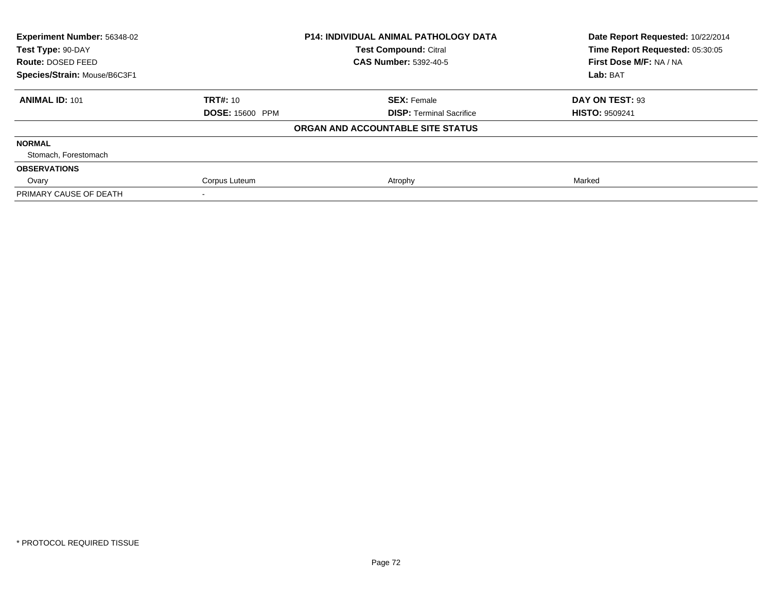| Experiment Number: 56348-02  |                        | <b>P14: INDIVIDUAL ANIMAL PATHOLOGY DATA</b> | Date Report Requested: 10/22/2014<br>Time Report Requested: 05:30:05 |
|------------------------------|------------------------|----------------------------------------------|----------------------------------------------------------------------|
| Test Type: 90-DAY            |                        | <b>Test Compound: Citral</b>                 |                                                                      |
| Route: DOSED FEED            |                        | <b>CAS Number: 5392-40-5</b>                 | First Dose M/F: NA / NA                                              |
| Species/Strain: Mouse/B6C3F1 |                        |                                              | Lab: BAT                                                             |
| <b>ANIMAL ID: 101</b>        | <b>TRT#: 10</b>        | <b>SEX: Female</b>                           | DAY ON TEST: 93                                                      |
|                              | <b>DOSE: 15600 PPM</b> | <b>DISP:</b> Terminal Sacrifice              | <b>HISTO: 9509241</b>                                                |
|                              |                        | ORGAN AND ACCOUNTABLE SITE STATUS            |                                                                      |
| <b>NORMAL</b>                |                        |                                              |                                                                      |
| Stomach, Forestomach         |                        |                                              |                                                                      |
| <b>OBSERVATIONS</b>          |                        |                                              |                                                                      |
| Ovary                        | Corpus Luteum          | Atrophy                                      | Marked                                                               |
| PRIMARY CAUSE OF DEATH       |                        |                                              |                                                                      |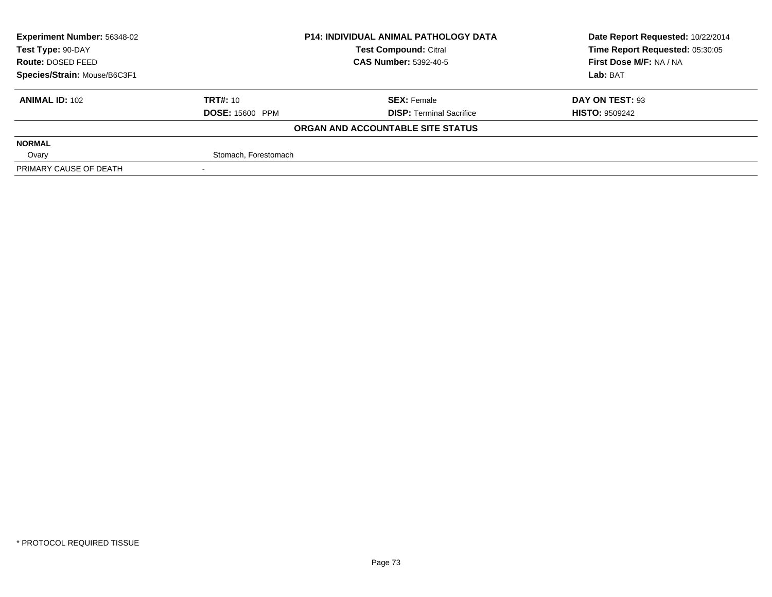| <b>Experiment Number: 56348-02</b> |                              | <b>P14: INDIVIDUAL ANIMAL PATHOLOGY DATA</b> | Date Report Requested: 10/22/2014 |  |
|------------------------------------|------------------------------|----------------------------------------------|-----------------------------------|--|
| Test Type: 90-DAY                  |                              | <b>Test Compound: Citral</b>                 | Time Report Requested: 05:30:05   |  |
| Route: DOSED FEED                  | <b>CAS Number: 5392-40-5</b> |                                              | First Dose M/F: NA / NA           |  |
| Species/Strain: Mouse/B6C3F1       |                              |                                              | Lab: BAT                          |  |
| <b>ANIMAL ID: 102</b>              | <b>TRT#: 10</b>              | <b>SEX: Female</b>                           | DAY ON TEST: 93                   |  |
|                                    | <b>DOSE: 15600 PPM</b>       | <b>DISP: Terminal Sacrifice</b>              | <b>HISTO: 9509242</b>             |  |
|                                    |                              | ORGAN AND ACCOUNTABLE SITE STATUS            |                                   |  |
| <b>NORMAL</b>                      |                              |                                              |                                   |  |
| Ovary                              | Stomach, Forestomach         |                                              |                                   |  |
| PRIMARY CAUSE OF DEATH             |                              |                                              |                                   |  |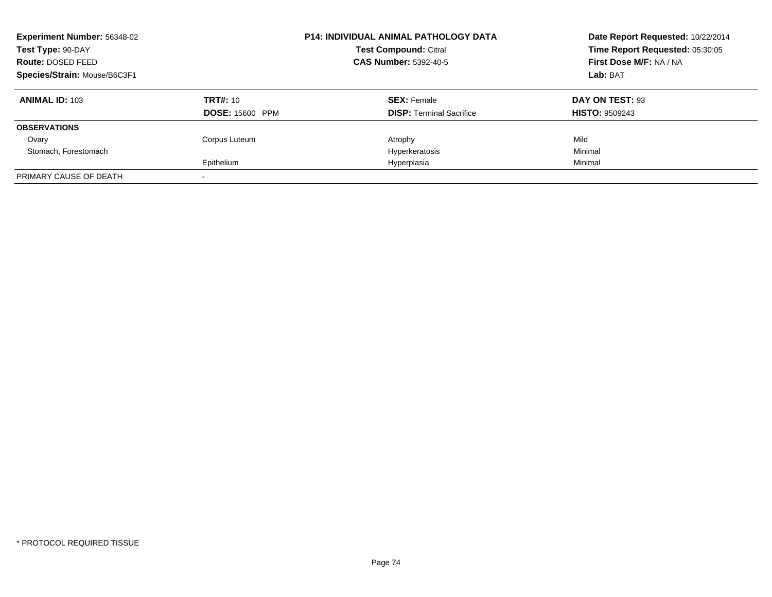| <b>Experiment Number: 56348-02</b><br>Test Type: 90-DAY<br>Route: DOSED FEED<br>Species/Strain: Mouse/B6C3F1 |                                           | <b>P14: INDIVIDUAL ANIMAL PATHOLOGY DATA</b><br><b>Test Compound: Citral</b><br><b>CAS Number: 5392-40-5</b> | Date Report Requested: 10/22/2014<br>Time Report Requested: 05:30:05<br>First Dose M/F: NA / NA<br>Lab: BAT |
|--------------------------------------------------------------------------------------------------------------|-------------------------------------------|--------------------------------------------------------------------------------------------------------------|-------------------------------------------------------------------------------------------------------------|
| <b>ANIMAL ID: 103</b>                                                                                        | <b>TRT#: 10</b><br><b>DOSE: 15600 PPM</b> | <b>SEX: Female</b><br><b>DISP: Terminal Sacrifice</b>                                                        | DAY ON TEST: 93<br><b>HISTO: 9509243</b>                                                                    |
| <b>OBSERVATIONS</b>                                                                                          |                                           |                                                                                                              |                                                                                                             |
| Ovary<br>Stomach, Forestomach                                                                                | Corpus Luteum<br>Epithelium               | Atrophy<br>Hyperkeratosis<br>Hyperplasia                                                                     | Mild<br>Minimal<br>Minimal                                                                                  |
| PRIMARY CAUSE OF DEATH                                                                                       |                                           |                                                                                                              |                                                                                                             |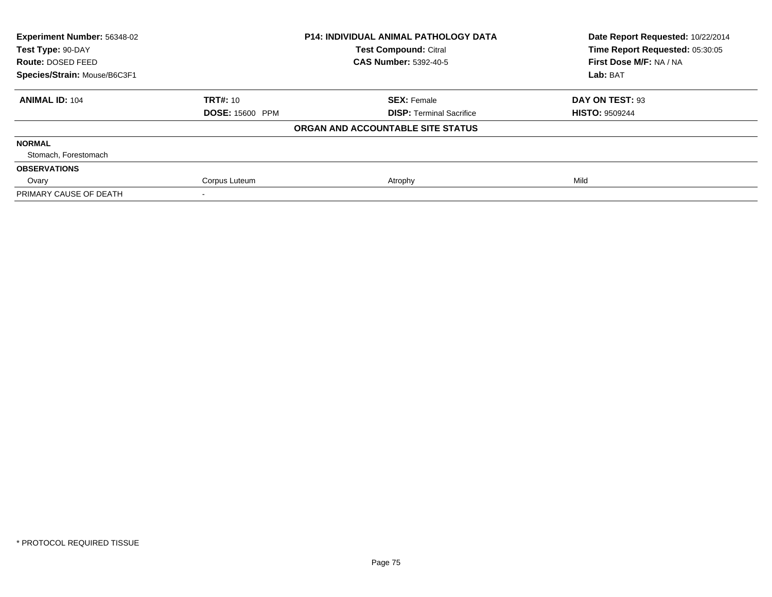| Experiment Number: 56348-02<br>Test Type: 90-DAY |                        | <b>P14: INDIVIDUAL ANIMAL PATHOLOGY DATA</b> | Date Report Requested: 10/22/2014<br>Time Report Requested: 05:30:05 |  |
|--------------------------------------------------|------------------------|----------------------------------------------|----------------------------------------------------------------------|--|
|                                                  |                        | <b>Test Compound: Citral</b>                 |                                                                      |  |
| Route: DOSED FEED                                |                        | <b>CAS Number: 5392-40-5</b>                 | First Dose M/F: NA / NA                                              |  |
| Species/Strain: Mouse/B6C3F1                     |                        |                                              | Lab: BAT                                                             |  |
| <b>ANIMAL ID: 104</b>                            | <b>TRT#: 10</b>        | <b>SEX: Female</b>                           | DAY ON TEST: 93                                                      |  |
|                                                  | <b>DOSE: 15600 PPM</b> | <b>DISP: Terminal Sacrifice</b>              | <b>HISTO: 9509244</b>                                                |  |
|                                                  |                        | ORGAN AND ACCOUNTABLE SITE STATUS            |                                                                      |  |
| <b>NORMAL</b>                                    |                        |                                              |                                                                      |  |
| Stomach, Forestomach                             |                        |                                              |                                                                      |  |
| <b>OBSERVATIONS</b>                              |                        |                                              |                                                                      |  |
| Ovary                                            | Corpus Luteum          | Atrophy                                      | Mild                                                                 |  |
| PRIMARY CAUSE OF DEATH                           |                        |                                              |                                                                      |  |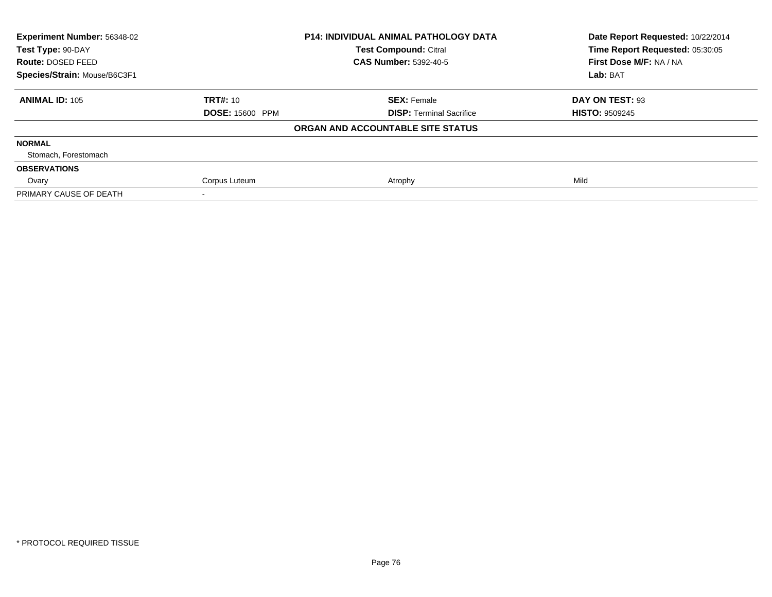| <b>Experiment Number: 56348-02</b><br>Test Type: 90-DAY |                        | <b>P14: INDIVIDUAL ANIMAL PATHOLOGY DATA</b> | Date Report Requested: 10/22/2014<br>Time Report Requested: 05:30:05 |  |
|---------------------------------------------------------|------------------------|----------------------------------------------|----------------------------------------------------------------------|--|
|                                                         |                        | <b>Test Compound: Citral</b>                 |                                                                      |  |
| Route: DOSED FEED                                       |                        | <b>CAS Number: 5392-40-5</b>                 | First Dose M/F: NA / NA                                              |  |
| Species/Strain: Mouse/B6C3F1                            |                        |                                              | Lab: BAT                                                             |  |
| <b>ANIMAL ID: 105</b>                                   | <b>TRT#: 10</b>        | <b>SEX: Female</b>                           | DAY ON TEST: 93                                                      |  |
|                                                         | <b>DOSE: 15600 PPM</b> | <b>DISP: Terminal Sacrifice</b>              | <b>HISTO: 9509245</b>                                                |  |
|                                                         |                        | ORGAN AND ACCOUNTABLE SITE STATUS            |                                                                      |  |
| <b>NORMAL</b>                                           |                        |                                              |                                                                      |  |
| Stomach, Forestomach                                    |                        |                                              |                                                                      |  |
| <b>OBSERVATIONS</b>                                     |                        |                                              |                                                                      |  |
| Ovary                                                   | Corpus Luteum          | Atrophy                                      | Mild                                                                 |  |
| PRIMARY CAUSE OF DEATH                                  |                        |                                              |                                                                      |  |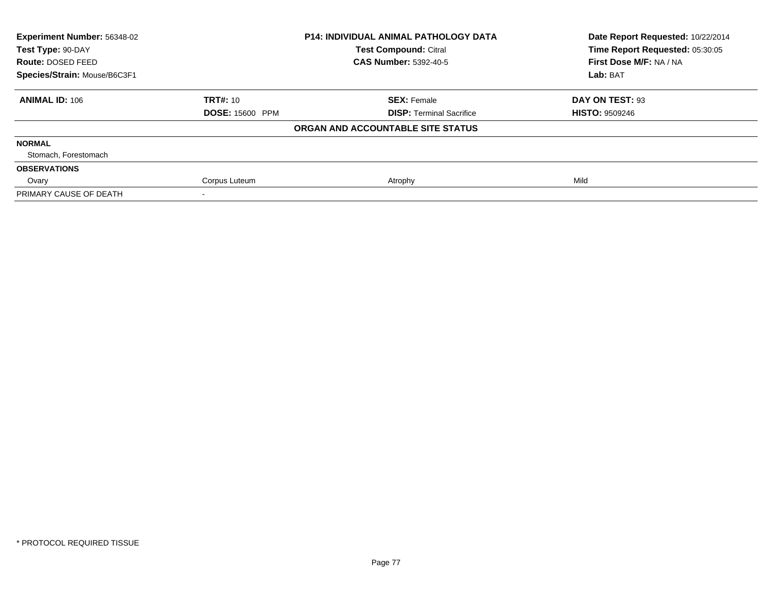| <b>Experiment Number: 56348-02</b><br>Test Type: 90-DAY |                        | <b>P14: INDIVIDUAL ANIMAL PATHOLOGY DATA</b> | Date Report Requested: 10/22/2014<br>Time Report Requested: 05:30:05 |  |
|---------------------------------------------------------|------------------------|----------------------------------------------|----------------------------------------------------------------------|--|
|                                                         |                        | <b>Test Compound: Citral</b>                 |                                                                      |  |
| Route: DOSED FEED                                       |                        | <b>CAS Number: 5392-40-5</b>                 | First Dose M/F: NA / NA                                              |  |
| Species/Strain: Mouse/B6C3F1                            |                        |                                              | Lab: BAT                                                             |  |
| <b>ANIMAL ID: 106</b>                                   | <b>TRT#: 10</b>        | <b>SEX: Female</b>                           | DAY ON TEST: 93                                                      |  |
|                                                         | <b>DOSE: 15600 PPM</b> | <b>DISP: Terminal Sacrifice</b>              | <b>HISTO: 9509246</b>                                                |  |
|                                                         |                        | ORGAN AND ACCOUNTABLE SITE STATUS            |                                                                      |  |
| <b>NORMAL</b>                                           |                        |                                              |                                                                      |  |
| Stomach, Forestomach                                    |                        |                                              |                                                                      |  |
| <b>OBSERVATIONS</b>                                     |                        |                                              |                                                                      |  |
| Ovary                                                   | Corpus Luteum          | Atrophy                                      | Mild                                                                 |  |
| PRIMARY CAUSE OF DEATH                                  |                        |                                              |                                                                      |  |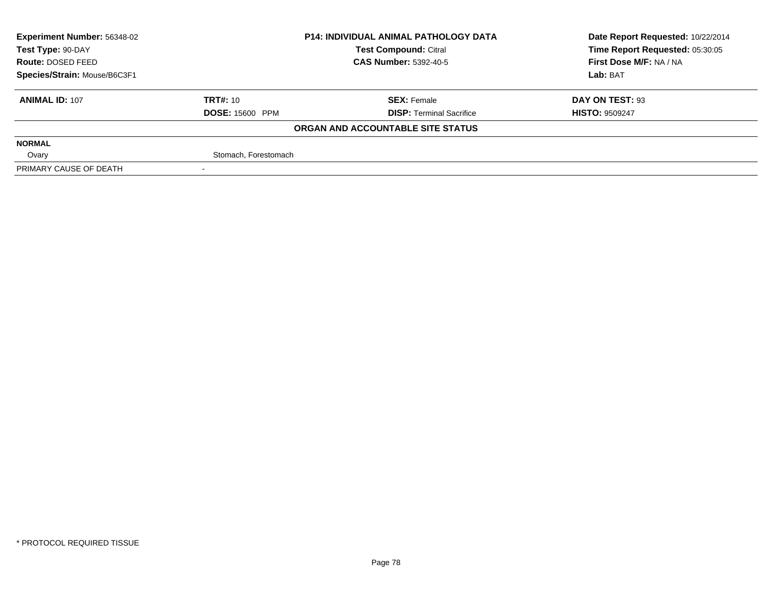| <b>Experiment Number: 56348-02</b> |                        | <b>P14: INDIVIDUAL ANIMAL PATHOLOGY DATA</b> | Date Report Requested: 10/22/2014 |  |
|------------------------------------|------------------------|----------------------------------------------|-----------------------------------|--|
| Test Type: 90-DAY                  |                        | <b>Test Compound: Citral</b>                 | Time Report Requested: 05:30:05   |  |
| Route: DOSED FEED                  |                        | <b>CAS Number: 5392-40-5</b>                 | First Dose M/F: NA / NA           |  |
| Species/Strain: Mouse/B6C3F1       |                        |                                              | Lab: BAT                          |  |
| <b>ANIMAL ID: 107</b>              | <b>TRT#: 10</b>        | <b>SEX: Female</b>                           | DAY ON TEST: 93                   |  |
|                                    | <b>DOSE: 15600 PPM</b> | <b>DISP: Terminal Sacrifice</b>              | <b>HISTO: 9509247</b>             |  |
|                                    |                        | ORGAN AND ACCOUNTABLE SITE STATUS            |                                   |  |
| <b>NORMAL</b>                      |                        |                                              |                                   |  |
| Ovary                              | Stomach, Forestomach   |                                              |                                   |  |
| PRIMARY CAUSE OF DEATH             |                        |                                              |                                   |  |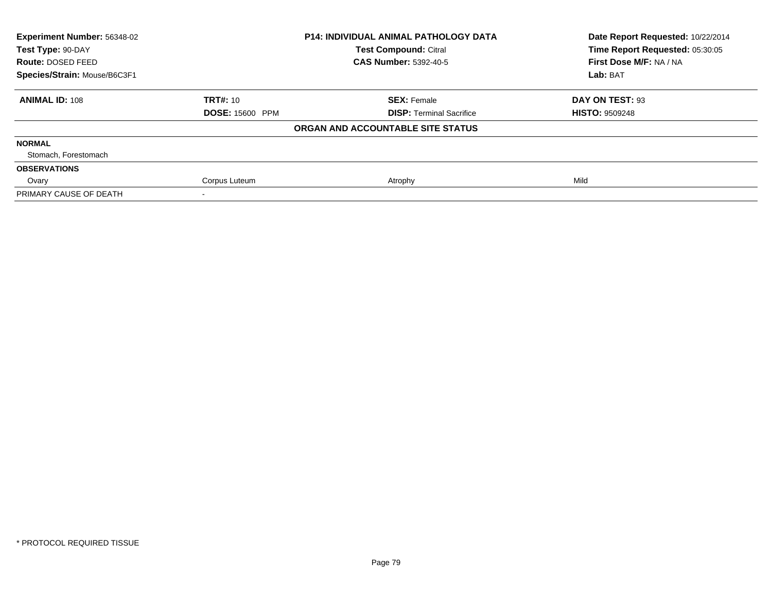| <b>Experiment Number: 56348-02</b><br>Test Type: 90-DAY |                        | <b>P14: INDIVIDUAL ANIMAL PATHOLOGY DATA</b> | Date Report Requested: 10/22/2014<br>Time Report Requested: 05:30:05 |  |
|---------------------------------------------------------|------------------------|----------------------------------------------|----------------------------------------------------------------------|--|
|                                                         |                        | <b>Test Compound: Citral</b>                 |                                                                      |  |
| Route: DOSED FEED                                       |                        | <b>CAS Number: 5392-40-5</b>                 | First Dose M/F: NA / NA                                              |  |
| Species/Strain: Mouse/B6C3F1                            |                        |                                              | Lab: BAT                                                             |  |
| <b>ANIMAL ID: 108</b>                                   | <b>TRT#: 10</b>        | <b>SEX: Female</b>                           | DAY ON TEST: 93                                                      |  |
|                                                         | <b>DOSE: 15600 PPM</b> | <b>DISP: Terminal Sacrifice</b>              | <b>HISTO: 9509248</b>                                                |  |
|                                                         |                        | ORGAN AND ACCOUNTABLE SITE STATUS            |                                                                      |  |
| <b>NORMAL</b>                                           |                        |                                              |                                                                      |  |
| Stomach, Forestomach                                    |                        |                                              |                                                                      |  |
| <b>OBSERVATIONS</b>                                     |                        |                                              |                                                                      |  |
| Ovary                                                   | Corpus Luteum          | Atrophy                                      | Mild                                                                 |  |
| PRIMARY CAUSE OF DEATH                                  |                        |                                              |                                                                      |  |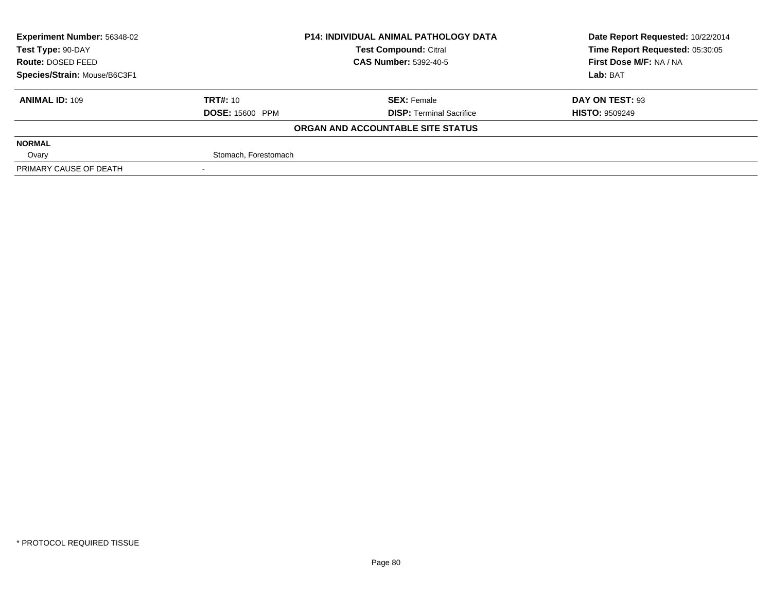| <b>Experiment Number: 56348-02</b> |                              | <b>P14: INDIVIDUAL ANIMAL PATHOLOGY DATA</b> | Date Report Requested: 10/22/2014 |  |
|------------------------------------|------------------------------|----------------------------------------------|-----------------------------------|--|
| Test Type: 90-DAY                  |                              | <b>Test Compound: Citral</b>                 | Time Report Requested: 05:30:05   |  |
| Route: DOSED FEED                  | <b>CAS Number: 5392-40-5</b> |                                              | First Dose M/F: NA / NA           |  |
| Species/Strain: Mouse/B6C3F1       |                              |                                              | Lab: BAT                          |  |
| <b>ANIMAL ID: 109</b>              | <b>TRT#: 10</b>              | <b>SEX: Female</b>                           | DAY ON TEST: 93                   |  |
|                                    | <b>DOSE: 15600 PPM</b>       | <b>DISP: Terminal Sacrifice</b>              | <b>HISTO: 9509249</b>             |  |
|                                    |                              | ORGAN AND ACCOUNTABLE SITE STATUS            |                                   |  |
| <b>NORMAL</b>                      |                              |                                              |                                   |  |
| Ovary                              | Stomach, Forestomach         |                                              |                                   |  |
| PRIMARY CAUSE OF DEATH             |                              |                                              |                                   |  |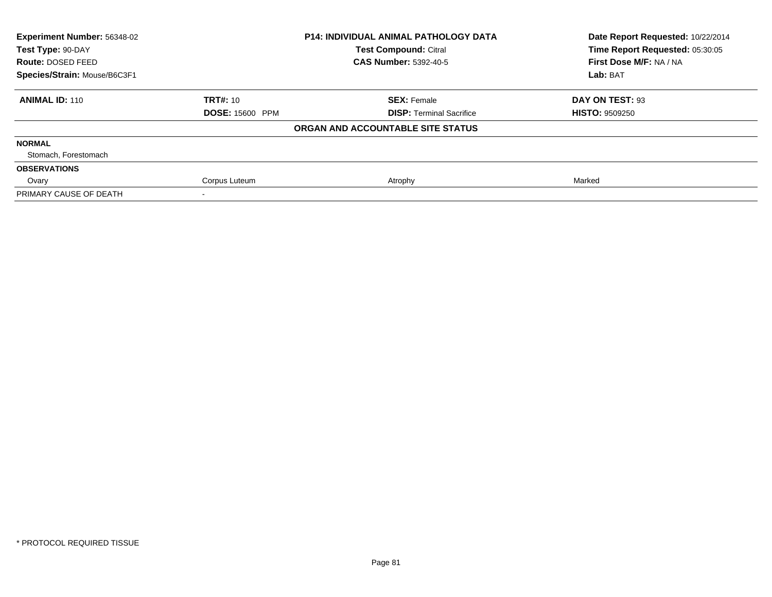| Experiment Number: 56348-02<br>Test Type: 90-DAY |                        | <b>P14: INDIVIDUAL ANIMAL PATHOLOGY DATA</b> | Date Report Requested: 10/22/2014<br>Time Report Requested: 05:30:05 |  |
|--------------------------------------------------|------------------------|----------------------------------------------|----------------------------------------------------------------------|--|
|                                                  |                        | <b>Test Compound: Citral</b>                 |                                                                      |  |
| Route: DOSED FEED                                |                        | <b>CAS Number: 5392-40-5</b>                 | First Dose M/F: NA / NA                                              |  |
| Species/Strain: Mouse/B6C3F1                     |                        |                                              | Lab: BAT                                                             |  |
| <b>ANIMAL ID: 110</b>                            | <b>TRT#: 10</b>        | <b>SEX: Female</b>                           | DAY ON TEST: 93                                                      |  |
|                                                  | <b>DOSE: 15600 PPM</b> | <b>DISP:</b> Terminal Sacrifice              | <b>HISTO: 9509250</b>                                                |  |
|                                                  |                        | ORGAN AND ACCOUNTABLE SITE STATUS            |                                                                      |  |
| <b>NORMAL</b>                                    |                        |                                              |                                                                      |  |
| Stomach, Forestomach                             |                        |                                              |                                                                      |  |
| <b>OBSERVATIONS</b>                              |                        |                                              |                                                                      |  |
| Ovary                                            | Corpus Luteum          | Atrophy                                      | Marked                                                               |  |
| PRIMARY CAUSE OF DEATH                           |                        |                                              |                                                                      |  |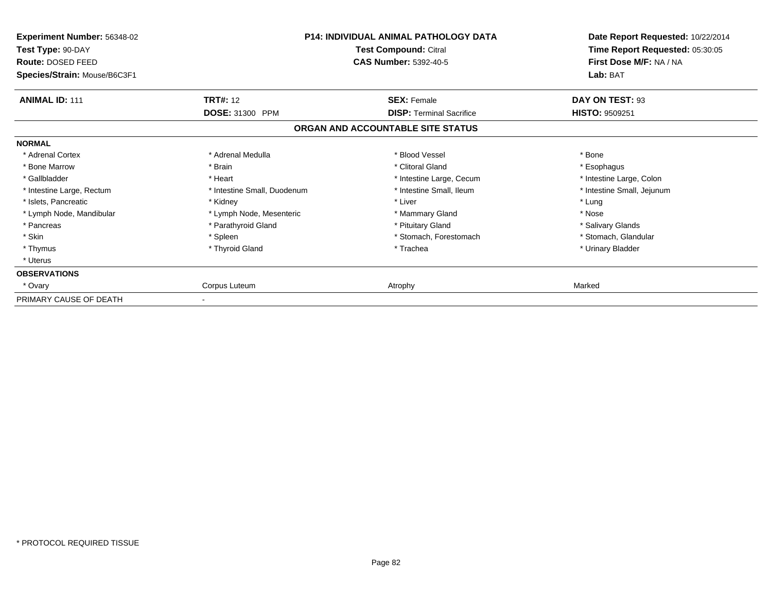| <b>Experiment Number: 56348-02</b><br>Test Type: 90-DAY<br><b>Route: DOSED FEED</b><br>Species/Strain: Mouse/B6C3F1 | <b>P14: INDIVIDUAL ANIMAL PATHOLOGY DATA</b><br>Test Compound: Citral<br><b>CAS Number: 5392-40-5</b> |                                   | Date Report Requested: 10/22/2014<br>Time Report Requested: 05:30:05<br>First Dose M/F: NA / NA<br>Lab: BAT |
|---------------------------------------------------------------------------------------------------------------------|-------------------------------------------------------------------------------------------------------|-----------------------------------|-------------------------------------------------------------------------------------------------------------|
| <b>ANIMAL ID: 111</b>                                                                                               | <b>TRT#:</b> 12                                                                                       | <b>SEX: Female</b>                | DAY ON TEST: 93                                                                                             |
|                                                                                                                     | DOSE: 31300 PPM                                                                                       | <b>DISP: Terminal Sacrifice</b>   | <b>HISTO: 9509251</b>                                                                                       |
|                                                                                                                     |                                                                                                       | ORGAN AND ACCOUNTABLE SITE STATUS |                                                                                                             |
| <b>NORMAL</b>                                                                                                       |                                                                                                       |                                   |                                                                                                             |
| * Adrenal Cortex                                                                                                    | * Adrenal Medulla                                                                                     | * Blood Vessel                    | * Bone                                                                                                      |
| * Bone Marrow                                                                                                       | * Brain                                                                                               | * Clitoral Gland                  | * Esophagus                                                                                                 |
| * Gallbladder                                                                                                       | * Heart                                                                                               | * Intestine Large, Cecum          | * Intestine Large, Colon                                                                                    |
| * Intestine Large, Rectum                                                                                           | * Intestine Small, Duodenum                                                                           | * Intestine Small, Ileum          | * Intestine Small, Jejunum                                                                                  |
| * Islets, Pancreatic                                                                                                | * Kidney                                                                                              | * Liver                           | * Lung                                                                                                      |
| * Lymph Node, Mandibular                                                                                            | * Lymph Node, Mesenteric                                                                              | * Mammary Gland                   | * Nose                                                                                                      |
| * Pancreas                                                                                                          | * Parathyroid Gland                                                                                   | * Pituitary Gland                 | * Salivary Glands                                                                                           |
| * Skin                                                                                                              | * Spleen                                                                                              | * Stomach, Forestomach            | * Stomach, Glandular                                                                                        |
| * Thymus                                                                                                            | * Thyroid Gland                                                                                       | * Trachea                         | * Urinary Bladder                                                                                           |
| * Uterus                                                                                                            |                                                                                                       |                                   |                                                                                                             |
| <b>OBSERVATIONS</b>                                                                                                 |                                                                                                       |                                   |                                                                                                             |
| * Ovary                                                                                                             | Corpus Luteum                                                                                         | Atrophy                           | Marked                                                                                                      |
| PRIMARY CAUSE OF DEATH                                                                                              |                                                                                                       |                                   |                                                                                                             |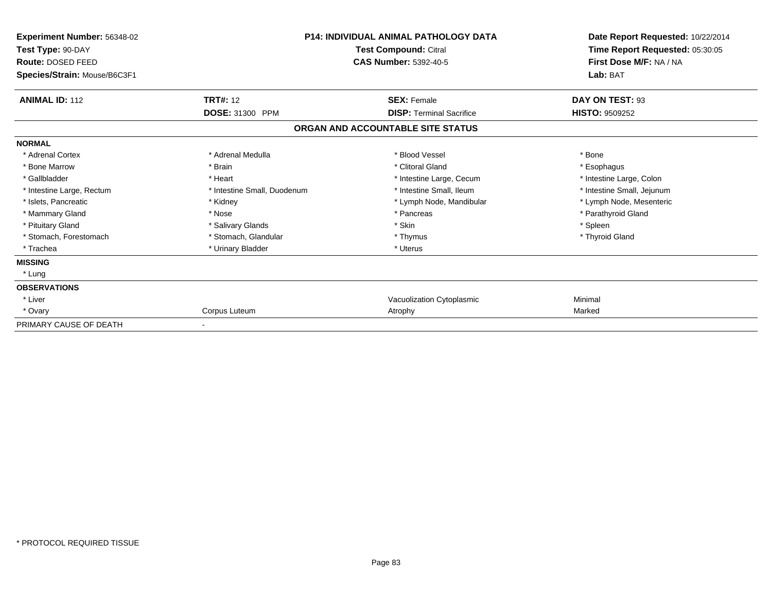| Experiment Number: 56348-02<br>Test Type: 90-DAY<br><b>Route: DOSED FEED</b><br>Species/Strain: Mouse/B6C3F1 | <b>P14: INDIVIDUAL ANIMAL PATHOLOGY DATA</b><br>Test Compound: Citral<br><b>CAS Number: 5392-40-5</b> |                                   | Date Report Requested: 10/22/2014<br>Time Report Requested: 05:30:05<br>First Dose M/F: NA / NA<br>Lab: BAT |  |
|--------------------------------------------------------------------------------------------------------------|-------------------------------------------------------------------------------------------------------|-----------------------------------|-------------------------------------------------------------------------------------------------------------|--|
| <b>ANIMAL ID: 112</b>                                                                                        | <b>TRT#: 12</b>                                                                                       | <b>SEX: Female</b>                | DAY ON TEST: 93                                                                                             |  |
|                                                                                                              | DOSE: 31300 PPM                                                                                       | <b>DISP: Terminal Sacrifice</b>   | <b>HISTO: 9509252</b>                                                                                       |  |
|                                                                                                              |                                                                                                       | ORGAN AND ACCOUNTABLE SITE STATUS |                                                                                                             |  |
| <b>NORMAL</b>                                                                                                |                                                                                                       |                                   |                                                                                                             |  |
| * Adrenal Cortex                                                                                             | * Adrenal Medulla                                                                                     | * Blood Vessel                    | * Bone                                                                                                      |  |
| * Bone Marrow                                                                                                | * Brain                                                                                               | * Clitoral Gland                  | * Esophagus                                                                                                 |  |
| * Gallbladder                                                                                                | * Heart                                                                                               | * Intestine Large, Cecum          | * Intestine Large, Colon                                                                                    |  |
| * Intestine Large, Rectum                                                                                    | * Intestine Small, Duodenum                                                                           | * Intestine Small, Ileum          | * Intestine Small, Jejunum                                                                                  |  |
| * Islets, Pancreatic                                                                                         | * Kidney                                                                                              | * Lymph Node, Mandibular          | * Lymph Node, Mesenteric                                                                                    |  |
| * Mammary Gland                                                                                              | * Nose                                                                                                | * Pancreas                        | * Parathyroid Gland                                                                                         |  |
| * Pituitary Gland                                                                                            | * Salivary Glands                                                                                     | * Skin                            | * Spleen                                                                                                    |  |
| * Stomach, Forestomach                                                                                       | * Stomach, Glandular                                                                                  | * Thymus                          | * Thyroid Gland                                                                                             |  |
| * Trachea                                                                                                    | * Urinary Bladder                                                                                     | * Uterus                          |                                                                                                             |  |
| <b>MISSING</b>                                                                                               |                                                                                                       |                                   |                                                                                                             |  |
| * Lung                                                                                                       |                                                                                                       |                                   |                                                                                                             |  |
| <b>OBSERVATIONS</b>                                                                                          |                                                                                                       |                                   |                                                                                                             |  |
| * Liver                                                                                                      |                                                                                                       | Vacuolization Cytoplasmic         | Minimal                                                                                                     |  |
| * Ovary                                                                                                      | Corpus Luteum                                                                                         | Atrophy                           | Marked                                                                                                      |  |
| PRIMARY CAUSE OF DEATH                                                                                       | $\overline{\phantom{a}}$                                                                              |                                   |                                                                                                             |  |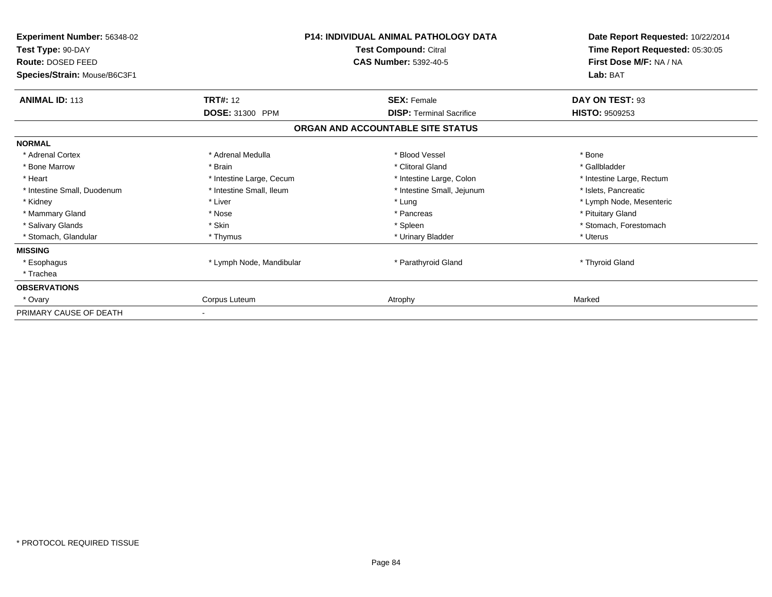| Experiment Number: 56348-02  |                          | <b>P14: INDIVIDUAL ANIMAL PATHOLOGY DATA</b> | Date Report Requested: 10/22/2014<br>Time Report Requested: 05:30:05 |
|------------------------------|--------------------------|----------------------------------------------|----------------------------------------------------------------------|
| Test Type: 90-DAY            |                          | Test Compound: Citral                        |                                                                      |
| Route: DOSED FEED            |                          | <b>CAS Number: 5392-40-5</b>                 | First Dose M/F: NA / NA                                              |
| Species/Strain: Mouse/B6C3F1 |                          |                                              | Lab: BAT                                                             |
| <b>ANIMAL ID: 113</b>        | <b>TRT#: 12</b>          | <b>SEX: Female</b>                           | DAY ON TEST: 93                                                      |
|                              | DOSE: 31300 PPM          | <b>DISP: Terminal Sacrifice</b>              | <b>HISTO: 9509253</b>                                                |
|                              |                          | ORGAN AND ACCOUNTABLE SITE STATUS            |                                                                      |
| <b>NORMAL</b>                |                          |                                              |                                                                      |
| * Adrenal Cortex             | * Adrenal Medulla        | * Blood Vessel                               | * Bone                                                               |
| * Bone Marrow                | * Brain                  | * Clitoral Gland                             | * Gallbladder                                                        |
| * Heart                      | * Intestine Large, Cecum | * Intestine Large, Colon                     | * Intestine Large, Rectum                                            |
| * Intestine Small, Duodenum  | * Intestine Small, Ileum | * Intestine Small, Jejunum                   | * Islets, Pancreatic                                                 |
| * Kidney                     | * Liver                  | * Lung                                       | * Lymph Node, Mesenteric                                             |
| * Mammary Gland              | * Nose                   | * Pancreas                                   | * Pituitary Gland                                                    |
| * Salivary Glands            | * Skin                   | * Spleen                                     | * Stomach, Forestomach                                               |
| * Stomach, Glandular         | * Thymus                 | * Urinary Bladder                            | * Uterus                                                             |
| <b>MISSING</b>               |                          |                                              |                                                                      |
| * Esophagus                  | * Lymph Node, Mandibular | * Parathyroid Gland                          | * Thyroid Gland                                                      |
| * Trachea                    |                          |                                              |                                                                      |
| <b>OBSERVATIONS</b>          |                          |                                              |                                                                      |
| * Ovary                      | Corpus Luteum            | Atrophy                                      | Marked                                                               |
| PRIMARY CAUSE OF DEATH       |                          |                                              |                                                                      |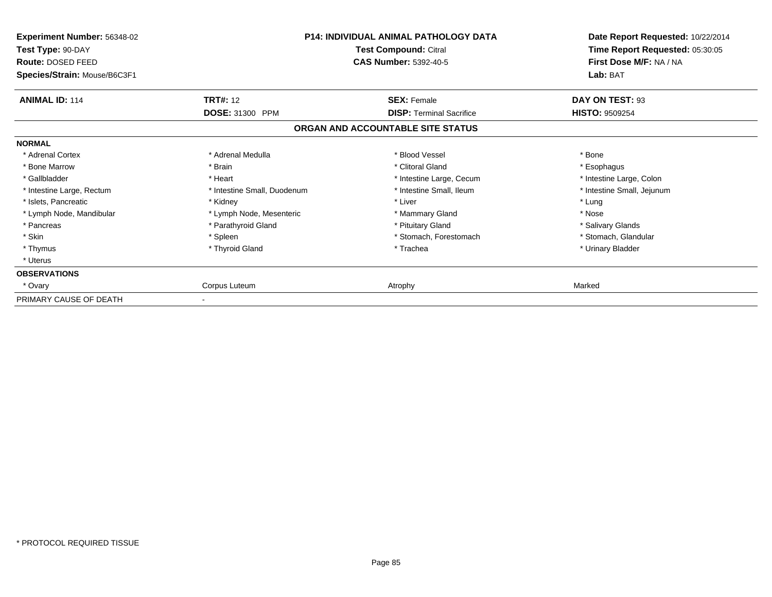| Experiment Number: 56348-02<br>Test Type: 90-DAY<br><b>Route: DOSED FEED</b><br>Species/Strain: Mouse/B6C3F1 | <b>P14: INDIVIDUAL ANIMAL PATHOLOGY DATA</b><br>Test Compound: Citral<br><b>CAS Number: 5392-40-5</b> |                                   | Date Report Requested: 10/22/2014<br>Time Report Requested: 05:30:05<br>First Dose M/F: NA / NA<br>Lab: BAT |
|--------------------------------------------------------------------------------------------------------------|-------------------------------------------------------------------------------------------------------|-----------------------------------|-------------------------------------------------------------------------------------------------------------|
| <b>ANIMAL ID: 114</b>                                                                                        | <b>TRT#:</b> 12                                                                                       | <b>SEX: Female</b>                | DAY ON TEST: 93                                                                                             |
|                                                                                                              | DOSE: 31300 PPM                                                                                       | <b>DISP: Terminal Sacrifice</b>   | <b>HISTO: 9509254</b>                                                                                       |
|                                                                                                              |                                                                                                       | ORGAN AND ACCOUNTABLE SITE STATUS |                                                                                                             |
| <b>NORMAL</b>                                                                                                |                                                                                                       |                                   |                                                                                                             |
| * Adrenal Cortex                                                                                             | * Adrenal Medulla                                                                                     | * Blood Vessel                    | * Bone                                                                                                      |
| * Bone Marrow                                                                                                | * Brain                                                                                               | * Clitoral Gland                  | * Esophagus                                                                                                 |
| * Gallbladder                                                                                                | * Heart                                                                                               | * Intestine Large, Cecum          | * Intestine Large, Colon                                                                                    |
| * Intestine Large, Rectum                                                                                    | * Intestine Small, Duodenum                                                                           | * Intestine Small, Ileum          | * Intestine Small, Jejunum                                                                                  |
| * Islets, Pancreatic                                                                                         | * Kidney                                                                                              | * Liver                           | * Lung                                                                                                      |
| * Lymph Node, Mandibular                                                                                     | * Lymph Node, Mesenteric                                                                              | * Mammary Gland                   | * Nose                                                                                                      |
| * Pancreas                                                                                                   | * Parathyroid Gland                                                                                   | * Pituitary Gland                 | * Salivary Glands                                                                                           |
| * Skin                                                                                                       | * Spleen                                                                                              | * Stomach, Forestomach            | * Stomach, Glandular                                                                                        |
| * Thymus                                                                                                     | * Thyroid Gland                                                                                       | * Trachea                         | * Urinary Bladder                                                                                           |
| * Uterus                                                                                                     |                                                                                                       |                                   |                                                                                                             |
| <b>OBSERVATIONS</b>                                                                                          |                                                                                                       |                                   |                                                                                                             |
| * Ovary                                                                                                      | Corpus Luteum                                                                                         | Atrophy                           | Marked                                                                                                      |
| PRIMARY CAUSE OF DEATH                                                                                       |                                                                                                       |                                   |                                                                                                             |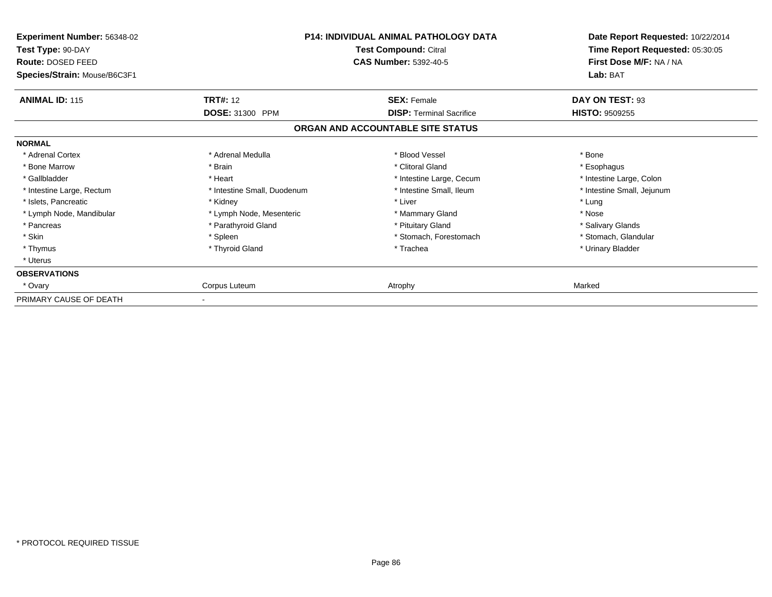| Experiment Number: 56348-02<br>Test Type: 90-DAY<br><b>Route: DOSED FEED</b><br>Species/Strain: Mouse/B6C3F1 | <b>P14: INDIVIDUAL ANIMAL PATHOLOGY DATA</b><br>Test Compound: Citral<br><b>CAS Number: 5392-40-5</b> |                                   | Date Report Requested: 10/22/2014<br>Time Report Requested: 05:30:05<br>First Dose M/F: NA / NA<br>Lab: BAT |
|--------------------------------------------------------------------------------------------------------------|-------------------------------------------------------------------------------------------------------|-----------------------------------|-------------------------------------------------------------------------------------------------------------|
| <b>ANIMAL ID: 115</b>                                                                                        | <b>TRT#:</b> 12                                                                                       | <b>SEX: Female</b>                | DAY ON TEST: 93                                                                                             |
|                                                                                                              | DOSE: 31300 PPM                                                                                       | <b>DISP: Terminal Sacrifice</b>   | <b>HISTO: 9509255</b>                                                                                       |
|                                                                                                              |                                                                                                       | ORGAN AND ACCOUNTABLE SITE STATUS |                                                                                                             |
| <b>NORMAL</b>                                                                                                |                                                                                                       |                                   |                                                                                                             |
| * Adrenal Cortex                                                                                             | * Adrenal Medulla                                                                                     | * Blood Vessel                    | * Bone                                                                                                      |
| * Bone Marrow                                                                                                | * Brain                                                                                               | * Clitoral Gland                  | * Esophagus                                                                                                 |
| * Gallbladder                                                                                                | * Heart                                                                                               | * Intestine Large, Cecum          | * Intestine Large, Colon                                                                                    |
| * Intestine Large, Rectum                                                                                    | * Intestine Small, Duodenum                                                                           | * Intestine Small, Ileum          | * Intestine Small, Jejunum                                                                                  |
| * Islets, Pancreatic                                                                                         | * Kidney                                                                                              | * Liver                           | * Lung                                                                                                      |
| * Lymph Node, Mandibular                                                                                     | * Lymph Node, Mesenteric                                                                              | * Mammary Gland                   | * Nose                                                                                                      |
| * Pancreas                                                                                                   | * Parathyroid Gland                                                                                   | * Pituitary Gland                 | * Salivary Glands                                                                                           |
| * Skin                                                                                                       | * Spleen                                                                                              | * Stomach, Forestomach            | * Stomach, Glandular                                                                                        |
| * Thymus                                                                                                     | * Thyroid Gland                                                                                       | * Trachea                         | * Urinary Bladder                                                                                           |
| * Uterus                                                                                                     |                                                                                                       |                                   |                                                                                                             |
| <b>OBSERVATIONS</b>                                                                                          |                                                                                                       |                                   |                                                                                                             |
| * Ovary                                                                                                      | Corpus Luteum                                                                                         | Atrophy                           | Marked                                                                                                      |
| PRIMARY CAUSE OF DEATH                                                                                       |                                                                                                       |                                   |                                                                                                             |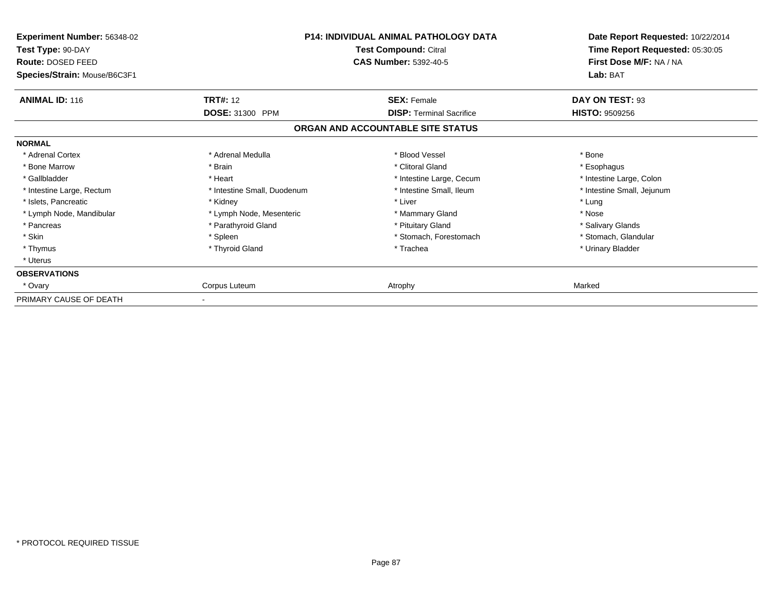| Experiment Number: 56348-02<br>Test Type: 90-DAY<br>Route: DOSED FEED<br>Species/Strain: Mouse/B6C3F1 | <b>P14: INDIVIDUAL ANIMAL PATHOLOGY DATA</b><br>Test Compound: Citral<br><b>CAS Number: 5392-40-5</b> |                                   | Date Report Requested: 10/22/2014<br>Time Report Requested: 05:30:05<br>First Dose M/F: NA / NA<br>Lab: BAT |
|-------------------------------------------------------------------------------------------------------|-------------------------------------------------------------------------------------------------------|-----------------------------------|-------------------------------------------------------------------------------------------------------------|
| <b>ANIMAL ID: 116</b>                                                                                 | <b>TRT#: 12</b>                                                                                       | <b>SEX: Female</b>                | DAY ON TEST: 93                                                                                             |
|                                                                                                       | <b>DOSE: 31300 PPM</b>                                                                                | <b>DISP: Terminal Sacrifice</b>   | <b>HISTO: 9509256</b>                                                                                       |
|                                                                                                       |                                                                                                       | ORGAN AND ACCOUNTABLE SITE STATUS |                                                                                                             |
| <b>NORMAL</b>                                                                                         |                                                                                                       |                                   |                                                                                                             |
| * Adrenal Cortex                                                                                      | * Adrenal Medulla                                                                                     | * Blood Vessel                    | * Bone                                                                                                      |
| * Bone Marrow                                                                                         | * Brain                                                                                               | * Clitoral Gland                  | * Esophagus                                                                                                 |
| * Gallbladder                                                                                         | * Heart                                                                                               | * Intestine Large, Cecum          | * Intestine Large, Colon                                                                                    |
| * Intestine Large, Rectum                                                                             | * Intestine Small, Duodenum                                                                           | * Intestine Small, Ileum          | * Intestine Small, Jejunum                                                                                  |
| * Islets, Pancreatic                                                                                  | * Kidney                                                                                              | * Liver                           | * Lung                                                                                                      |
| * Lymph Node, Mandibular                                                                              | * Lymph Node, Mesenteric                                                                              | * Mammary Gland                   | * Nose                                                                                                      |
| * Pancreas                                                                                            | * Parathyroid Gland                                                                                   | * Pituitary Gland                 | * Salivary Glands                                                                                           |
| * Skin                                                                                                | * Spleen                                                                                              | * Stomach, Forestomach            | * Stomach, Glandular                                                                                        |
| * Thymus                                                                                              | * Thyroid Gland                                                                                       | * Trachea                         | * Urinary Bladder                                                                                           |
| * Uterus                                                                                              |                                                                                                       |                                   |                                                                                                             |
| <b>OBSERVATIONS</b>                                                                                   |                                                                                                       |                                   |                                                                                                             |
| * Ovary                                                                                               | Corpus Luteum                                                                                         | Atrophy                           | Marked                                                                                                      |
| PRIMARY CAUSE OF DEATH                                                                                |                                                                                                       |                                   |                                                                                                             |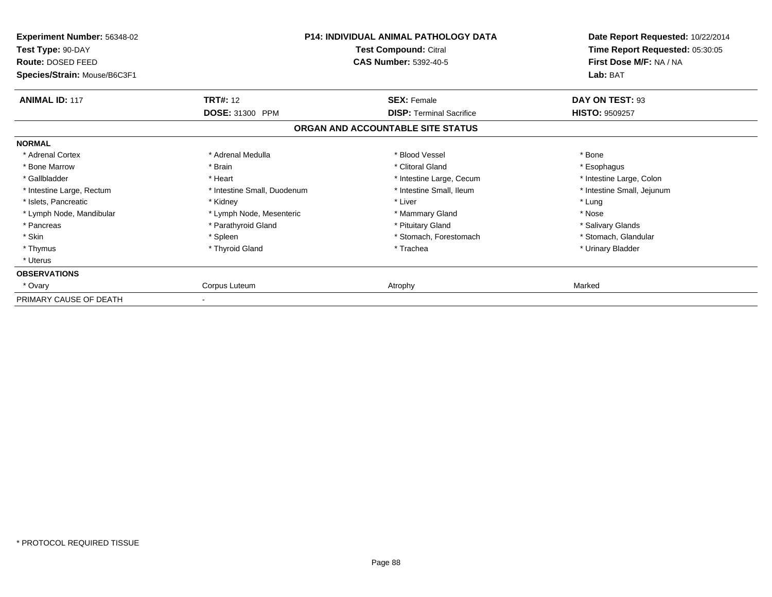| Experiment Number: 56348-02<br>Test Type: 90-DAY<br><b>Route: DOSED FEED</b><br>Species/Strain: Mouse/B6C3F1 | <b>P14: INDIVIDUAL ANIMAL PATHOLOGY DATA</b><br>Test Compound: Citral<br><b>CAS Number: 5392-40-5</b> |                                   | Date Report Requested: 10/22/2014<br>Time Report Requested: 05:30:05<br>First Dose M/F: NA / NA<br>Lab: BAT |
|--------------------------------------------------------------------------------------------------------------|-------------------------------------------------------------------------------------------------------|-----------------------------------|-------------------------------------------------------------------------------------------------------------|
| <b>ANIMAL ID: 117</b>                                                                                        | <b>TRT#:</b> 12                                                                                       | <b>SEX: Female</b>                | DAY ON TEST: 93                                                                                             |
|                                                                                                              | DOSE: 31300 PPM                                                                                       | <b>DISP: Terminal Sacrifice</b>   | <b>HISTO: 9509257</b>                                                                                       |
|                                                                                                              |                                                                                                       | ORGAN AND ACCOUNTABLE SITE STATUS |                                                                                                             |
| <b>NORMAL</b>                                                                                                |                                                                                                       |                                   |                                                                                                             |
| * Adrenal Cortex                                                                                             | * Adrenal Medulla                                                                                     | * Blood Vessel                    | * Bone                                                                                                      |
| * Bone Marrow                                                                                                | * Brain                                                                                               | * Clitoral Gland                  | * Esophagus                                                                                                 |
| * Gallbladder                                                                                                | * Heart                                                                                               | * Intestine Large, Cecum          | * Intestine Large, Colon                                                                                    |
| * Intestine Large, Rectum                                                                                    | * Intestine Small, Duodenum                                                                           | * Intestine Small, Ileum          | * Intestine Small, Jejunum                                                                                  |
| * Islets, Pancreatic                                                                                         | * Kidney                                                                                              | * Liver                           | * Lung                                                                                                      |
| * Lymph Node, Mandibular                                                                                     | * Lymph Node, Mesenteric                                                                              | * Mammary Gland                   | * Nose                                                                                                      |
| * Pancreas                                                                                                   | * Parathyroid Gland                                                                                   | * Pituitary Gland                 | * Salivary Glands                                                                                           |
| * Skin                                                                                                       | * Spleen                                                                                              | * Stomach, Forestomach            | * Stomach, Glandular                                                                                        |
| * Thymus                                                                                                     | * Thyroid Gland                                                                                       | * Trachea                         | * Urinary Bladder                                                                                           |
| * Uterus                                                                                                     |                                                                                                       |                                   |                                                                                                             |
| <b>OBSERVATIONS</b>                                                                                          |                                                                                                       |                                   |                                                                                                             |
| * Ovary                                                                                                      | Corpus Luteum                                                                                         | Atrophy                           | Marked                                                                                                      |
| PRIMARY CAUSE OF DEATH                                                                                       |                                                                                                       |                                   |                                                                                                             |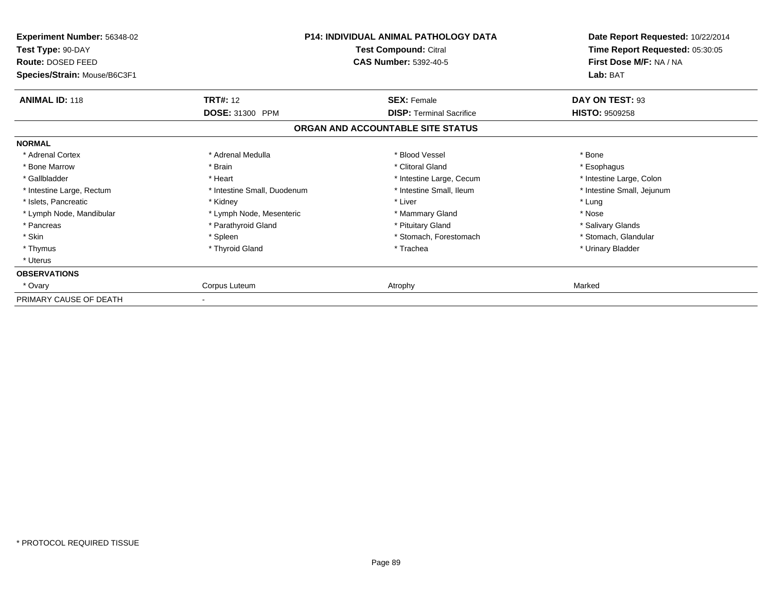| Experiment Number: 56348-02<br>Test Type: 90-DAY<br><b>Route: DOSED FEED</b><br>Species/Strain: Mouse/B6C3F1 | <b>P14: INDIVIDUAL ANIMAL PATHOLOGY DATA</b><br>Test Compound: Citral<br><b>CAS Number: 5392-40-5</b> |                                   | Date Report Requested: 10/22/2014<br>Time Report Requested: 05:30:05<br>First Dose M/F: NA / NA<br>Lab: BAT |
|--------------------------------------------------------------------------------------------------------------|-------------------------------------------------------------------------------------------------------|-----------------------------------|-------------------------------------------------------------------------------------------------------------|
| <b>ANIMAL ID: 118</b>                                                                                        | <b>TRT#:</b> 12                                                                                       | <b>SEX: Female</b>                | DAY ON TEST: 93                                                                                             |
|                                                                                                              | DOSE: 31300 PPM                                                                                       | <b>DISP: Terminal Sacrifice</b>   | <b>HISTO: 9509258</b>                                                                                       |
|                                                                                                              |                                                                                                       | ORGAN AND ACCOUNTABLE SITE STATUS |                                                                                                             |
| <b>NORMAL</b>                                                                                                |                                                                                                       |                                   |                                                                                                             |
| * Adrenal Cortex                                                                                             | * Adrenal Medulla                                                                                     | * Blood Vessel                    | * Bone                                                                                                      |
| * Bone Marrow                                                                                                | * Brain                                                                                               | * Clitoral Gland                  | * Esophagus                                                                                                 |
| * Gallbladder                                                                                                | * Heart                                                                                               | * Intestine Large, Cecum          | * Intestine Large, Colon                                                                                    |
| * Intestine Large, Rectum                                                                                    | * Intestine Small, Duodenum                                                                           | * Intestine Small, Ileum          | * Intestine Small, Jejunum                                                                                  |
| * Islets, Pancreatic                                                                                         | * Kidney                                                                                              | * Liver                           | * Lung                                                                                                      |
| * Lymph Node, Mandibular                                                                                     | * Lymph Node, Mesenteric                                                                              | * Mammary Gland                   | * Nose                                                                                                      |
| * Pancreas                                                                                                   | * Parathyroid Gland                                                                                   | * Pituitary Gland                 | * Salivary Glands                                                                                           |
| * Skin                                                                                                       | * Spleen                                                                                              | * Stomach, Forestomach            | * Stomach, Glandular                                                                                        |
| * Thymus                                                                                                     | * Thyroid Gland                                                                                       | * Trachea                         | * Urinary Bladder                                                                                           |
| * Uterus                                                                                                     |                                                                                                       |                                   |                                                                                                             |
| <b>OBSERVATIONS</b>                                                                                          |                                                                                                       |                                   |                                                                                                             |
| * Ovary                                                                                                      | Corpus Luteum                                                                                         | Atrophy                           | Marked                                                                                                      |
| PRIMARY CAUSE OF DEATH                                                                                       |                                                                                                       |                                   |                                                                                                             |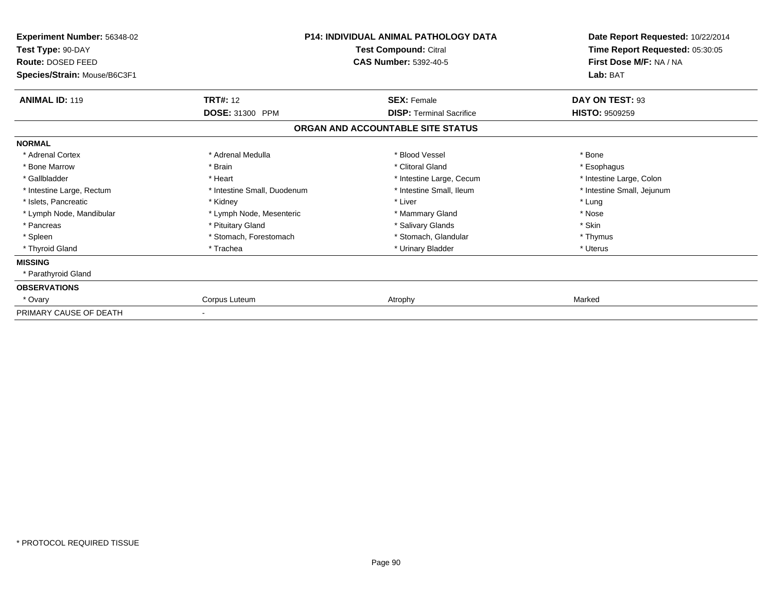| Experiment Number: 56348-02<br>Test Type: 90-DAY<br><b>Route: DOSED FEED</b><br>Species/Strain: Mouse/B6C3F1 | <b>P14: INDIVIDUAL ANIMAL PATHOLOGY DATA</b><br>Test Compound: Citral<br><b>CAS Number: 5392-40-5</b> |                                   | Date Report Requested: 10/22/2014<br>Time Report Requested: 05:30:05<br>First Dose M/F: NA / NA<br>Lab: BAT |  |
|--------------------------------------------------------------------------------------------------------------|-------------------------------------------------------------------------------------------------------|-----------------------------------|-------------------------------------------------------------------------------------------------------------|--|
| <b>ANIMAL ID: 119</b>                                                                                        | <b>TRT#: 12</b>                                                                                       | <b>SEX: Female</b>                | DAY ON TEST: 93                                                                                             |  |
|                                                                                                              | DOSE: 31300 PPM                                                                                       | <b>DISP: Terminal Sacrifice</b>   | <b>HISTO: 9509259</b>                                                                                       |  |
|                                                                                                              |                                                                                                       | ORGAN AND ACCOUNTABLE SITE STATUS |                                                                                                             |  |
| <b>NORMAL</b>                                                                                                |                                                                                                       |                                   |                                                                                                             |  |
| * Adrenal Cortex                                                                                             | * Adrenal Medulla                                                                                     | * Blood Vessel                    | * Bone                                                                                                      |  |
| * Bone Marrow                                                                                                | * Brain                                                                                               | * Clitoral Gland                  | * Esophagus                                                                                                 |  |
| * Gallbladder                                                                                                | * Heart                                                                                               | * Intestine Large, Cecum          | * Intestine Large, Colon                                                                                    |  |
| * Intestine Large, Rectum                                                                                    | * Intestine Small, Duodenum                                                                           | * Intestine Small, Ileum          | * Intestine Small, Jejunum                                                                                  |  |
| * Islets, Pancreatic                                                                                         | * Kidney                                                                                              | * Liver                           | * Lung                                                                                                      |  |
| * Lymph Node, Mandibular                                                                                     | * Lymph Node, Mesenteric                                                                              | * Mammary Gland                   | * Nose                                                                                                      |  |
| * Pancreas                                                                                                   | * Pituitary Gland                                                                                     | * Salivary Glands                 | * Skin                                                                                                      |  |
| * Spleen                                                                                                     | * Stomach, Forestomach                                                                                | * Stomach, Glandular              | * Thymus                                                                                                    |  |
| * Thyroid Gland                                                                                              | * Trachea                                                                                             | * Urinary Bladder                 | * Uterus                                                                                                    |  |
| <b>MISSING</b>                                                                                               |                                                                                                       |                                   |                                                                                                             |  |
| * Parathyroid Gland                                                                                          |                                                                                                       |                                   |                                                                                                             |  |
| <b>OBSERVATIONS</b>                                                                                          |                                                                                                       |                                   |                                                                                                             |  |
| * Ovary                                                                                                      | Corpus Luteum                                                                                         | Atrophy                           | Marked                                                                                                      |  |
| PRIMARY CAUSE OF DEATH                                                                                       |                                                                                                       |                                   |                                                                                                             |  |